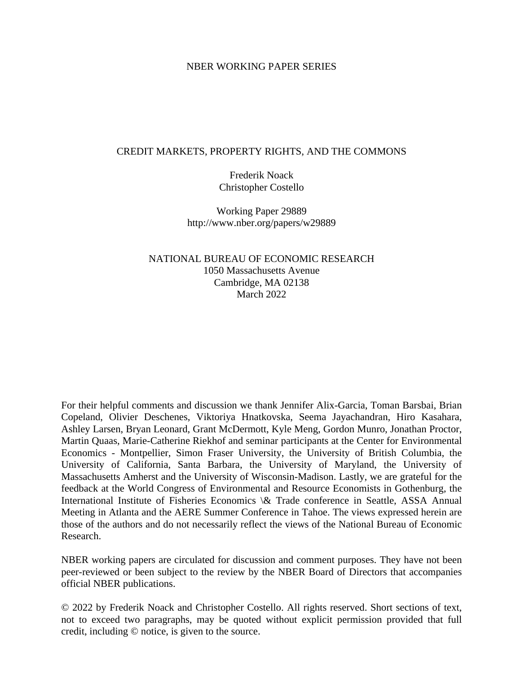## NBER WORKING PAPER SERIES

## CREDIT MARKETS, PROPERTY RIGHTS, AND THE COMMONS

Frederik Noack Christopher Costello

Working Paper 29889 http://www.nber.org/papers/w29889

NATIONAL BUREAU OF ECONOMIC RESEARCH 1050 Massachusetts Avenue Cambridge, MA 02138 March 2022

For their helpful comments and discussion we thank Jennifer Alix-Garcia, Toman Barsbai, Brian Copeland, Olivier Deschenes, Viktoriya Hnatkovska, Seema Jayachandran, Hiro Kasahara, Ashley Larsen, Bryan Leonard, Grant McDermott, Kyle Meng, Gordon Munro, Jonathan Proctor, Martin Quaas, Marie-Catherine Riekhof and seminar participants at the Center for Environmental Economics - Montpellier, Simon Fraser University, the University of British Columbia, the University of California, Santa Barbara, the University of Maryland, the University of Massachusetts Amherst and the University of Wisconsin-Madison. Lastly, we are grateful for the feedback at the World Congress of Environmental and Resource Economists in Gothenburg, the International Institute of Fisheries Economics \& Trade conference in Seattle, ASSA Annual Meeting in Atlanta and the AERE Summer Conference in Tahoe. The views expressed herein are those of the authors and do not necessarily reflect the views of the National Bureau of Economic Research.

NBER working papers are circulated for discussion and comment purposes. They have not been peer-reviewed or been subject to the review by the NBER Board of Directors that accompanies official NBER publications.

© 2022 by Frederik Noack and Christopher Costello. All rights reserved. Short sections of text, not to exceed two paragraphs, may be quoted without explicit permission provided that full credit, including © notice, is given to the source.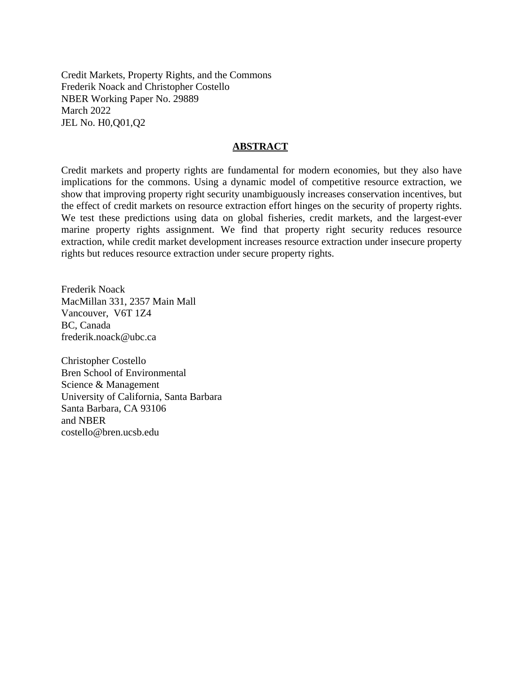Credit Markets, Property Rights, and the Commons Frederik Noack and Christopher Costello NBER Working Paper No. 29889 March 2022 JEL No. H0,Q01,Q2

## **ABSTRACT**

Credit markets and property rights are fundamental for modern economies, but they also have implications for the commons. Using a dynamic model of competitive resource extraction, we show that improving property right security unambiguously increases conservation incentives, but the effect of credit markets on resource extraction effort hinges on the security of property rights. We test these predictions using data on global fisheries, credit markets, and the largest-ever marine property rights assignment. We find that property right security reduces resource extraction, while credit market development increases resource extraction under insecure property rights but reduces resource extraction under secure property rights.

Frederik Noack MacMillan 331, 2357 Main Mall Vancouver, V6T 1Z4 BC, Canada frederik.noack@ubc.ca

Christopher Costello Bren School of Environmental Science & Management University of California, Santa Barbara Santa Barbara, CA 93106 and NBER costello@bren.ucsb.edu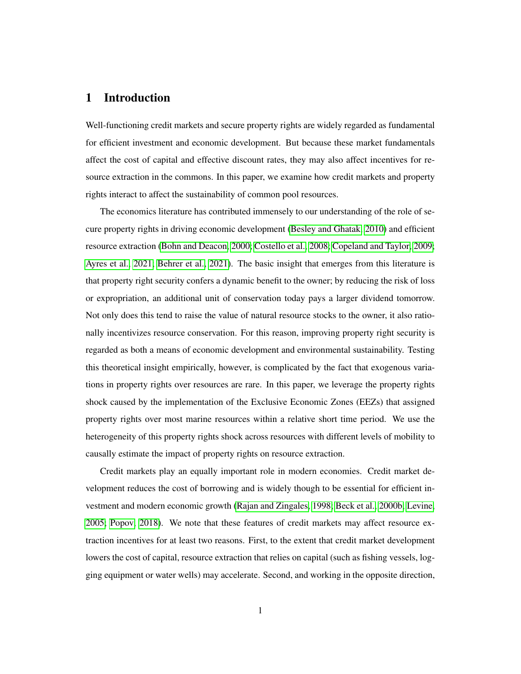# 1 Introduction

Well-functioning credit markets and secure property rights are widely regarded as fundamental for efficient investment and economic development. But because these market fundamentals affect the cost of capital and effective discount rates, they may also affect incentives for resource extraction in the commons. In this paper, we examine how credit markets and property rights interact to affect the sustainability of common pool resources.

The economics literature has contributed immensely to our understanding of the role of secure property rights in driving economic development [\(Besley and Ghatak, 2010\)](#page-55-0) and efficient resource extraction [\(Bohn and Deacon, 2000;](#page-56-0) [Costello et al., 2008;](#page-57-0) [Copeland and Taylor, 2009;](#page-57-1) [Ayres et al., 2021;](#page-54-0) [Behrer et al., 2021\)](#page-55-1). The basic insight that emerges from this literature is that property right security confers a dynamic benefit to the owner; by reducing the risk of loss or expropriation, an additional unit of conservation today pays a larger dividend tomorrow. Not only does this tend to raise the value of natural resource stocks to the owner, it also rationally incentivizes resource conservation. For this reason, improving property right security is regarded as both a means of economic development and environmental sustainability. Testing this theoretical insight empirically, however, is complicated by the fact that exogenous variations in property rights over resources are rare. In this paper, we leverage the property rights shock caused by the implementation of the Exclusive Economic Zones (EEZs) that assigned property rights over most marine resources within a relative short time period. We use the heterogeneity of this property rights shock across resources with different levels of mobility to causally estimate the impact of property rights on resource extraction.

Credit markets play an equally important role in modern economies. Credit market development reduces the cost of borrowing and is widely though to be essential for efficient investment and modern economic growth [\(Rajan and Zingales, 1998;](#page-61-0) [Beck et al., 2000b;](#page-55-2) [Levine,](#page-60-0) [2005;](#page-60-0) [Popov, 2018\)](#page-61-1). We note that these features of credit markets may affect resource extraction incentives for at least two reasons. First, to the extent that credit market development lowers the cost of capital, resource extraction that relies on capital (such as fishing vessels, logging equipment or water wells) may accelerate. Second, and working in the opposite direction,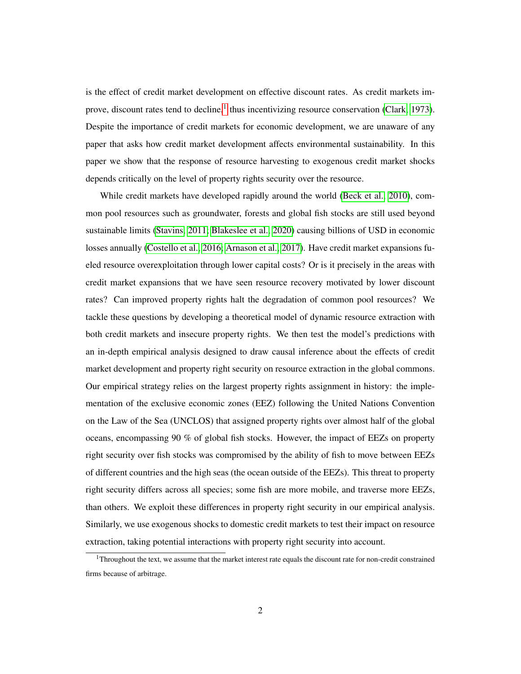is the effect of credit market development on effective discount rates. As credit markets im-prove, discount rates tend to decline,<sup>[1](#page-3-0)</sup> thus incentivizing resource conservation [\(Clark, 1973\)](#page-56-1). Despite the importance of credit markets for economic development, we are unaware of any paper that asks how credit market development affects environmental sustainability. In this paper we show that the response of resource harvesting to exogenous credit market shocks depends critically on the level of property rights security over the resource.

While credit markets have developed rapidly around the world [\(Beck et al., 2010\)](#page-55-3), common pool resources such as groundwater, forests and global fish stocks are still used beyond sustainable limits [\(Stavins, 2011;](#page-62-0) [Blakeslee et al., 2020\)](#page-55-4) causing billions of USD in economic losses annually [\(Costello et al., 2016;](#page-57-2) [Arnason et al., 2017\)](#page-54-1). Have credit market expansions fueled resource overexploitation through lower capital costs? Or is it precisely in the areas with credit market expansions that we have seen resource recovery motivated by lower discount rates? Can improved property rights halt the degradation of common pool resources? We tackle these questions by developing a theoretical model of dynamic resource extraction with both credit markets and insecure property rights. We then test the model's predictions with an in-depth empirical analysis designed to draw causal inference about the effects of credit market development and property right security on resource extraction in the global commons. Our empirical strategy relies on the largest property rights assignment in history: the implementation of the exclusive economic zones (EEZ) following the United Nations Convention on the Law of the Sea (UNCLOS) that assigned property rights over almost half of the global oceans, encompassing 90 % of global fish stocks. However, the impact of EEZs on property right security over fish stocks was compromised by the ability of fish to move between EEZs of different countries and the high seas (the ocean outside of the EEZs). This threat to property right security differs across all species; some fish are more mobile, and traverse more EEZs, than others. We exploit these differences in property right security in our empirical analysis. Similarly, we use exogenous shocks to domestic credit markets to test their impact on resource extraction, taking potential interactions with property right security into account.

<span id="page-3-0"></span><sup>&</sup>lt;sup>1</sup>Throughout the text, we assume that the market interest rate equals the discount rate for non-credit constrained firms because of arbitrage.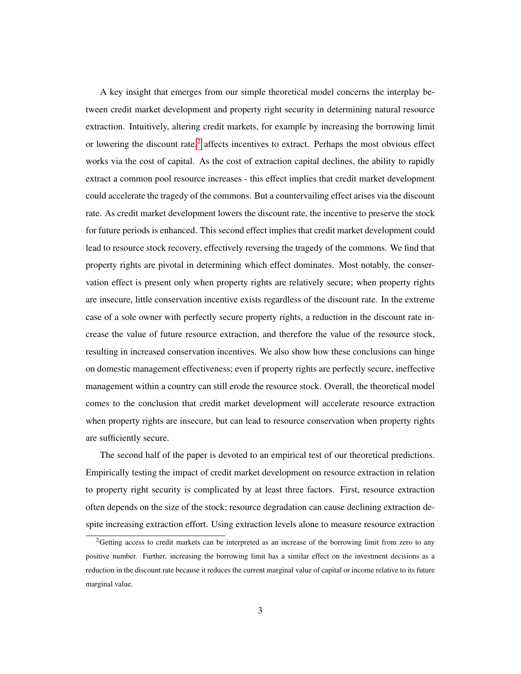A key insight that emerges from our simple theoretical model concerns the interplay between credit market development and property right security in determining natural resource extraction. Intuitively, altering credit markets, for example by increasing the borrowing limit or lowering the discount rate, $2$  affects incentives to extract. Perhaps the most obvious effect works via the cost of capital. As the cost of extraction capital declines, the ability to rapidly extract a common pool resource increases - this effect implies that credit market development could accelerate the tragedy of the commons. But a countervailing effect arises via the discount rate. As credit market development lowers the discount rate, the incentive to preserve the stock for future periods is enhanced. This second effect implies that credit market development could lead to resource stock recovery, effectively reversing the tragedy of the commons. We find that property rights are pivotal in determining which effect dominates. Most notably, the conservation effect is present only when property rights are relatively secure; when property rights are insecure, little conservation incentive exists regardless of the discount rate. In the extreme case of a sole owner with perfectly secure property rights, a reduction in the discount rate increase the value of future resource extraction, and therefore the value of the resource stock, resulting in increased conservation incentives. We also show how these conclusions can hinge on domestic management effectiveness; even if property rights are perfectly secure, ineffective management within a country can still erode the resource stock. Overall, the theoretical model comes to the conclusion that credit market development will accelerate resource extraction when property rights are insecure, but can lead to resource conservation when property rights are sufficiently secure.

The second half of the paper is devoted to an empirical test of our theoretical predictions. Empirically testing the impact of credit market development on resource extraction in relation to property right security is complicated by at least three factors. First, resource extraction often depends on the size of the stock; resource degradation can cause declining extraction despite increasing extraction effort. Using extraction levels alone to measure resource extraction

<span id="page-4-0"></span><sup>&</sup>lt;sup>2</sup>Getting access to credit markets can be interpreted as an increase of the borrowing limit from zero to any positive number. Further, increasing the borrowing limit has a similar effect on the investment decisions as a reduction in the discount rate because it reduces the current marginal value of capital or income relative to its future marginal value.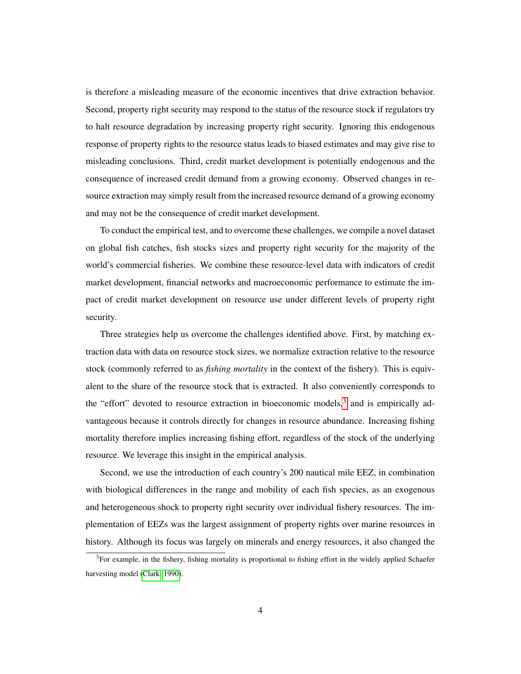is therefore a misleading measure of the economic incentives that drive extraction behavior. Second, property right security may respond to the status of the resource stock if regulators try to halt resource degradation by increasing property right security. Ignoring this endogenous response of property rights to the resource status leads to biased estimates and may give rise to misleading conclusions. Third, credit market development is potentially endogenous and the consequence of increased credit demand from a growing economy. Observed changes in resource extraction may simply result from the increased resource demand of a growing economy and may not be the consequence of credit market development.

To conduct the empirical test, and to overcome these challenges, we compile a novel dataset on global fish catches, fish stocks sizes and property right security for the majority of the world's commercial fisheries. We combine these resource-level data with indicators of credit market development, financial networks and macroeconomic performance to estimate the impact of credit market development on resource use under different levels of property right security.

Three strategies help us overcome the challenges identified above. First, by matching extraction data with data on resource stock sizes, we normalize extraction relative to the resource stock (commonly referred to as *fishing mortality* in the context of the fishery). This is equivalent to the share of the resource stock that is extracted. It also conveniently corresponds to the "effort" devoted to resource extraction in bioeconomic models,<sup>[3](#page-5-0)</sup> and is empirically advantageous because it controls directly for changes in resource abundance. Increasing fishing mortality therefore implies increasing fishing effort, regardless of the stock of the underlying resource. We leverage this insight in the empirical analysis.

Second, we use the introduction of each country's 200 nautical mile EEZ, in combination with biological differences in the range and mobility of each fish species, as an exogenous and heterogeneous shock to property right security over individual fishery resources. The implementation of EEZs was the largest assignment of property rights over marine resources in history. Although its focus was largely on minerals and energy resources, it also changed the

<span id="page-5-0"></span><sup>3</sup>For example, in the fishery, fishing mortality is proportional to fishing effort in the widely applied Schaefer harvesting model [\(Clark, 1990\)](#page-56-2).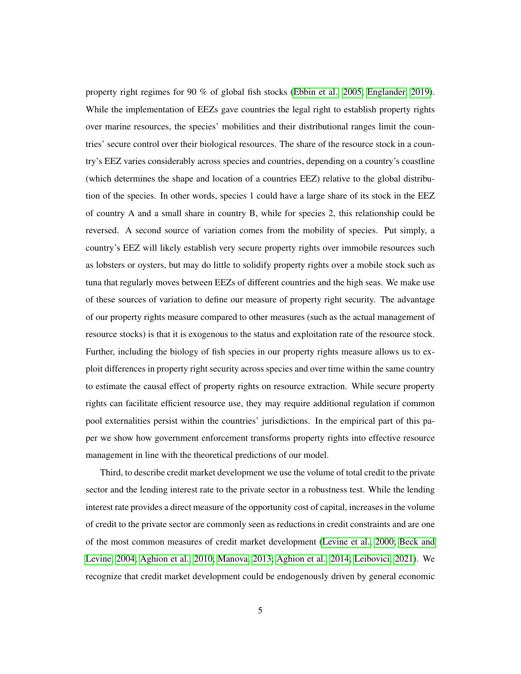property right regimes for 90 % of global fish stocks [\(Ebbin et al., 2005;](#page-57-3) [Englander, 2019\)](#page-57-4). While the implementation of EEZs gave countries the legal right to establish property rights over marine resources, the species' mobilities and their distributional ranges limit the countries' secure control over their biological resources. The share of the resource stock in a country's EEZ varies considerably across species and countries, depending on a country's coastline (which determines the shape and location of a countries EEZ) relative to the global distribution of the species. In other words, species 1 could have a large share of its stock in the EEZ of country A and a small share in country B, while for species 2, this relationship could be reversed. A second source of variation comes from the mobility of species. Put simply, a country's EEZ will likely establish very secure property rights over immobile resources such as lobsters or oysters, but may do little to solidify property rights over a mobile stock such as tuna that regularly moves between EEZs of different countries and the high seas. We make use of these sources of variation to define our measure of property right security. The advantage of our property rights measure compared to other measures (such as the actual management of resource stocks) is that it is exogenous to the status and exploitation rate of the resource stock. Further, including the biology of fish species in our property rights measure allows us to exploit differences in property right security across species and over time within the same country to estimate the causal effect of property rights on resource extraction. While secure property rights can facilitate efficient resource use, they may require additional regulation if common pool externalities persist within the countries' jurisdictions. In the empirical part of this paper we show how government enforcement transforms property rights into effective resource management in line with the theoretical predictions of our model.

Third, to describe credit market development we use the volume of total credit to the private sector and the lending interest rate to the private sector in a robustness test. While the lending interest rate provides a direct measure of the opportunity cost of capital, increases in the volume of credit to the private sector are commonly seen as reductions in credit constraints and are one of the most common measures of credit market development [\(Levine et al., 2000;](#page-60-1) [Beck and](#page-55-5) [Levine, 2004;](#page-55-5) [Aghion et al., 2010;](#page-53-0) [Manova, 2013;](#page-60-2) [Aghion et al., 2014;](#page-53-1) [Leibovici, 2021\)](#page-59-0). We recognize that credit market development could be endogenously driven by general economic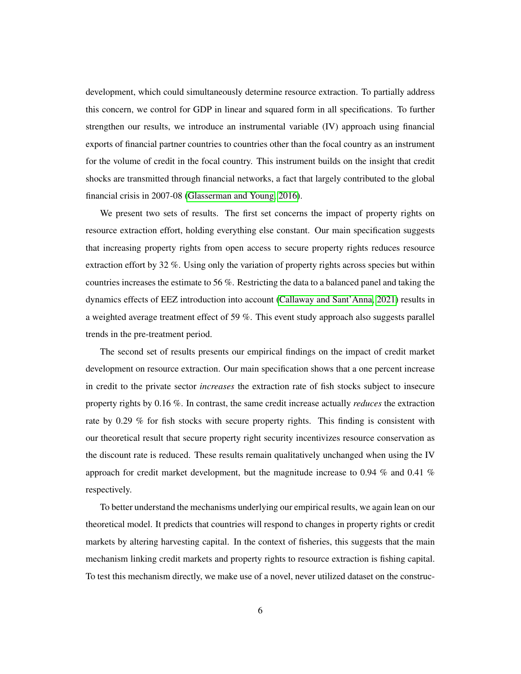development, which could simultaneously determine resource extraction. To partially address this concern, we control for GDP in linear and squared form in all specifications. To further strengthen our results, we introduce an instrumental variable (IV) approach using financial exports of financial partner countries to countries other than the focal country as an instrument for the volume of credit in the focal country. This instrument builds on the insight that credit shocks are transmitted through financial networks, a fact that largely contributed to the global financial crisis in 2007-08 [\(Glasserman and Young, 2016\)](#page-58-0).

We present two sets of results. The first set concerns the impact of property rights on resource extraction effort, holding everything else constant. Our main specification suggests that increasing property rights from open access to secure property rights reduces resource extraction effort by 32 %. Using only the variation of property rights across species but within countries increases the estimate to 56 %. Restricting the data to a balanced panel and taking the dynamics effects of EEZ introduction into account [\(Callaway and Sant'Anna, 2021\)](#page-56-3) results in a weighted average treatment effect of 59 %. This event study approach also suggests parallel trends in the pre-treatment period.

The second set of results presents our empirical findings on the impact of credit market development on resource extraction. Our main specification shows that a one percent increase in credit to the private sector *increases* the extraction rate of fish stocks subject to insecure property rights by 0.16 %. In contrast, the same credit increase actually *reduces* the extraction rate by 0.29 % for fish stocks with secure property rights. This finding is consistent with our theoretical result that secure property right security incentivizes resource conservation as the discount rate is reduced. These results remain qualitatively unchanged when using the IV approach for credit market development, but the magnitude increase to 0.94  $\%$  and 0.41  $\%$ respectively.

To better understand the mechanisms underlying our empirical results, we again lean on our theoretical model. It predicts that countries will respond to changes in property rights or credit markets by altering harvesting capital. In the context of fisheries, this suggests that the main mechanism linking credit markets and property rights to resource extraction is fishing capital. To test this mechanism directly, we make use of a novel, never utilized dataset on the construc-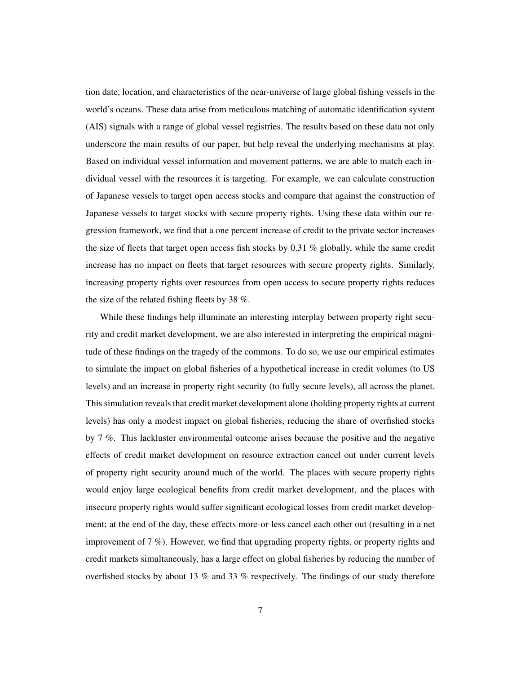tion date, location, and characteristics of the near-universe of large global fishing vessels in the world's oceans. These data arise from meticulous matching of automatic identification system (AIS) signals with a range of global vessel registries. The results based on these data not only underscore the main results of our paper, but help reveal the underlying mechanisms at play. Based on individual vessel information and movement patterns, we are able to match each individual vessel with the resources it is targeting. For example, we can calculate construction of Japanese vessels to target open access stocks and compare that against the construction of Japanese vessels to target stocks with secure property rights. Using these data within our regression framework, we find that a one percent increase of credit to the private sector increases the size of fleets that target open access fish stocks by 0.31 % globally, while the same credit increase has no impact on fleets that target resources with secure property rights. Similarly, increasing property rights over resources from open access to secure property rights reduces the size of the related fishing fleets by 38 %.

While these findings help illuminate an interesting interplay between property right security and credit market development, we are also interested in interpreting the empirical magnitude of these findings on the tragedy of the commons. To do so, we use our empirical estimates to simulate the impact on global fisheries of a hypothetical increase in credit volumes (to US levels) and an increase in property right security (to fully secure levels), all across the planet. This simulation reveals that credit market development alone (holding property rights at current levels) has only a modest impact on global fisheries, reducing the share of overfished stocks by 7 %. This lackluster environmental outcome arises because the positive and the negative effects of credit market development on resource extraction cancel out under current levels of property right security around much of the world. The places with secure property rights would enjoy large ecological benefits from credit market development, and the places with insecure property rights would suffer significant ecological losses from credit market development; at the end of the day, these effects more-or-less cancel each other out (resulting in a net improvement of 7 %). However, we find that upgrading property rights, or property rights and credit markets simultaneously, has a large effect on global fisheries by reducing the number of overfished stocks by about 13 % and 33 % respectively. The findings of our study therefore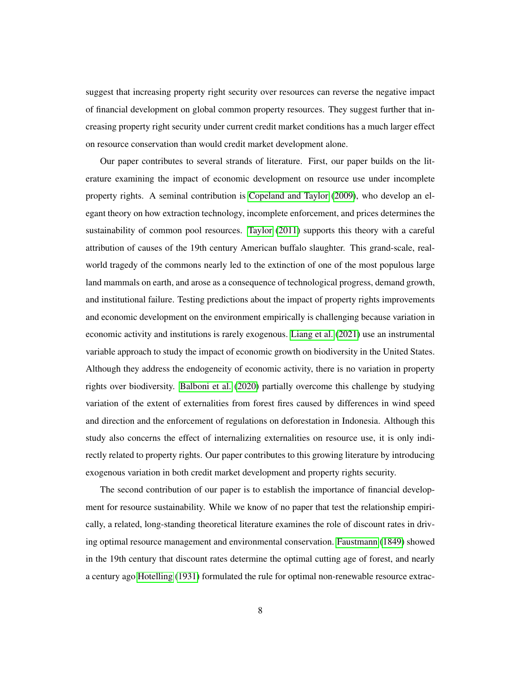suggest that increasing property right security over resources can reverse the negative impact of financial development on global common property resources. They suggest further that increasing property right security under current credit market conditions has a much larger effect on resource conservation than would credit market development alone.

Our paper contributes to several strands of literature. First, our paper builds on the literature examining the impact of economic development on resource use under incomplete property rights. A seminal contribution is [Copeland and Taylor](#page-57-1) [\(2009\)](#page-57-1), who develop an elegant theory on how extraction technology, incomplete enforcement, and prices determines the sustainability of common pool resources. [Taylor](#page-62-1) [\(2011\)](#page-62-1) supports this theory with a careful attribution of causes of the 19th century American buffalo slaughter. This grand-scale, realworld tragedy of the commons nearly led to the extinction of one of the most populous large land mammals on earth, and arose as a consequence of technological progress, demand growth, and institutional failure. Testing predictions about the impact of property rights improvements and economic development on the environment empirically is challenging because variation in economic activity and institutions is rarely exogenous. [Liang et al.](#page-60-3) [\(2021\)](#page-60-3) use an instrumental variable approach to study the impact of economic growth on biodiversity in the United States. Although they address the endogeneity of economic activity, there is no variation in property rights over biodiversity. [Balboni et al.](#page-54-2) [\(2020\)](#page-54-2) partially overcome this challenge by studying variation of the extent of externalities from forest fires caused by differences in wind speed and direction and the enforcement of regulations on deforestation in Indonesia. Although this study also concerns the effect of internalizing externalities on resource use, it is only indirectly related to property rights. Our paper contributes to this growing literature by introducing exogenous variation in both credit market development and property rights security.

The second contribution of our paper is to establish the importance of financial development for resource sustainability. While we know of no paper that test the relationship empirically, a related, long-standing theoretical literature examines the role of discount rates in driving optimal resource management and environmental conservation. [Faustmann](#page-58-1) [\(1849\)](#page-58-1) showed in the 19th century that discount rates determine the optimal cutting age of forest, and nearly a century ago [Hotelling](#page-58-2) [\(1931\)](#page-58-2) formulated the rule for optimal non-renewable resource extrac-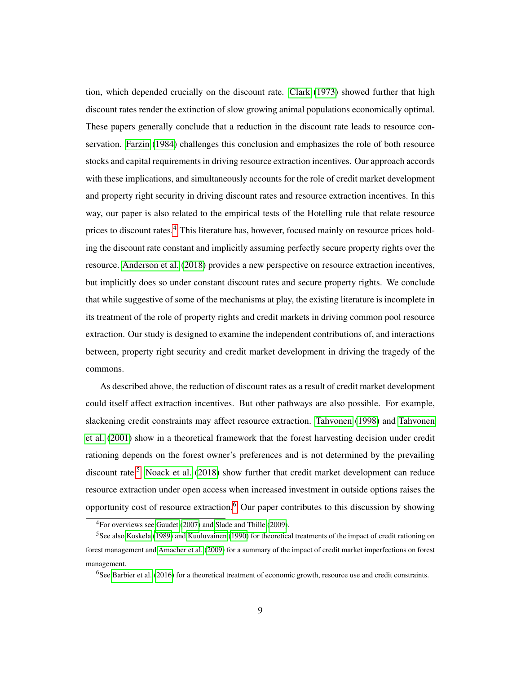tion, which depended crucially on the discount rate. [Clark](#page-56-1) [\(1973\)](#page-56-1) showed further that high discount rates render the extinction of slow growing animal populations economically optimal. These papers generally conclude that a reduction in the discount rate leads to resource conservation. [Farzin](#page-57-5) [\(1984\)](#page-57-5) challenges this conclusion and emphasizes the role of both resource stocks and capital requirements in driving resource extraction incentives. Our approach accords with these implications, and simultaneously accounts for the role of credit market development and property right security in driving discount rates and resource extraction incentives. In this way, our paper is also related to the empirical tests of the Hotelling rule that relate resource prices to discount rates.<sup>[4](#page-10-0)</sup> This literature has, however, focused mainly on resource prices holding the discount rate constant and implicitly assuming perfectly secure property rights over the resource. [Anderson et al.](#page-54-3) [\(2018\)](#page-54-3) provides a new perspective on resource extraction incentives, but implicitly does so under constant discount rates and secure property rights. We conclude that while suggestive of some of the mechanisms at play, the existing literature is incomplete in its treatment of the role of property rights and credit markets in driving common pool resource extraction. Our study is designed to examine the independent contributions of, and interactions between, property right security and credit market development in driving the tragedy of the commons.

As described above, the reduction of discount rates as a result of credit market development could itself affect extraction incentives. But other pathways are also possible. For example, slackening credit constraints may affect resource extraction. [Tahvonen](#page-62-2) [\(1998\)](#page-62-2) and [Tahvonen](#page-62-3) [et al.](#page-62-3) [\(2001\)](#page-62-3) show in a theoretical framework that the forest harvesting decision under credit rationing depends on the forest owner's preferences and is not determined by the prevailing discount rate.<sup>[5](#page-10-1)</sup> [Noack et al.](#page-60-4) [\(2018\)](#page-60-4) show further that credit market development can reduce resource extraction under open access when increased investment in outside options raises the opportunity cost of resource extraction.<sup>[6](#page-10-2)</sup> Our paper contributes to this discussion by showing

<span id="page-10-1"></span><span id="page-10-0"></span><sup>4</sup>For overviews see [Gaudet](#page-58-3) [\(2007\)](#page-58-3) and [Slade and Thille](#page-62-4) [\(2009\)](#page-62-4).

<sup>5</sup>See also [Koskela](#page-59-1) [\(1989\)](#page-59-1) and [Kuuluvainen](#page-59-2) [\(1990\)](#page-59-2) for theoretical treatments of the impact of credit rationing on forest management and [Amacher et al.](#page-53-2) [\(2009\)](#page-53-2) for a summary of the impact of credit market imperfections on forest management.

<span id="page-10-2"></span><sup>6</sup>See [Barbier et al.](#page-54-4) [\(2016\)](#page-54-4) for a theoretical treatment of economic growth, resource use and credit constraints.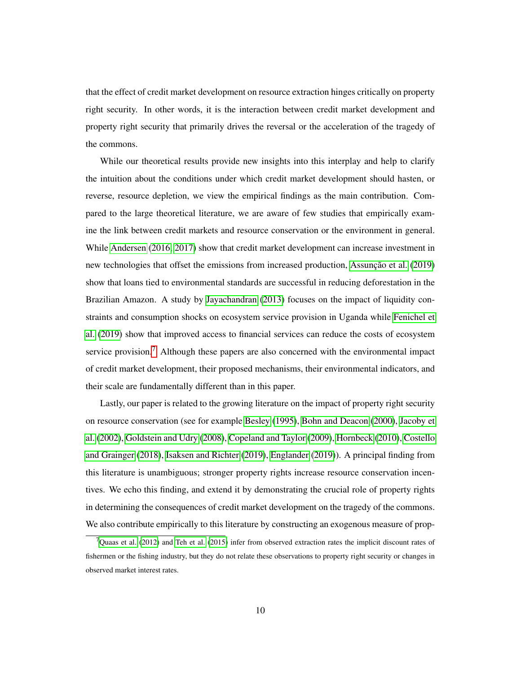that the effect of credit market development on resource extraction hinges critically on property right security. In other words, it is the interaction between credit market development and property right security that primarily drives the reversal or the acceleration of the tragedy of the commons.

While our theoretical results provide new insights into this interplay and help to clarify the intuition about the conditions under which credit market development should hasten, or reverse, resource depletion, we view the empirical findings as the main contribution. Compared to the large theoretical literature, we are aware of few studies that empirically examine the link between credit markets and resource conservation or the environment in general. While [Andersen](#page-53-3) [\(2016,](#page-53-3) [2017\)](#page-54-5) show that credit market development can increase investment in new technologies that offset the emissions from increased production, [Assunção et al.](#page-54-6) [\(2019\)](#page-54-6) show that loans tied to environmental standards are successful in reducing deforestation in the Brazilian Amazon. A study by [Jayachandran](#page-59-3) [\(2013\)](#page-59-3) focuses on the impact of liquidity constraints and consumption shocks on ecosystem service provision in Uganda while [Fenichel et](#page-58-4) [al.](#page-58-4) [\(2019\)](#page-58-4) show that improved access to financial services can reduce the costs of ecosystem service provision.<sup>[7](#page-11-0)</sup> Although these papers are also concerned with the environmental impact of credit market development, their proposed mechanisms, their environmental indicators, and their scale are fundamentally different than in this paper.

Lastly, our paper is related to the growing literature on the impact of property right security on resource conservation (see for example [Besley](#page-55-6) [\(1995\)](#page-55-6), [Bohn and Deacon](#page-56-0) [\(2000\)](#page-56-0), [Jacoby et](#page-59-4) [al.](#page-59-4) [\(2002\)](#page-59-4), [Goldstein and Udry](#page-58-5) [\(2008\)](#page-58-5), [Copeland and Taylor](#page-57-1) [\(2009\)](#page-57-1), [Hornbeck](#page-58-6) [\(2010\)](#page-58-6), [Costello](#page-57-6) [and Grainger](#page-57-6) [\(2018\)](#page-57-6), [Isaksen and Richter](#page-59-5) [\(2019\)](#page-59-5), [Englander](#page-57-4) [\(2019\)](#page-57-4)). A principal finding from this literature is unambiguous; stronger property rights increase resource conservation incentives. We echo this finding, and extend it by demonstrating the crucial role of property rights in determining the consequences of credit market development on the tragedy of the commons. We also contribute empirically to this literature by constructing an exogenous measure of prop-

<span id="page-11-0"></span> $7$ [Quaas et al.](#page-61-2) [\(2012\)](#page-61-2) and [Teh et al.](#page-62-5) [\(2015\)](#page-62-5) infer from observed extraction rates the implicit discount rates of fishermen or the fishing industry, but they do not relate these observations to property right security or changes in observed market interest rates.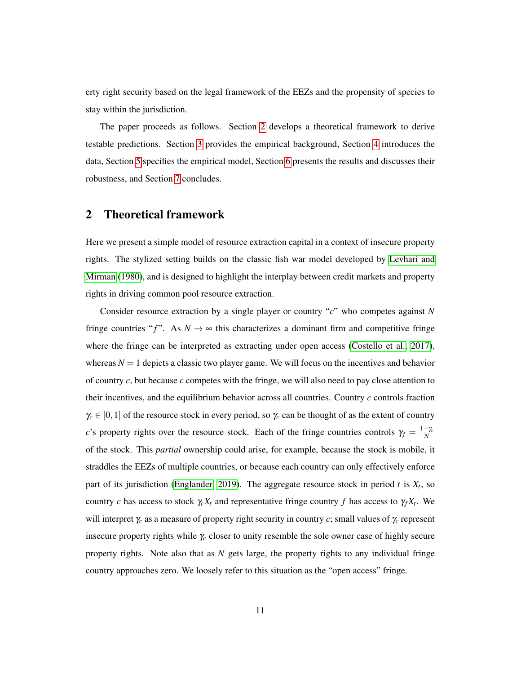erty right security based on the legal framework of the EEZs and the propensity of species to stay within the jurisdiction.

The paper proceeds as follows. Section [2](#page-12-0) develops a theoretical framework to derive testable predictions. Section [3](#page-20-0) provides the empirical background, Section [4](#page-24-0) introduces the data, Section [5](#page-34-0) specifies the empirical model, Section [6](#page-39-0) presents the results and discusses their robustness, and Section [7](#page-51-0) concludes.

## <span id="page-12-0"></span>2 Theoretical framework

Here we present a simple model of resource extraction capital in a context of insecure property rights. The stylized setting builds on the classic fish war model developed by [Levhari and](#page-59-6) [Mirman](#page-59-6) [\(1980\)](#page-59-6), and is designed to highlight the interplay between credit markets and property rights in driving common pool resource extraction.

Consider resource extraction by a single player or country "*c*" who competes against *N* fringe countries " $f$ ". As  $N \rightarrow \infty$  this characterizes a dominant firm and competitive fringe where the fringe can be interpreted as extracting under open access [\(Costello et al., 2017\)](#page-57-7), whereas  $N = 1$  depicts a classic two player game. We will focus on the incentives and behavior of country *c*, but because *c* competes with the fringe, we will also need to pay close attention to their incentives, and the equilibrium behavior across all countries. Country *c* controls fraction  $\gamma_c \in [0,1]$  of the resource stock in every period, so  $\gamma_c$  can be thought of as the extent of country *c*'s property rights over the resource stock. Each of the fringe countries controls  $\gamma_f = \frac{1-\gamma_c}{N}$ *N* of the stock. This *partial* ownership could arise, for example, because the stock is mobile, it straddles the EEZs of multiple countries, or because each country can only effectively enforce part of its jurisdiction [\(Englander, 2019\)](#page-57-4). The aggregate resource stock in period *t* is *X<sup>t</sup>* , so country *c* has access to stock  $\gamma_c X_t$  and representative fringe country *f* has access to  $\gamma_f X_t$ . We will interpret γ*<sup>c</sup>* as a measure of property right security in country *c*; small values of γ*<sup>c</sup>* represent insecure property rights while γ*<sup>c</sup>* closer to unity resemble the sole owner case of highly secure property rights. Note also that as *N* gets large, the property rights to any individual fringe country approaches zero. We loosely refer to this situation as the "open access" fringe.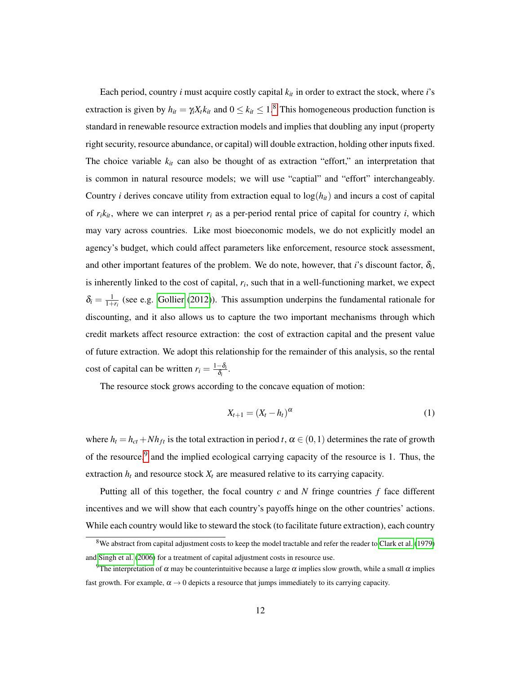Each period, country  $i$  must acquire costly capital  $k<sub>it</sub>$  in order to extract the stock, where  $i$ 's extraction is given by  $h_{it} = \gamma_i X_t k_{it}$  and  $0 \le k_{it} \le 1$ .<sup>[8](#page-13-0)</sup> This homogeneous production function is standard in renewable resource extraction models and implies that doubling any input (property right security, resource abundance, or capital) will double extraction, holding other inputs fixed. The choice variable  $k_{it}$  can also be thought of as extraction "effort," an interpretation that is common in natural resource models; we will use "captial" and "effort" interchangeably. Country *i* derives concave utility from extraction equal to  $log(h_{it})$  and incurs a cost of capital of  $r_i k_{it}$ , where we can interpret  $r_i$  as a per-period rental price of capital for country *i*, which may vary across countries. Like most bioeconomic models, we do not explicitly model an agency's budget, which could affect parameters like enforcement, resource stock assessment, and other important features of the problem. We do note, however, that *i*'s discount factor,  $\delta_i$ , is inherently linked to the cost of capital, *r<sup>i</sup>* , such that in a well-functioning market, we expect  $\delta_i = \frac{1}{1+r_i}$  (see e.g. [Gollier](#page-58-7) [\(2012\)](#page-58-7)). This assumption underpins the fundamental rationale for discounting, and it also allows us to capture the two important mechanisms through which credit markets affect resource extraction: the cost of extraction capital and the present value of future extraction. We adopt this relationship for the remainder of this analysis, so the rental cost of capital can be written  $r_i = \frac{1-\delta_i}{\delta_i}$  $\frac{-o_i}{\delta_i}$  .

The resource stock grows according to the concave equation of motion:

$$
X_{t+1} = (X_t - h_t)^{\alpha} \tag{1}
$$

where  $h_t = h_{ct} + Nh_{ft}$  is the total extraction in period *t*,  $\alpha \in (0,1)$  determines the rate of growth of the resource,<sup>[9](#page-13-1)</sup> and the implied ecological carrying capacity of the resource is 1. Thus, the extraction  $h_t$  and resource stock  $X_t$  are measured relative to its carrying capacity.

Putting all of this together, the focal country *c* and *N* fringe countries *f* face different incentives and we will show that each country's payoffs hinge on the other countries' actions. While each country would like to steward the stock (to facilitate future extraction), each country

<span id="page-13-0"></span><sup>8</sup>We abstract from capital adjustment costs to keep the model tractable and refer the reader to [Clark et al.](#page-56-4) [\(1979\)](#page-56-4) and [Singh et al.](#page-62-6) [\(2006\)](#page-62-6) for a treatment of capital adjustment costs in resource use.

<span id="page-13-1"></span><sup>&</sup>lt;sup>9</sup>The interpretation of  $\alpha$  may be counterintuitive because a large  $\alpha$  implies slow growth, while a small  $\alpha$  implies fast growth. For example,  $\alpha \rightarrow 0$  depicts a resource that jumps immediately to its carrying capacity.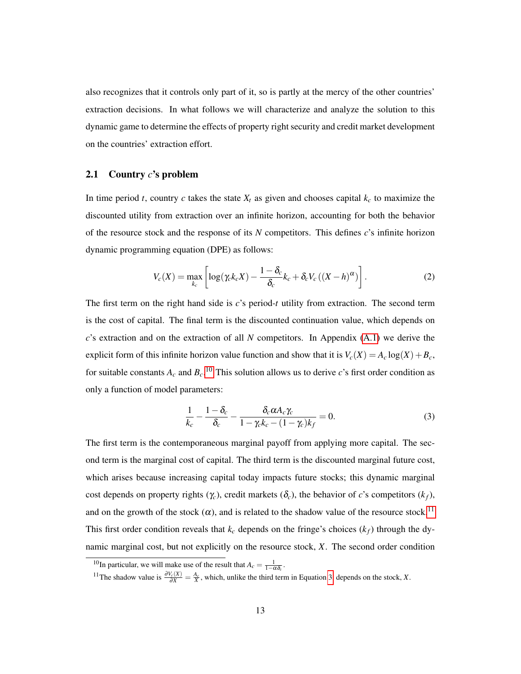also recognizes that it controls only part of it, so is partly at the mercy of the other countries' extraction decisions. In what follows we will characterize and analyze the solution to this dynamic game to determine the effects of property right security and credit market development on the countries' extraction effort.

## 2.1 Country *c*'s problem

In time period *t*, country *c* takes the state  $X_t$  as given and chooses capital  $k_c$  to maximize the discounted utility from extraction over an infinite horizon, accounting for both the behavior of the resource stock and the response of its *N* competitors. This defines *c*'s infinite horizon dynamic programming equation (DPE) as follows:

$$
V_c(X) = \max_{k_c} \left[ \log(\gamma_c k_c X) - \frac{1 - \delta_c}{\delta_c} k_c + \delta_c V_c ((X - h)^{\alpha}) \right].
$$
 (2)

The first term on the right hand side is *c*'s period-*t* utility from extraction. The second term is the cost of capital. The final term is the discounted continuation value, which depends on *c*'s extraction and on the extraction of all *N* competitors. In Appendix [\(A.1\)](#page-63-0) we derive the explicit form of this infinite horizon value function and show that it is  $V_c(X) = A_c \log(X) + B_c$ , for suitable constants  $A_c$  and  $B_c$ .<sup>[10](#page-14-0)</sup> This solution allows us to derive *c*'s first order condition as only a function of model parameters:

<span id="page-14-2"></span>
$$
\frac{1}{k_c} - \frac{1 - \delta_c}{\delta_c} - \frac{\delta_c \alpha A_c \gamma_c}{1 - \gamma_c k_c - (1 - \gamma_c) k_f} = 0.
$$
\n(3)

The first term is the contemporaneous marginal payoff from applying more capital. The second term is the marginal cost of capital. The third term is the discounted marginal future cost, which arises because increasing capital today impacts future stocks; this dynamic marginal cost depends on property rights ( $\gamma_c$ ), credit markets ( $\delta_c$ ), the behavior of *c*'s competitors ( $k_f$ ), and on the growth of the stock  $(\alpha)$ , and is related to the shadow value of the resource stock.<sup>[11](#page-14-1)</sup> This first order condition reveals that  $k_c$  depends on the fringe's choices  $(k_f)$  through the dynamic marginal cost, but not explicitly on the resource stock, *X*. The second order condition

<span id="page-14-1"></span><span id="page-14-0"></span><sup>&</sup>lt;sup>10</sup>In particular, we will make use of the result that  $A_c = \frac{1}{1-\alpha\delta_c}$ .

<sup>&</sup>lt;sup>11</sup>The shadow value is  $\frac{\partial V_c(X)}{\partial X} = \frac{A_c}{X}$ , which, unlike the third term in Equation [3,](#page-14-2) depends on the stock, *X*.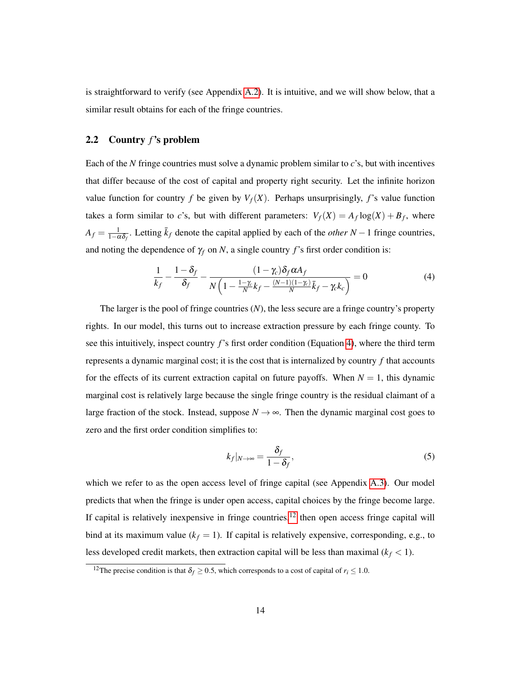is straightforward to verify (see Appendix [A.2\)](#page-63-1). It is intuitive, and we will show below, that a similar result obtains for each of the fringe countries.

## 2.2 Country *f*'s problem

Each of the *N* fringe countries must solve a dynamic problem similar to *c*'s, but with incentives that differ because of the cost of capital and property right security. Let the infinite horizon value function for country *f* be given by  $V_f(X)$ . Perhaps unsurprisingly, *f*'s value function takes a form similar to *c*'s, but with different parameters:  $V_f(X) = A_f \log(X) + B_f$ , where  $A_f = \frac{1}{1-\alpha\delta_f}$ . Letting  $\bar{k}_f$  denote the capital applied by each of the *other N* − 1 fringe countries, and noting the dependence of  $\gamma_f$  on *N*, a single country *f*'s first order condition is:

<span id="page-15-0"></span>
$$
\frac{1}{k_f} - \frac{1 - \delta_f}{\delta_f} - \frac{(1 - \gamma_c)\delta_f \alpha A_f}{N\left(1 - \frac{1 - \gamma_c}{N}k_f - \frac{(N - 1)(1 - \gamma_c)}{N}\bar{k}_f - \gamma_c k_c\right)} = 0\tag{4}
$$

The larger is the pool of fringe countries (*N*), the less secure are a fringe country's property rights. In our model, this turns out to increase extraction pressure by each fringe county. To see this intuitively, inspect country *f*'s first order condition (Equation [4\)](#page-15-0), where the third term represents a dynamic marginal cost; it is the cost that is internalized by country *f* that accounts for the effects of its current extraction capital on future payoffs. When  $N = 1$ , this dynamic marginal cost is relatively large because the single fringe country is the residual claimant of a large fraction of the stock. Instead, suppose  $N \rightarrow \infty$ . Then the dynamic marginal cost goes to zero and the first order condition simplifies to:

$$
k_f|_{N\to\infty} = \frac{\delta_f}{1-\delta_f},\tag{5}
$$

which we refer to as the open access level of fringe capital (see Appendix [A.3\)](#page-63-2). Our model predicts that when the fringe is under open access, capital choices by the fringe become large. If capital is relatively inexpensive in fringe countries, $12$  then open access fringe capital will bind at its maximum value  $(k_f = 1)$ . If capital is relatively expensive, corresponding, e.g., to less developed credit markets, then extraction capital will be less than maximal  $(k_f < 1)$ .

<span id="page-15-1"></span><sup>&</sup>lt;sup>12</sup>The precise condition is that  $\delta_f \ge 0.5$ , which corresponds to a cost of capital of  $r_i \le 1.0$ .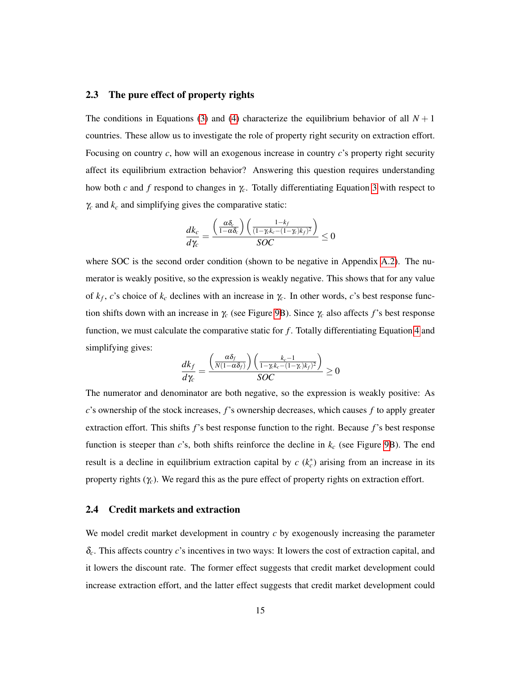#### 2.3 The pure effect of property rights

The conditions in Equations [\(3\)](#page-14-2) and [\(4\)](#page-15-0) characterize the equilibrium behavior of all  $N+1$ countries. These allow us to investigate the role of property right security on extraction effort. Focusing on country *c*, how will an exogenous increase in country *c*'s property right security affect its equilibrium extraction behavior? Answering this question requires understanding how both *c* and *f* respond to changes in γ*c*. Totally differentiating Equation [3](#page-14-2) with respect to  $\gamma_c$  and  $k_c$  and simplifying gives the comparative static:

$$
\frac{dk_c}{d\gamma_c} = \frac{\left(\frac{\alpha \delta_c}{1-\alpha \delta_c}\right) \left(\frac{1-k_f}{(1-\gamma_c k_c - (1-\gamma_c)k_f)^2}\right)}{SOC} \le 0
$$

where SOC is the second order condition (shown to be negative in Appendix [A.2\)](#page-63-1). The numerator is weakly positive, so the expression is weakly negative. This shows that for any value of  $k_f$ , *c*'s choice of  $k_c$  declines with an increase in  $\gamma_c$ . In other words, *c*'s best response function shifts down with an increase in γ*<sup>c</sup>* (see Figure [9B](#page-65-0)). Since γ*<sup>c</sup>* also affects *f*'s best response function, we must calculate the comparative static for f. Totally differentiating Equation [4](#page-15-0) and simplifying gives:

$$
\frac{dk_f}{d\gamma_c} = \frac{\left(\frac{\alpha \delta_f}{N(1-\alpha \delta_f)}\right)\left(\frac{k_c-1}{1-\gamma_c k_c-(1-\gamma_c)k_f)^2}\right)}{SOC} \ge 0
$$

The numerator and denominator are both negative, so the expression is weakly positive: As *c*'s ownership of the stock increases, *f*'s ownership decreases, which causes *f* to apply greater extraction effort. This shifts *f*'s best response function to the right. Because *f*'s best response function is steeper than *c*'s, both shifts reinforce the decline in *k<sup>c</sup>* (see Figure [9B](#page-65-0)). The end result is a decline in equilibrium extraction capital by  $c$  ( $k_c^*$ ) arising from an increase in its property rights  $(\gamma_c)$ . We regard this as the pure effect of property rights on extraction effort.

## 2.4 Credit markets and extraction

We model credit market development in country *c* by exogenously increasing the parameter δ*c*. This affects country *c*'s incentives in two ways: It lowers the cost of extraction capital, and it lowers the discount rate. The former effect suggests that credit market development could increase extraction effort, and the latter effect suggests that credit market development could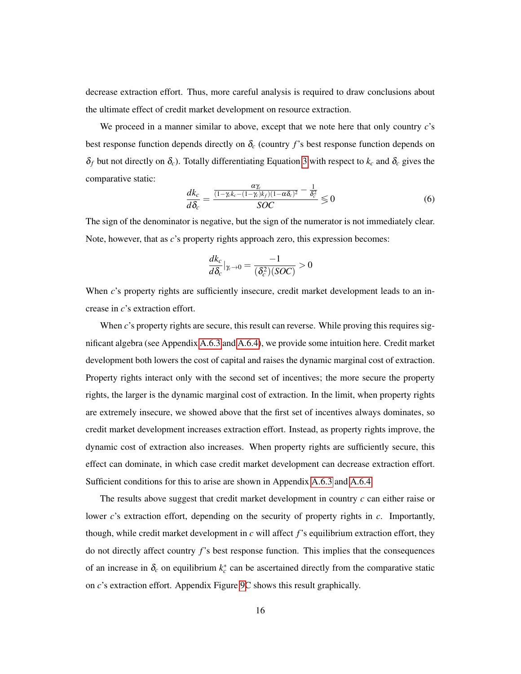decrease extraction effort. Thus, more careful analysis is required to draw conclusions about the ultimate effect of credit market development on resource extraction.

We proceed in a manner similar to above, except that we note here that only country *c*'s best response function depends directly on  $\delta_c$  (country  $f$ 's best response function depends on  $\delta_f$  but not directly on  $\delta_c$ ). Totally differentiating Equation [3](#page-14-2) with respect to  $k_c$  and  $\delta_c$  gives the comparative static:

$$
\frac{dk_c}{d\delta_c} = \frac{\frac{\alpha \gamma_c}{(1 - \gamma_c k_c - (1 - \gamma_c)k_f)(1 - \alpha \delta_c)^2} - \frac{1}{\delta_c^2}}{SOC} \lesssim 0
$$
\n(6)

The sign of the denominator is negative, but the sign of the numerator is not immediately clear. Note, however, that as *c*'s property rights approach zero, this expression becomes:

$$
\frac{dk_c}{d\delta_c}|_{\gamma_c \to 0} = \frac{-1}{(\delta_c^2)(SOC)} > 0
$$

When *c*'s property rights are sufficiently insecure, credit market development leads to an increase in *c*'s extraction effort.

When *c*'s property rights are secure, this result can reverse. While proving this requires significant algebra (see Appendix [A.6.3](#page-66-0) and [A.6.4\)](#page-66-1), we provide some intuition here. Credit market development both lowers the cost of capital and raises the dynamic marginal cost of extraction. Property rights interact only with the second set of incentives; the more secure the property rights, the larger is the dynamic marginal cost of extraction. In the limit, when property rights are extremely insecure, we showed above that the first set of incentives always dominates, so credit market development increases extraction effort. Instead, as property rights improve, the dynamic cost of extraction also increases. When property rights are sufficiently secure, this effect can dominate, in which case credit market development can decrease extraction effort. Sufficient conditions for this to arise are shown in Appendix [A.6.3](#page-66-0) and [A.6.4.](#page-66-1)

The results above suggest that credit market development in country *c* can either raise or lower *c*'s extraction effort, depending on the security of property rights in *c*. Importantly, though, while credit market development in *c* will affect *f*'s equilibrium extraction effort, they do not directly affect country *f*'s best response function. This implies that the consequences of an increase in  $\delta_c$  on equilibrium  $k_c^*$  can be ascertained directly from the comparative static on *c*'s extraction effort. Appendix Figure [9C](#page-65-0) shows this result graphically.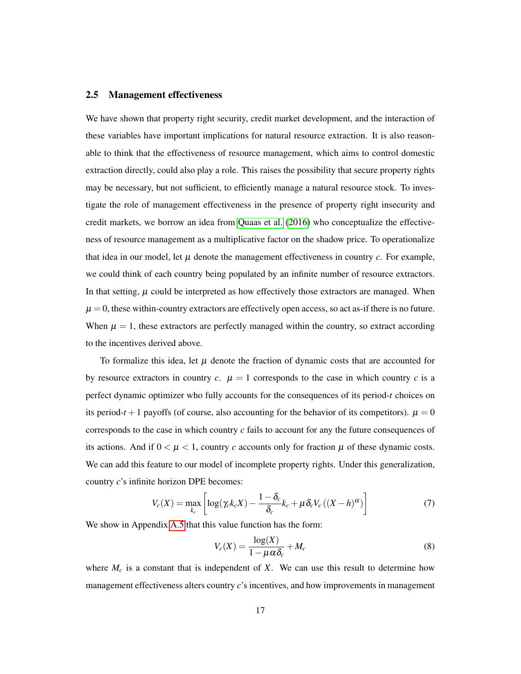#### 2.5 Management effectiveness

We have shown that property right security, credit market development, and the interaction of these variables have important implications for natural resource extraction. It is also reasonable to think that the effectiveness of resource management, which aims to control domestic extraction directly, could also play a role. This raises the possibility that secure property rights may be necessary, but not sufficient, to efficiently manage a natural resource stock. To investigate the role of management effectiveness in the presence of property right insecurity and credit markets, we borrow an idea from [Quaas et al.](#page-61-3) [\(2016\)](#page-61-3) who conceptualize the effectiveness of resource management as a multiplicative factor on the shadow price. To operationalize that idea in our model, let  $\mu$  denote the management effectiveness in country  $c$ . For example, we could think of each country being populated by an infinite number of resource extractors. In that setting,  $\mu$  could be interpreted as how effectively those extractors are managed. When  $\mu = 0$ , these within-country extractors are effectively open access, so act as-if there is no future. When  $\mu = 1$ , these extractors are perfectly managed within the country, so extract according to the incentives derived above.

To formalize this idea, let  $\mu$  denote the fraction of dynamic costs that are accounted for by resource extractors in country  $c$ .  $\mu = 1$  corresponds to the case in which country  $c$  is a perfect dynamic optimizer who fully accounts for the consequences of its period-*t* choices on its period- $t + 1$  payoffs (of course, also accounting for the behavior of its competitors).  $\mu = 0$ corresponds to the case in which country *c* fails to account for any the future consequences of its actions. And if  $0 < \mu < 1$ , country c accounts only for fraction  $\mu$  of these dynamic costs. We can add this feature to our model of incomplete property rights. Under this generalization, country *c*'s infinite horizon DPE becomes:

$$
V_c(X) = \max_{k_c} \left[ \log(\gamma_c k_c X) - \frac{1 - \delta_c}{\delta_c} k_c + \mu \delta_c V_c ((X - h)^{\alpha}) \right]
$$
(7)

We show in Appendix [A.5](#page-64-0) that this value function has the form:

$$
V_c(X) = \frac{\log(X)}{1 - \mu \alpha \delta_c} + M_c \tag{8}
$$

where  $M_c$  is a constant that is independent of  $X$ . We can use this result to determine how management effectiveness alters country *c*'s incentives, and how improvements in management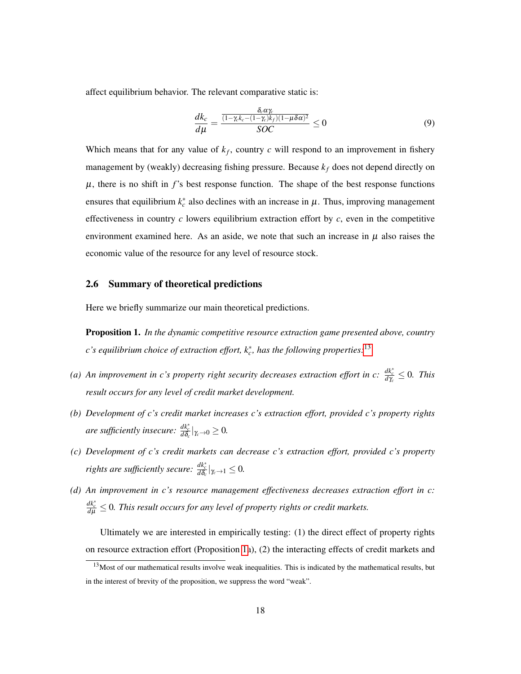affect equilibrium behavior. The relevant comparative static is:

$$
\frac{dk_c}{d\mu} = \frac{\frac{\delta_c \alpha \gamma_c}{(1 - \gamma_c k_c - (1 - \gamma_c)k_f)(1 - \mu \delta \alpha)^2}}{SOC} \le 0
$$
\n(9)

Which means that for any value of  $k_f$ , country  $c$  will respond to an improvement in fishery management by (weakly) decreasing fishing pressure. Because *k<sup>f</sup>* does not depend directly on  $\mu$ , there is no shift in  $f$ 's best response function. The shape of the best response functions ensures that equilibrium  $k_c^*$  also declines with an increase in  $\mu$ . Thus, improving management effectiveness in country *c* lowers equilibrium extraction effort by *c*, even in the competitive environment examined here. As an aside, we note that such an increase in  $\mu$  also raises the economic value of the resource for any level of resource stock.

#### 2.6 Summary of theoretical predictions

Here we briefly summarize our main theoretical predictions.

<span id="page-19-1"></span>Proposition 1. *In the dynamic competitive resource extraction game presented above, country c's equilibrium choice of extraction effort, k*<sup>∗</sup> *c , has the following properties:*[13](#page-19-0)

- *(a)* An improvement in c's property right security decreases extraction effort in c:  $\frac{dk_c^*}{dx_c} \leq 0$ . This *result occurs for any level of credit market development.*
- *(b) Development of c's credit market increases c's extraction effort, provided c's property rights are sufficiently insecure:*  $\frac{dk_c^*}{d\delta_c}|_{\gamma_c\to 0}\geq 0$ .
- *(c) Development of c's credit markets can decrease c's extraction effort, provided c's property rights are sufficiently secure:*  $\frac{dk_c^*}{d\delta_c}|_{\gamma_c \to 1} \leq 0$ .
- *(d) An improvement in c's resource management effectiveness decreases extraction effort in c: dk*<sup>∗</sup> *c <sup>d</sup>*<sup>µ</sup> ≤ 0*. This result occurs for any level of property rights or credit markets.*

Ultimately we are interested in empirically testing: (1) the direct effect of property rights on resource extraction effort (Proposition [1a](#page-19-1)), (2) the interacting effects of credit markets and

<span id="page-19-0"></span> $13$ Most of our mathematical results involve weak inequalities. This is indicated by the mathematical results, but in the interest of brevity of the proposition, we suppress the word "weak".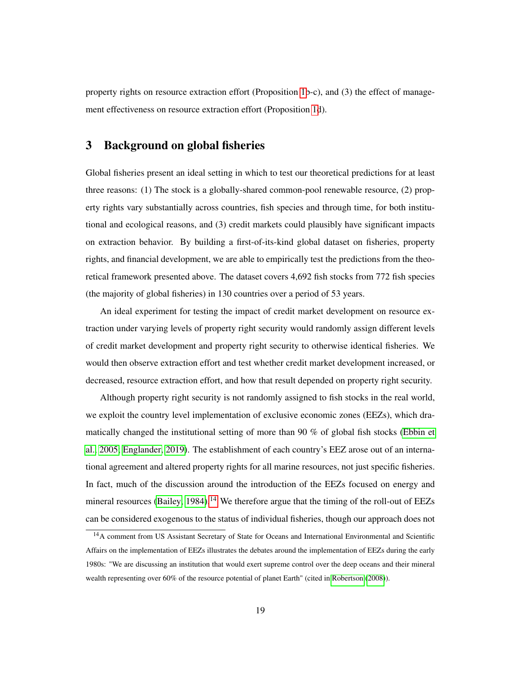property rights on resource extraction effort (Proposition [1b](#page-19-1)-c), and (3) the effect of management effectiveness on resource extraction effort (Proposition [1d](#page-19-1)).

# <span id="page-20-0"></span>3 Background on global fisheries

Global fisheries present an ideal setting in which to test our theoretical predictions for at least three reasons: (1) The stock is a globally-shared common-pool renewable resource, (2) property rights vary substantially across countries, fish species and through time, for both institutional and ecological reasons, and (3) credit markets could plausibly have significant impacts on extraction behavior. By building a first-of-its-kind global dataset on fisheries, property rights, and financial development, we are able to empirically test the predictions from the theoretical framework presented above. The dataset covers 4,692 fish stocks from 772 fish species (the majority of global fisheries) in 130 countries over a period of 53 years.

An ideal experiment for testing the impact of credit market development on resource extraction under varying levels of property right security would randomly assign different levels of credit market development and property right security to otherwise identical fisheries. We would then observe extraction effort and test whether credit market development increased, or decreased, resource extraction effort, and how that result depended on property right security.

Although property right security is not randomly assigned to fish stocks in the real world, we exploit the country level implementation of exclusive economic zones (EEZs), which dramatically changed the institutional setting of more than 90 % of global fish stocks [\(Ebbin et](#page-57-3) [al., 2005;](#page-57-3) [Englander, 2019\)](#page-57-4). The establishment of each country's EEZ arose out of an international agreement and altered property rights for all marine resources, not just specific fisheries. In fact, much of the discussion around the introduction of the EEZs focused on energy and mineral resources [\(Bailey, 1984\)](#page-54-7).<sup>[14](#page-20-1)</sup> We therefore argue that the timing of the roll-out of EEZs can be considered exogenous to the status of individual fisheries, though our approach does not

<span id="page-20-1"></span><sup>&</sup>lt;sup>14</sup>A comment from US Assistant Secretary of State for Oceans and International Environmental and Scientific Affairs on the implementation of EEZs illustrates the debates around the implementation of EEZs during the early 1980s: "We are discussing an institution that would exert supreme control over the deep oceans and their mineral wealth representing over 60% of the resource potential of planet Earth" (cited in [Robertson](#page-61-4) [\(2008\)](#page-61-4)).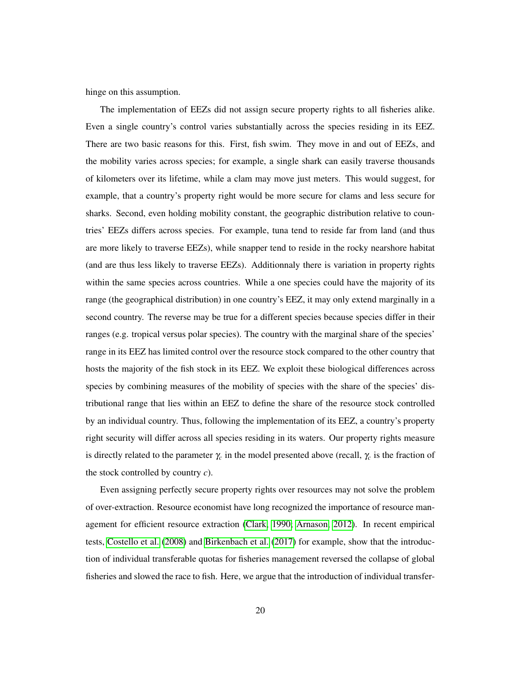hinge on this assumption.

The implementation of EEZs did not assign secure property rights to all fisheries alike. Even a single country's control varies substantially across the species residing in its EEZ. There are two basic reasons for this. First, fish swim. They move in and out of EEZs, and the mobility varies across species; for example, a single shark can easily traverse thousands of kilometers over its lifetime, while a clam may move just meters. This would suggest, for example, that a country's property right would be more secure for clams and less secure for sharks. Second, even holding mobility constant, the geographic distribution relative to countries' EEZs differs across species. For example, tuna tend to reside far from land (and thus are more likely to traverse EEZs), while snapper tend to reside in the rocky nearshore habitat (and are thus less likely to traverse EEZs). Additionnaly there is variation in property rights within the same species across countries. While a one species could have the majority of its range (the geographical distribution) in one country's EEZ, it may only extend marginally in a second country. The reverse may be true for a different species because species differ in their ranges (e.g. tropical versus polar species). The country with the marginal share of the species' range in its EEZ has limited control over the resource stock compared to the other country that hosts the majority of the fish stock in its EEZ. We exploit these biological differences across species by combining measures of the mobility of species with the share of the species' distributional range that lies within an EEZ to define the share of the resource stock controlled by an individual country. Thus, following the implementation of its EEZ, a country's property right security will differ across all species residing in its waters. Our property rights measure is directly related to the parameter  $\gamma_c$  in the model presented above (recall,  $\gamma_c$  is the fraction of the stock controlled by country *c*).

Even assigning perfectly secure property rights over resources may not solve the problem of over-extraction. Resource economist have long recognized the importance of resource management for efficient resource extraction [\(Clark, 1990;](#page-56-2) [Arnason, 2012\)](#page-54-8). In recent empirical tests, [Costello et al.](#page-57-0) [\(2008\)](#page-57-0) and [Birkenbach et al.](#page-55-7) [\(2017\)](#page-55-7) for example, show that the introduction of individual transferable quotas for fisheries management reversed the collapse of global fisheries and slowed the race to fish. Here, we argue that the introduction of individual transfer-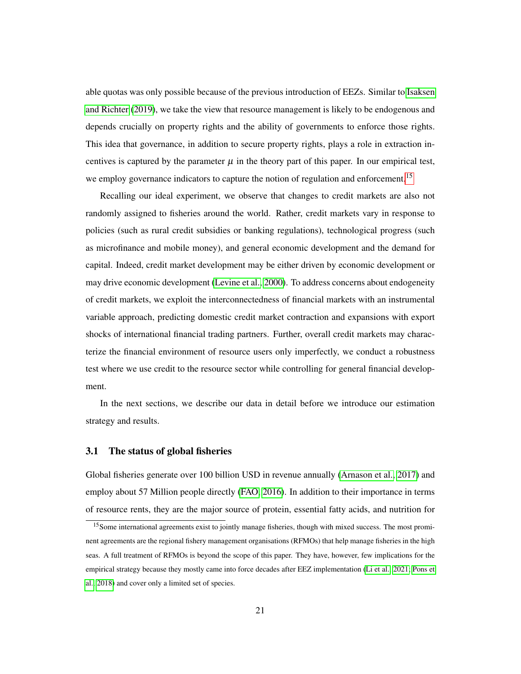able quotas was only possible because of the previous introduction of EEZs. Similar to [Isaksen](#page-59-5) [and Richter](#page-59-5) [\(2019\)](#page-59-5), we take the view that resource management is likely to be endogenous and depends crucially on property rights and the ability of governments to enforce those rights. This idea that governance, in addition to secure property rights, plays a role in extraction incentives is captured by the parameter  $\mu$  in the theory part of this paper. In our empirical test, we employ governance indicators to capture the notion of regulation and enforcement.<sup>[15](#page-22-0)</sup>

Recalling our ideal experiment, we observe that changes to credit markets are also not randomly assigned to fisheries around the world. Rather, credit markets vary in response to policies (such as rural credit subsidies or banking regulations), technological progress (such as microfinance and mobile money), and general economic development and the demand for capital. Indeed, credit market development may be either driven by economic development or may drive economic development [\(Levine et al., 2000\)](#page-60-1). To address concerns about endogeneity of credit markets, we exploit the interconnectedness of financial markets with an instrumental variable approach, predicting domestic credit market contraction and expansions with export shocks of international financial trading partners. Further, overall credit markets may characterize the financial environment of resource users only imperfectly, we conduct a robustness test where we use credit to the resource sector while controlling for general financial development.

In the next sections, we describe our data in detail before we introduce our estimation strategy and results.

#### 3.1 The status of global fisheries

Global fisheries generate over 100 billion USD in revenue annually [\(Arnason et al., 2017\)](#page-54-1) and employ about 57 Million people directly [\(FAO, 2016\)](#page-57-8). In addition to their importance in terms of resource rents, they are the major source of protein, essential fatty acids, and nutrition for

<span id="page-22-0"></span><sup>&</sup>lt;sup>15</sup>Some international agreements exist to jointly manage fisheries, though with mixed success. The most prominent agreements are the regional fishery management organisations (RFMOs) that help manage fisheries in the high seas. A full treatment of RFMOs is beyond the scope of this paper. They have, however, few implications for the empirical strategy because they mostly came into force decades after EEZ implementation [\(Li et al., 2021;](#page-60-5) [Pons et](#page-61-5) [al., 2018\)](#page-61-5) and cover only a limited set of species.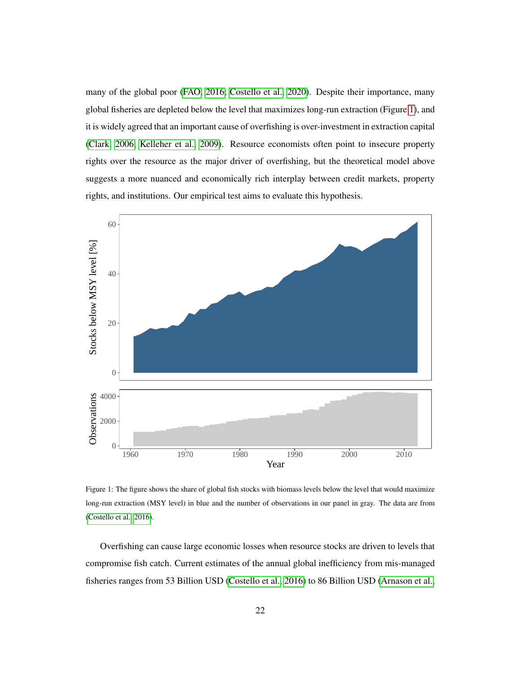many of the global poor [\(FAO, 2016;](#page-57-8) [Costello et al., 2020\)](#page-57-9). Despite their importance, many global fisheries are depleted below the level that maximizes long-run extraction (Figure [1\)](#page-23-0), and it is widely agreed that an important cause of overfishing is over-investment in extraction capital [\(Clark, 2006;](#page-56-5) [Kelleher et al., 2009\)](#page-59-7). Resource economists often point to insecure property rights over the resource as the major driver of overfishing, but the theoretical model above suggests a more nuanced and economically rich interplay between credit markets, property rights, and institutions. Our empirical test aims to evaluate this hypothesis.

<span id="page-23-0"></span>

Figure 1: The figure shows the share of global fish stocks with biomass levels below the level that would maximize long-run extraction (MSY level) in blue and the number of observations in our panel in gray. The data are from [\(Costello et al., 2016\)](#page-57-2).

Overfishing can cause large economic losses when resource stocks are driven to levels that compromise fish catch. Current estimates of the annual global inefficiency from mis-managed fisheries ranges from 53 Billion USD [\(Costello et al., 2016\)](#page-57-2) to 86 Billion USD [\(Arnason et al.,](#page-54-1)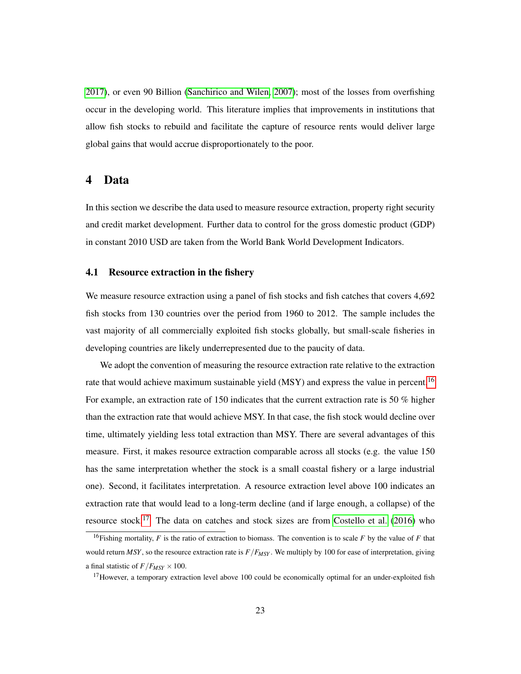[2017\)](#page-54-1), or even 90 Billion [\(Sanchirico and Wilen, 2007\)](#page-62-7); most of the losses from overfishing occur in the developing world. This literature implies that improvements in institutions that allow fish stocks to rebuild and facilitate the capture of resource rents would deliver large global gains that would accrue disproportionately to the poor.

## <span id="page-24-0"></span>4 Data

In this section we describe the data used to measure resource extraction, property right security and credit market development. Further data to control for the gross domestic product (GDP) in constant 2010 USD are taken from the World Bank World Development Indicators.

#### 4.1 Resource extraction in the fishery

We measure resource extraction using a panel of fish stocks and fish catches that covers 4,692 fish stocks from 130 countries over the period from 1960 to 2012. The sample includes the vast majority of all commercially exploited fish stocks globally, but small-scale fisheries in developing countries are likely underrepresented due to the paucity of data.

We adopt the convention of measuring the resource extraction rate relative to the extraction rate that would achieve maximum sustainable yield (MSY) and express the value in percent.<sup>[16](#page-24-1)</sup> For example, an extraction rate of 150 indicates that the current extraction rate is 50 % higher than the extraction rate that would achieve MSY. In that case, the fish stock would decline over time, ultimately yielding less total extraction than MSY. There are several advantages of this measure. First, it makes resource extraction comparable across all stocks (e.g. the value 150 has the same interpretation whether the stock is a small coastal fishery or a large industrial one). Second, it facilitates interpretation. A resource extraction level above 100 indicates an extraction rate that would lead to a long-term decline (and if large enough, a collapse) of the resource stock.<sup>[17](#page-24-2)</sup> The data on catches and stock sizes are from [Costello et al.](#page-57-2) [\(2016\)](#page-57-2) who

<span id="page-24-1"></span><sup>&</sup>lt;sup>16</sup>Fishing mortality, *F* is the ratio of extraction to biomass. The convention is to scale *F* by the value of *F* that would return *MSY*, so the resource extraction rate is *F*/*FMSY* . We multiply by 100 for ease of interpretation, giving a final statistic of  $F/F_{MSY} \times 100$ .

<span id="page-24-2"></span> $17$ However, a temporary extraction level above 100 could be economically optimal for an under-exploited fish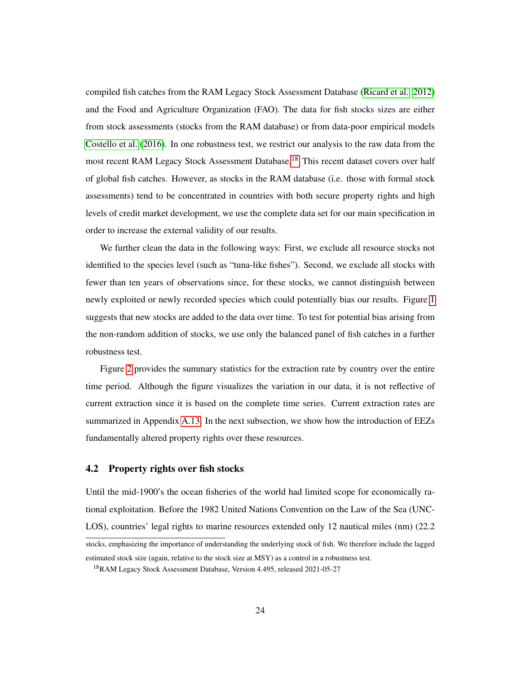compiled fish catches from the RAM Legacy Stock Assessment Database [\(Ricard et al., 2012\)](#page-61-6) and the Food and Agriculture Organization (FAO). The data for fish stocks sizes are either from stock assessments (stocks from the RAM database) or from data-poor empirical models [Costello et al.](#page-57-2) [\(2016\)](#page-57-2). In one robustness test, we restrict our analysis to the raw data from the most recent RAM Legacy Stock Assessment Database.<sup>[18](#page-25-0)</sup> This recent dataset covers over half of global fish catches. However, as stocks in the RAM database (i.e. those with formal stock assessments) tend to be concentrated in countries with both secure property rights and high levels of credit market development, we use the complete data set for our main specification in order to increase the external validity of our results.

We further clean the data in the following ways: First, we exclude all resource stocks not identified to the species level (such as "tuna-like fishes"). Second, we exclude all stocks with fewer than ten years of observations since, for these stocks, we cannot distinguish between newly exploited or newly recorded species which could potentially bias our results. Figure [1](#page-23-0) suggests that new stocks are added to the data over time. To test for potential bias arising from the non-random addition of stocks, we use only the balanced panel of fish catches in a further robustness test.

Figure [2](#page-26-0) provides the summary statistics for the extraction rate by country over the entire time period. Although the figure visualizes the variation in our data, it is not reflective of current extraction since it is based on the complete time series. Current extraction rates are summarized in Appendix [A.13.](#page-80-0) In the next subsection, we show how the introduction of EEZs fundamentally altered property rights over these resources.

## 4.2 Property rights over fish stocks

Until the mid-1900's the ocean fisheries of the world had limited scope for economically rational exploitation. Before the 1982 United Nations Convention on the Law of the Sea (UNC-LOS), countries' legal rights to marine resources extended only 12 nautical miles (nm) (22.2)

stocks, emphasizing the importance of understanding the underlying stock of fish. We therefore include the lagged estimated stock size (again, relative to the stock size at MSY) as a control in a robustness test.

<span id="page-25-0"></span><sup>18</sup>RAM Legacy Stock Assessment Database, Version 4.495, released 2021-05-27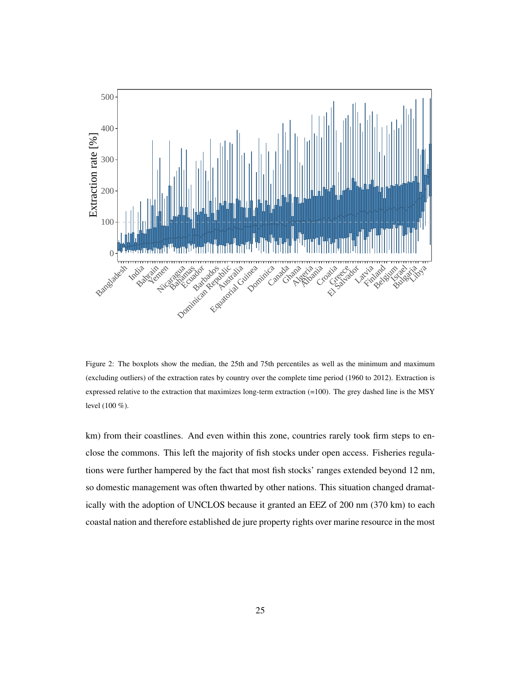<span id="page-26-0"></span>

Figure 2: The boxplots show the median, the 25th and 75th percentiles as well as the minimum and maximum (excluding outliers) of the extraction rates by country over the complete time period (1960 to 2012). Extraction is expressed relative to the extraction that maximizes long-term extraction (=100). The grey dashed line is the MSY level (100 %).

km) from their coastlines. And even within this zone, countries rarely took firm steps to enclose the commons. This left the majority of fish stocks under open access. Fisheries regulations were further hampered by the fact that most fish stocks' ranges extended beyond 12 nm, so domestic management was often thwarted by other nations. This situation changed dramatically with the adoption of UNCLOS because it granted an EEZ of 200 nm (370 km) to each coastal nation and therefore established de jure property rights over marine resource in the most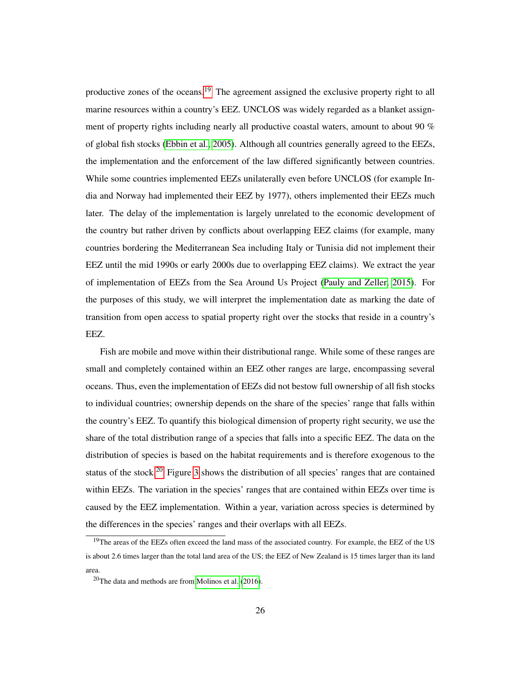productive zones of the oceans.<sup>[19](#page-27-0)</sup> The agreement assigned the exclusive property right to all marine resources within a country's EEZ. UNCLOS was widely regarded as a blanket assignment of property rights including nearly all productive coastal waters, amount to about 90 % of global fish stocks [\(Ebbin et al., 2005\)](#page-57-3). Although all countries generally agreed to the EEZs, the implementation and the enforcement of the law differed significantly between countries. While some countries implemented EEZs unilaterally even before UNCLOS (for example India and Norway had implemented their EEZ by 1977), others implemented their EEZs much later. The delay of the implementation is largely unrelated to the economic development of the country but rather driven by conflicts about overlapping EEZ claims (for example, many countries bordering the Mediterranean Sea including Italy or Tunisia did not implement their EEZ until the mid 1990s or early 2000s due to overlapping EEZ claims). We extract the year of implementation of EEZs from the Sea Around Us Project [\(Pauly and Zeller, 2015\)](#page-61-7). For the purposes of this study, we will interpret the implementation date as marking the date of transition from open access to spatial property right over the stocks that reside in a country's EEZ.

Fish are mobile and move within their distributional range. While some of these ranges are small and completely contained within an EEZ other ranges are large, encompassing several oceans. Thus, even the implementation of EEZs did not bestow full ownership of all fish stocks to individual countries; ownership depends on the share of the species' range that falls within the country's EEZ. To quantify this biological dimension of property right security, we use the share of the total distribution range of a species that falls into a specific EEZ. The data on the distribution of species is based on the habitat requirements and is therefore exogenous to the status of the stock.<sup>[20](#page-27-1)</sup> Figure [3](#page-28-0) shows the distribution of all species' ranges that are contained within EEZs. The variation in the species' ranges that are contained within EEZs over time is caused by the EEZ implementation. Within a year, variation across species is determined by the differences in the species' ranges and their overlaps with all EEZs.

<span id="page-27-0"></span><sup>&</sup>lt;sup>19</sup>The areas of the EEZs often exceed the land mass of the associated country. For example, the EEZ of the US is about 2.6 times larger than the total land area of the US; the EEZ of New Zealand is 15 times larger than its land area.

<span id="page-27-1"></span><sup>20</sup>The data and methods are from [Molinos et al.](#page-60-6) [\(2016\)](#page-60-6).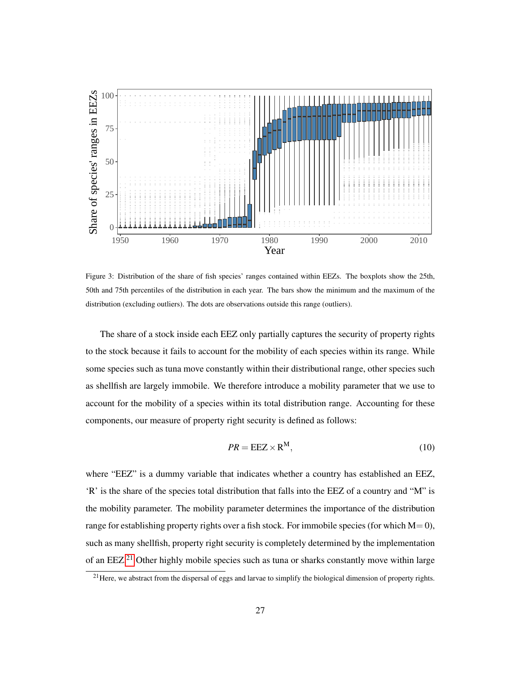<span id="page-28-0"></span>

Figure 3: Distribution of the share of fish species' ranges contained within EEZs. The boxplots show the 25th, 50th and 75th percentiles of the distribution in each year. The bars show the minimum and the maximum of the distribution (excluding outliers). The dots are observations outside this range (outliers).

The share of a stock inside each EEZ only partially captures the security of property rights to the stock because it fails to account for the mobility of each species within its range. While some species such as tuna move constantly within their distributional range, other species such as shellfish are largely immobile. We therefore introduce a mobility parameter that we use to account for the mobility of a species within its total distribution range. Accounting for these components, our measure of property right security is defined as follows:

<span id="page-28-2"></span>
$$
PR = EEZ \times R^M,\tag{10}
$$

where "EEZ" is a dummy variable that indicates whether a country has established an EEZ, 'R' is the share of the species total distribution that falls into the EEZ of a country and "M" is the mobility parameter. The mobility parameter determines the importance of the distribution range for establishing property rights over a fish stock. For immobile species (for which  $M=0$ ), such as many shellfish, property right security is completely determined by the implementation of an EEZ.[21](#page-28-1) Other highly mobile species such as tuna or sharks constantly move within large

<span id="page-28-1"></span><sup>&</sup>lt;sup>21</sup>Here, we abstract from the dispersal of eggs and larvae to simplify the biological dimension of property rights.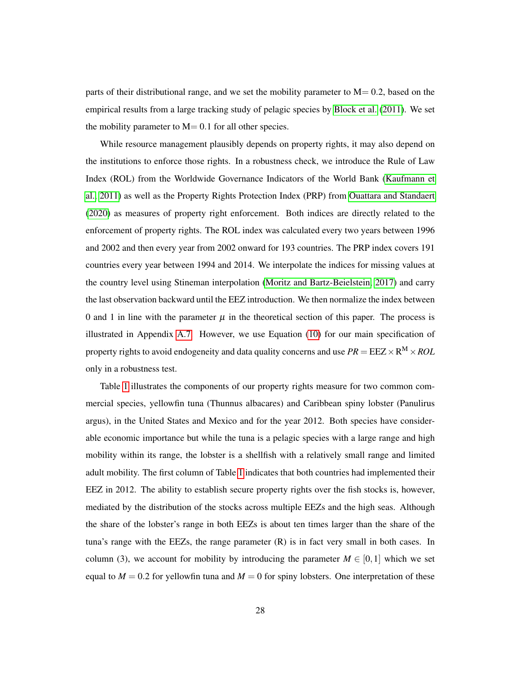parts of their distributional range, and we set the mobility parameter to  $M= 0.2$ , based on the empirical results from a large tracking study of pelagic species by [Block et al.](#page-56-6) [\(2011\)](#page-56-6). We set the mobility parameter to  $M = 0.1$  for all other species.

While resource management plausibly depends on property rights, it may also depend on the institutions to enforce those rights. In a robustness check, we introduce the Rule of Law Index (ROL) from the Worldwide Governance Indicators of the World Bank [\(Kaufmann et](#page-59-8) [al., 2011\)](#page-59-8) as well as the Property Rights Protection Index (PRP) from [Ouattara and Standaert](#page-60-7) [\(2020\)](#page-60-7) as measures of property right enforcement. Both indices are directly related to the enforcement of property rights. The ROL index was calculated every two years between 1996 and 2002 and then every year from 2002 onward for 193 countries. The PRP index covers 191 countries every year between 1994 and 2014. We interpolate the indices for missing values at the country level using Stineman interpolation [\(Moritz and Bartz-Beielstein, 2017\)](#page-60-8) and carry the last observation backward until the EEZ introduction. We then normalize the index between 0 and 1 in line with the parameter  $\mu$  in the theoretical section of this paper. The process is illustrated in Appendix [A.7.](#page-68-0) However, we use Equation [\(10\)](#page-28-2) for our main specification of property rights to avoid endogeneity and data quality concerns and use  $PR = \text{EEZ} \times \text{R}^\text{M} \times \text{ROL}$ only in a robustness test.

Table [1](#page-30-0) illustrates the components of our property rights measure for two common commercial species, yellowfin tuna (Thunnus albacares) and Caribbean spiny lobster (Panulirus argus), in the United States and Mexico and for the year 2012. Both species have considerable economic importance but while the tuna is a pelagic species with a large range and high mobility within its range, the lobster is a shellfish with a relatively small range and limited adult mobility. The first column of Table [1](#page-30-0) indicates that both countries had implemented their EEZ in 2012. The ability to establish secure property rights over the fish stocks is, however, mediated by the distribution of the stocks across multiple EEZs and the high seas. Although the share of the lobster's range in both EEZs is about ten times larger than the share of the tuna's range with the EEZs, the range parameter (R) is in fact very small in both cases. In column (3), we account for mobility by introducing the parameter  $M \in [0,1]$  which we set equal to  $M = 0.2$  for yellowfin tuna and  $M = 0$  for spiny lobsters. One interpretation of these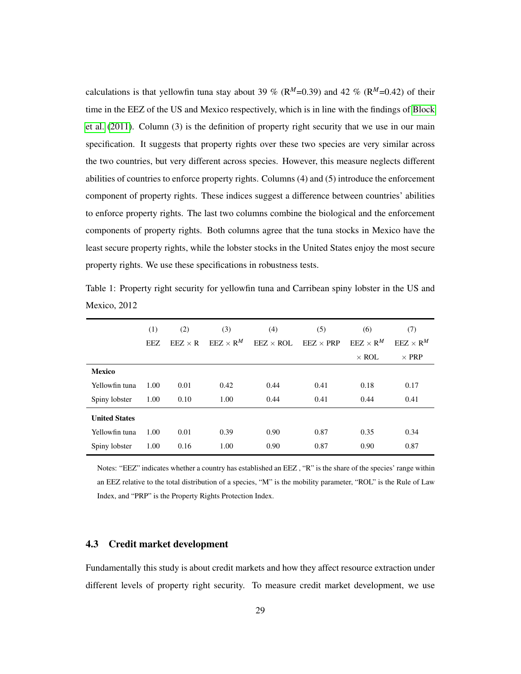calculations is that yellowfin tuna stay about 39 % ( $R^M$ =0.39) and 42 % ( $R^M$ =0.42) of their time in the EEZ of the US and Mexico respectively, which is in line with the findings of [Block](#page-56-6) [et al.](#page-56-6) [\(2011\)](#page-56-6). Column (3) is the definition of property right security that we use in our main specification. It suggests that property rights over these two species are very similar across the two countries, but very different across species. However, this measure neglects different abilities of countries to enforce property rights. Columns (4) and (5) introduce the enforcement component of property rights. These indices suggest a difference between countries' abilities to enforce property rights. The last two columns combine the biological and the enforcement components of property rights. Both columns agree that the tuna stocks in Mexico have the least secure property rights, while the lobster stocks in the United States enjoy the most secure property rights. We use these specifications in robustness tests.

<span id="page-30-0"></span>Table 1: Property right security for yellowfin tuna and Carribean spiny lobster in the US and Mexico, 2012

|                      | (1)  | (2)            | (3)                            | (4)              | (5)                                | (6)                            | (7)              |
|----------------------|------|----------------|--------------------------------|------------------|------------------------------------|--------------------------------|------------------|
|                      | EEZ. | $EEZ \times R$ | $E$ EZ $\times$ R <sup>M</sup> | $EEZ \times ROL$ | $E$ <i>EEZ</i> $\times$ <i>PRP</i> | $\text{EEZ} \times \text{R}^M$ | $EEZ \times R^M$ |
|                      |      |                |                                |                  |                                    | $\times$ ROL                   | $\times$ PRP     |
| <b>Mexico</b>        |      |                |                                |                  |                                    |                                |                  |
| Yellowfin tuna       | 1.00 | 0.01           | 0.42                           | 0.44             | 0.41                               | 0.18                           | 0.17             |
| Spiny lobster        | 1.00 | 0.10           | 1.00                           | 0.44             | 0.41                               | 0.44                           | 0.41             |
| <b>United States</b> |      |                |                                |                  |                                    |                                |                  |
| Yellowfin tuna       | 1.00 | 0.01           | 0.39                           | 0.90             | 0.87                               | 0.35                           | 0.34             |
| Spiny lobster        | 1.00 | 0.16           | 1.00                           | 0.90             | 0.87                               | 0.90                           | 0.87             |

Notes: "EEZ" indicates whether a country has established an EEZ , "R" is the share of the species' range within an EEZ relative to the total distribution of a species, "M" is the mobility parameter, "ROL" is the Rule of Law Index, and "PRP" is the Property Rights Protection Index.

## 4.3 Credit market development

Fundamentally this study is about credit markets and how they affect resource extraction under different levels of property right security. To measure credit market development, we use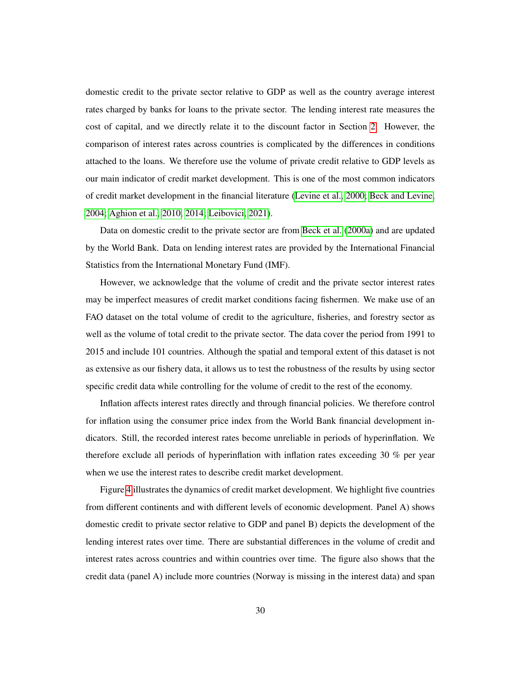domestic credit to the private sector relative to GDP as well as the country average interest rates charged by banks for loans to the private sector. The lending interest rate measures the cost of capital, and we directly relate it to the discount factor in Section [2.](#page-12-0) However, the comparison of interest rates across countries is complicated by the differences in conditions attached to the loans. We therefore use the volume of private credit relative to GDP levels as our main indicator of credit market development. This is one of the most common indicators of credit market development in the financial literature [\(Levine et al., 2000;](#page-60-1) [Beck and Levine,](#page-55-5) [2004;](#page-55-5) [Aghion et al., 2010,](#page-53-0) [2014;](#page-53-1) [Leibovici, 2021\)](#page-59-0).

Data on domestic credit to the private sector are from [Beck et al.](#page-55-8) [\(2000a\)](#page-55-8) and are updated by the World Bank. Data on lending interest rates are provided by the International Financial Statistics from the International Monetary Fund (IMF).

However, we acknowledge that the volume of credit and the private sector interest rates may be imperfect measures of credit market conditions facing fishermen. We make use of an FAO dataset on the total volume of credit to the agriculture, fisheries, and forestry sector as well as the volume of total credit to the private sector. The data cover the period from 1991 to 2015 and include 101 countries. Although the spatial and temporal extent of this dataset is not as extensive as our fishery data, it allows us to test the robustness of the results by using sector specific credit data while controlling for the volume of credit to the rest of the economy.

Inflation affects interest rates directly and through financial policies. We therefore control for inflation using the consumer price index from the World Bank financial development indicators. Still, the recorded interest rates become unreliable in periods of hyperinflation. We therefore exclude all periods of hyperinflation with inflation rates exceeding 30 % per year when we use the interest rates to describe credit market development.

Figure [4](#page-32-0) illustrates the dynamics of credit market development. We highlight five countries from different continents and with different levels of economic development. Panel A) shows domestic credit to private sector relative to GDP and panel B) depicts the development of the lending interest rates over time. There are substantial differences in the volume of credit and interest rates across countries and within countries over time. The figure also shows that the credit data (panel A) include more countries (Norway is missing in the interest data) and span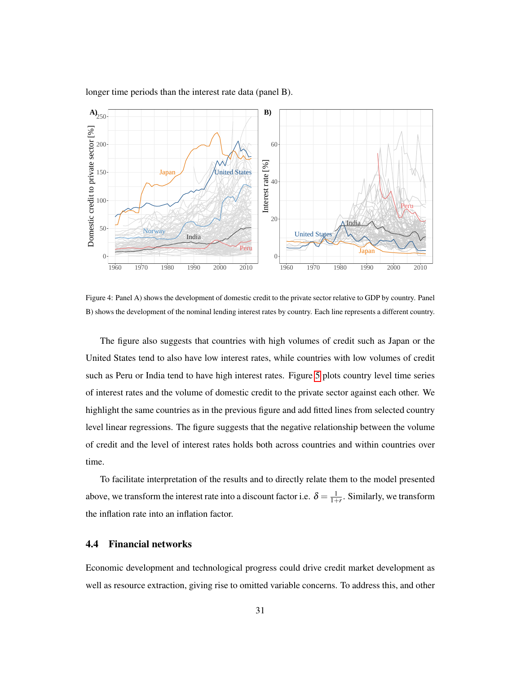<span id="page-32-0"></span>

longer time periods than the interest rate data (panel B).

Figure 4: Panel A) shows the development of domestic credit to the private sector relative to GDP by country. Panel B) shows the development of the nominal lending interest rates by country. Each line represents a different country.

The figure also suggests that countries with high volumes of credit such as Japan or the United States tend to also have low interest rates, while countries with low volumes of credit such as Peru or India tend to have high interest rates. Figure [5](#page-33-0) plots country level time series of interest rates and the volume of domestic credit to the private sector against each other. We highlight the same countries as in the previous figure and add fitted lines from selected country level linear regressions. The figure suggests that the negative relationship between the volume of credit and the level of interest rates holds both across countries and within countries over time.

To facilitate interpretation of the results and to directly relate them to the model presented above, we transform the interest rate into a discount factor i.e.  $\delta = \frac{1}{1+r}$ . Similarly, we transform the inflation rate into an inflation factor.

## 4.4 Financial networks

Economic development and technological progress could drive credit market development as well as resource extraction, giving rise to omitted variable concerns. To address this, and other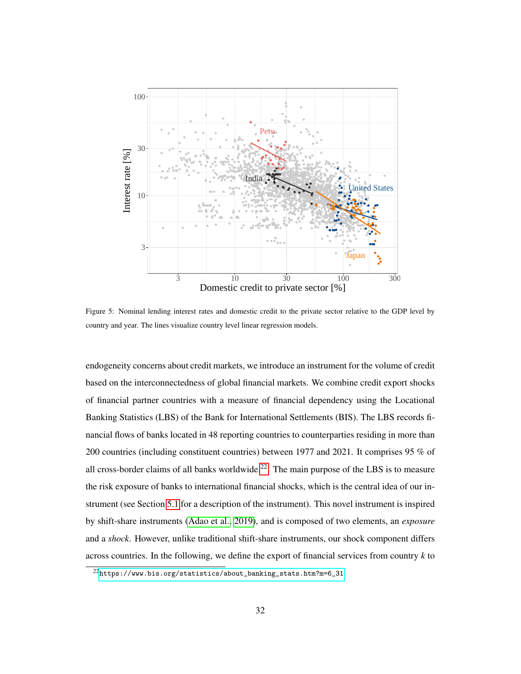<span id="page-33-0"></span>

Figure 5: Nominal lending interest rates and domestic credit to the private sector relative to the GDP level by country and year. The lines visualize country level linear regression models.

endogeneity concerns about credit markets, we introduce an instrument for the volume of credit based on the interconnectedness of global financial markets. We combine credit export shocks of financial partner countries with a measure of financial dependency using the Locational Banking Statistics (LBS) of the Bank for International Settlements (BIS). The LBS records financial flows of banks located in 48 reporting countries to counterparties residing in more than 200 countries (including constituent countries) between 1977 and 2021. It comprises 95 % of all cross-border claims of all banks worldwide.<sup>[22](#page-33-1)</sup>. The main purpose of the LBS is to measure the risk exposure of banks to international financial shocks, which is the central idea of our instrument (see Section [5.1](#page-38-0) for a description of the instrument). This novel instrument is inspired by shift-share instruments [\(Adao et al., 2019\)](#page-53-4), and is composed of two elements, an *exposure* and a *shock*. However, unlike traditional shift-share instruments, our shock component differs across countries. In the following, we define the export of financial services from country *k* to

<span id="page-33-1"></span> $^{22}$ [https://www.bis.org/statistics/about\\_banking\\_stats.htm?m=6\\_31](https://www.bis.org/statistics/about_banking_stats.htm?m=6_31)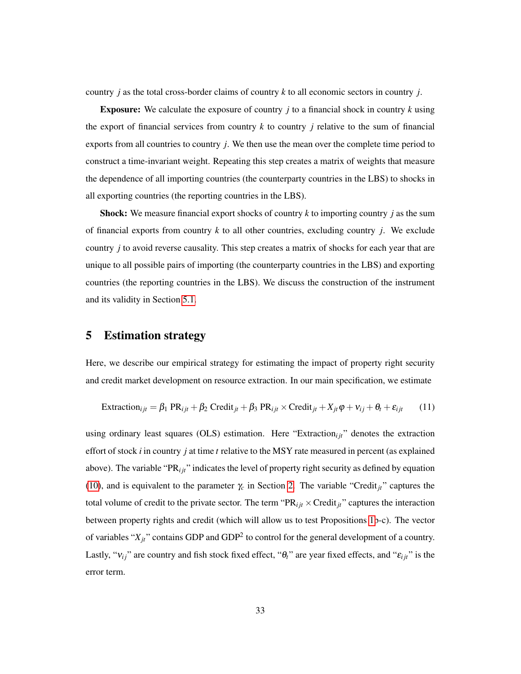country *j* as the total cross-border claims of country *k* to all economic sectors in country *j*.

Exposure: We calculate the exposure of country *j* to a financial shock in country *k* using the export of financial services from country  $k$  to country  $j$  relative to the sum of financial exports from all countries to country *j*. We then use the mean over the complete time period to construct a time-invariant weight. Repeating this step creates a matrix of weights that measure the dependence of all importing countries (the counterparty countries in the LBS) to shocks in all exporting countries (the reporting countries in the LBS).

Shock: We measure financial export shocks of country *k* to importing country *j* as the sum of financial exports from country *k* to all other countries, excluding country *j*. We exclude country *j* to avoid reverse causality. This step creates a matrix of shocks for each year that are unique to all possible pairs of importing (the counterparty countries in the LBS) and exporting countries (the reporting countries in the LBS). We discuss the construction of the instrument and its validity in Section [5.1.](#page-38-0)

## <span id="page-34-0"></span>5 Estimation strategy

Here, we describe our empirical strategy for estimating the impact of property right security and credit market development on resource extraction. In our main specification, we estimate

$$
Extraction_{ijt} = \beta_1 PR_{ijt} + \beta_2 Credit_{jt} + \beta_3 PR_{ijt} \times Credit_{jt} + X_{jt}\varphi + v_{ij} + \theta_t + \varepsilon_{ijt}
$$
 (11)

using ordinary least squares (OLS) estimation. Here "Extraction<sub>i it</sub>" denotes the extraction effort of stock *i* in country *j* at time *t* relative to the MSY rate measured in percent (as explained above). The variable "PR<sub>iit</sub>" indicates the level of property right security as defined by equation [\(10\)](#page-28-2), and is equivalent to the parameter  $\gamma_c$  in Section [2.](#page-12-0) The variable "Credit<sub>jt</sub>" captures the total volume of credit to the private sector. The term " $PR_{ijt} \times Credit_{jt}$ " captures the interaction between property rights and credit (which will allow us to test Propositions [1b](#page-19-1)-c). The vector of variables " $X_{jt}$ " contains GDP and GDP<sup>2</sup> to control for the general development of a country. Lastly, " $v_{ij}$ " are country and fish stock fixed effect, " $\theta_t$ " are year fixed effects, and " $\varepsilon_{ijt}$ " is the error term.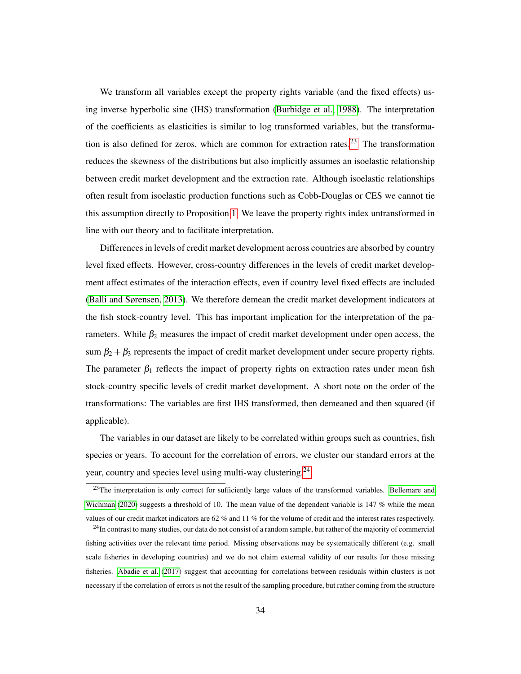We transform all variables except the property rights variable (and the fixed effects) using inverse hyperbolic sine (IHS) transformation [\(Burbidge et al., 1988\)](#page-56-7). The interpretation of the coefficients as elasticities is similar to log transformed variables, but the transforma-tion is also defined for zeros, which are common for extraction rates.<sup>[23](#page-35-0)</sup> The transformation reduces the skewness of the distributions but also implicitly assumes an isoelastic relationship between credit market development and the extraction rate. Although isoelastic relationships often result from isoelastic production functions such as Cobb-Douglas or CES we cannot tie this assumption directly to Proposition [1.](#page-19-1) We leave the property rights index untransformed in line with our theory and to facilitate interpretation.

Differences in levels of credit market development across countries are absorbed by country level fixed effects. However, cross-country differences in the levels of credit market development affect estimates of the interaction effects, even if country level fixed effects are included [\(Balli and Sørensen, 2013\)](#page-54-9). We therefore demean the credit market development indicators at the fish stock-country level. This has important implication for the interpretation of the parameters. While  $\beta_2$  measures the impact of credit market development under open access, the sum  $\beta_2 + \beta_3$  represents the impact of credit market development under secure property rights. The parameter  $\beta_1$  reflects the impact of property rights on extraction rates under mean fish stock-country specific levels of credit market development. A short note on the order of the transformations: The variables are first IHS transformed, then demeaned and then squared (if applicable).

The variables in our dataset are likely to be correlated within groups such as countries, fish species or years. To account for the correlation of errors, we cluster our standard errors at the year, country and species level using multi-way clustering.[24](#page-35-1)

<span id="page-35-0"></span><sup>&</sup>lt;sup>23</sup>The interpretation is only correct for sufficiently large values of the transformed variables. [Bellemare and](#page-55-9) [Wichman](#page-55-9) [\(2020\)](#page-55-9) suggests a threshold of 10. The mean value of the dependent variable is 147 % while the mean values of our credit market indicators are 62 % and 11 % for the volume of credit and the interest rates respectively.

<span id="page-35-1"></span><sup>&</sup>lt;sup>24</sup>In contrast to many studies, our data do not consist of a random sample, but rather of the majority of commercial fishing activities over the relevant time period. Missing observations may be systematically different (e.g. small scale fisheries in developing countries) and we do not claim external validity of our results for those missing fisheries. [Abadie et al.](#page-53-5) [\(2017\)](#page-53-5) suggest that accounting for correlations between residuals within clusters is not necessary if the correlation of errors is not the result of the sampling procedure, but rather coming from the structure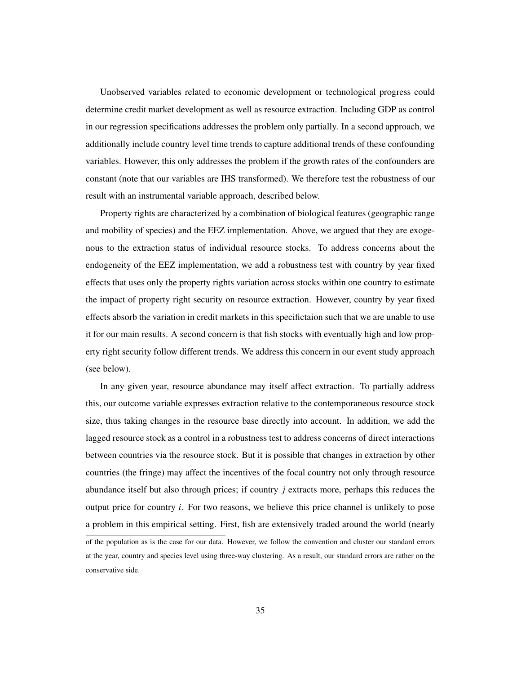Unobserved variables related to economic development or technological progress could determine credit market development as well as resource extraction. Including GDP as control in our regression specifications addresses the problem only partially. In a second approach, we additionally include country level time trends to capture additional trends of these confounding variables. However, this only addresses the problem if the growth rates of the confounders are constant (note that our variables are IHS transformed). We therefore test the robustness of our result with an instrumental variable approach, described below.

Property rights are characterized by a combination of biological features (geographic range and mobility of species) and the EEZ implementation. Above, we argued that they are exogenous to the extraction status of individual resource stocks. To address concerns about the endogeneity of the EEZ implementation, we add a robustness test with country by year fixed effects that uses only the property rights variation across stocks within one country to estimate the impact of property right security on resource extraction. However, country by year fixed effects absorb the variation in credit markets in this specifictaion such that we are unable to use it for our main results. A second concern is that fish stocks with eventually high and low property right security follow different trends. We address this concern in our event study approach (see below).

In any given year, resource abundance may itself affect extraction. To partially address this, our outcome variable expresses extraction relative to the contemporaneous resource stock size, thus taking changes in the resource base directly into account. In addition, we add the lagged resource stock as a control in a robustness test to address concerns of direct interactions between countries via the resource stock. But it is possible that changes in extraction by other countries (the fringe) may affect the incentives of the focal country not only through resource abundance itself but also through prices; if country *j* extracts more, perhaps this reduces the output price for country *i*. For two reasons, we believe this price channel is unlikely to pose a problem in this empirical setting. First, fish are extensively traded around the world (nearly

of the population as is the case for our data. However, we follow the convention and cluster our standard errors at the year, country and species level using three-way clustering. As a result, our standard errors are rather on the conservative side.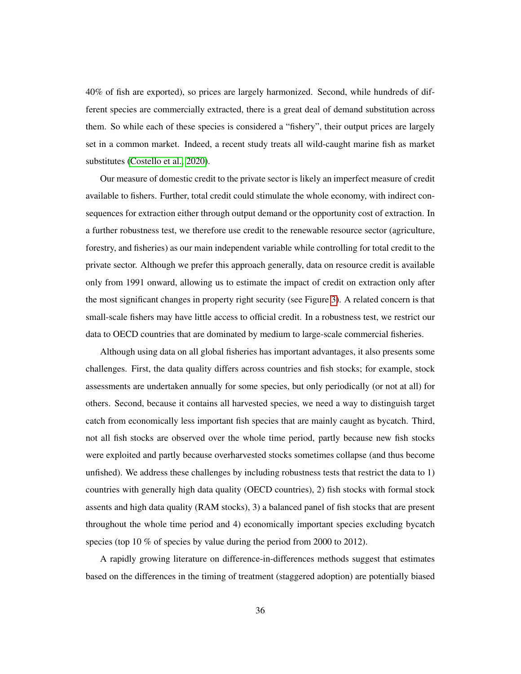40% of fish are exported), so prices are largely harmonized. Second, while hundreds of different species are commercially extracted, there is a great deal of demand substitution across them. So while each of these species is considered a "fishery", their output prices are largely set in a common market. Indeed, a recent study treats all wild-caught marine fish as market substitutes [\(Costello et al., 2020\)](#page-57-0).

Our measure of domestic credit to the private sector is likely an imperfect measure of credit available to fishers. Further, total credit could stimulate the whole economy, with indirect consequences for extraction either through output demand or the opportunity cost of extraction. In a further robustness test, we therefore use credit to the renewable resource sector (agriculture, forestry, and fisheries) as our main independent variable while controlling for total credit to the private sector. Although we prefer this approach generally, data on resource credit is available only from 1991 onward, allowing us to estimate the impact of credit on extraction only after the most significant changes in property right security (see Figure [3\)](#page-28-0). A related concern is that small-scale fishers may have little access to official credit. In a robustness test, we restrict our data to OECD countries that are dominated by medium to large-scale commercial fisheries.

Although using data on all global fisheries has important advantages, it also presents some challenges. First, the data quality differs across countries and fish stocks; for example, stock assessments are undertaken annually for some species, but only periodically (or not at all) for others. Second, because it contains all harvested species, we need a way to distinguish target catch from economically less important fish species that are mainly caught as bycatch. Third, not all fish stocks are observed over the whole time period, partly because new fish stocks were exploited and partly because overharvested stocks sometimes collapse (and thus become unfished). We address these challenges by including robustness tests that restrict the data to 1) countries with generally high data quality (OECD countries), 2) fish stocks with formal stock assents and high data quality (RAM stocks), 3) a balanced panel of fish stocks that are present throughout the whole time period and 4) economically important species excluding bycatch species (top 10 % of species by value during the period from 2000 to 2012).

A rapidly growing literature on difference-in-differences methods suggest that estimates based on the differences in the timing of treatment (staggered adoption) are potentially biased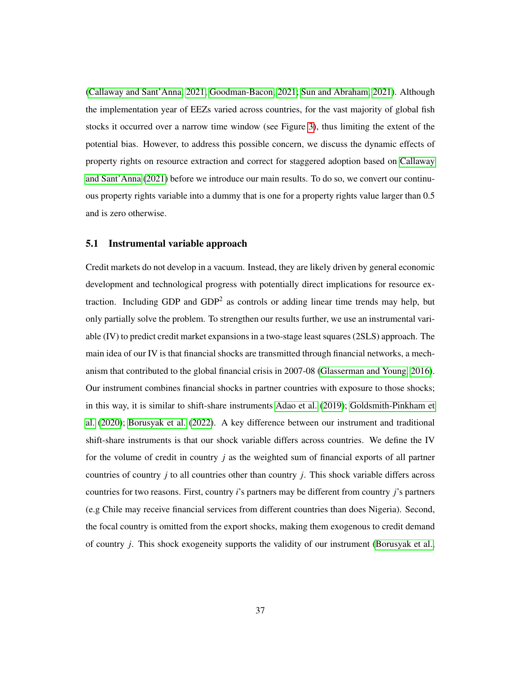[\(Callaway and Sant'Anna, 2021;](#page-56-0) [Goodman-Bacon, 2021;](#page-58-0) [Sun and Abraham, 2021\)](#page-62-0). Although the implementation year of EEZs varied across countries, for the vast majority of global fish stocks it occurred over a narrow time window (see Figure [3\)](#page-28-0), thus limiting the extent of the potential bias. However, to address this possible concern, we discuss the dynamic effects of property rights on resource extraction and correct for staggered adoption based on [Callaway](#page-56-0) [and Sant'Anna](#page-56-0) [\(2021\)](#page-56-0) before we introduce our main results. To do so, we convert our continuous property rights variable into a dummy that is one for a property rights value larger than 0.5 and is zero otherwise.

#### 5.1 Instrumental variable approach

Credit markets do not develop in a vacuum. Instead, they are likely driven by general economic development and technological progress with potentially direct implications for resource extraction. Including GDP and  $GDP<sup>2</sup>$  as controls or adding linear time trends may help, but only partially solve the problem. To strengthen our results further, we use an instrumental variable (IV) to predict credit market expansions in a two-stage least squares (2SLS) approach. The main idea of our IV is that financial shocks are transmitted through financial networks, a mechanism that contributed to the global financial crisis in 2007-08 [\(Glasserman and Young, 2016\)](#page-58-1). Our instrument combines financial shocks in partner countries with exposure to those shocks; in this way, it is similar to shift-share instruments [Adao et al.](#page-53-0) [\(2019\)](#page-53-0); [Goldsmith-Pinkham et](#page-58-2) [al.](#page-58-2) [\(2020\)](#page-58-2); [Borusyak et al.](#page-56-1) [\(2022\)](#page-56-1). A key difference between our instrument and traditional shift-share instruments is that our shock variable differs across countries. We define the IV for the volume of credit in country *j* as the weighted sum of financial exports of all partner countries of country *j* to all countries other than country *j*. This shock variable differs across countries for two reasons. First, country *i*'s partners may be different from country *j*'s partners (e.g Chile may receive financial services from different countries than does Nigeria). Second, the focal country is omitted from the export shocks, making them exogenous to credit demand of country *j*. This shock exogeneity supports the validity of our instrument [\(Borusyak et al.,](#page-56-1)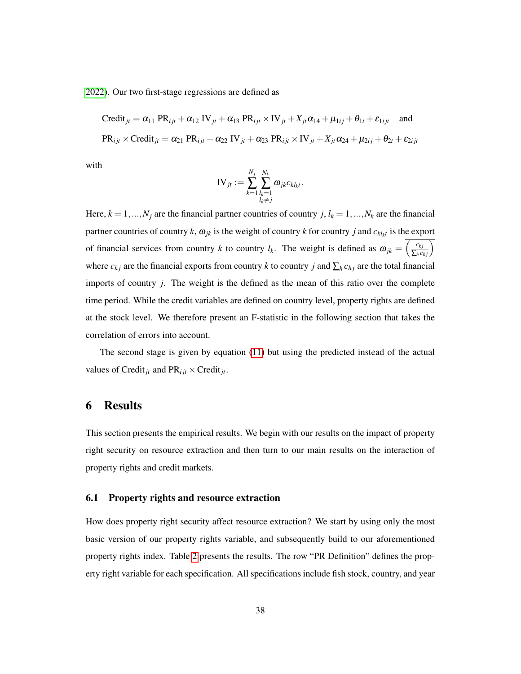[2022\)](#page-56-1). Our two first-stage regressions are defined as

Credit<sub>jt</sub> = 
$$
\alpha_{11}
$$
 PR<sub>ijt</sub> +  $\alpha_{12}$  IV<sub>jt</sub> +  $\alpha_{13}$  PR<sub>ijt</sub> × IV<sub>jt</sub> +  $X_{jt}\alpha_{14}$  +  $\mu_{1ij}$  +  $\theta_{1t}$  +  $\varepsilon_{1ijt}$  and  
PR<sub>ijt</sub> × Credit<sub>jt</sub> =  $\alpha_{21}$  PR<sub>ijt</sub> +  $\alpha_{22}$  IV<sub>jt</sub> +  $\alpha_{23}$  PR<sub>ijt</sub> × IV<sub>jt</sub> +  $X_{jt}\alpha_{24}$  +  $\mu_{2ij}$  +  $\theta_{2t}$  +  $\varepsilon_{2ijt}$ 

with

$$
\text{IV}_{jt} := \sum_{k=1}^{N_j} \sum_{\substack{l_k=1\\ l_k \neq j}}^{N_k} \omega_{jk} c_{kl_kt}.
$$

Here,  $k = 1, ..., N_j$  are the financial partner countries of country *j*,  $l_k = 1, ..., N_k$  are the financial partner countries of country *k*,  $\omega_{jk}$  is the weight of country *k* for country *j* and  $c_{kl_kt}$  is the export of financial services from country *k* to country *l<sub>k</sub>*. The weight is defined as  $\omega_{jk} = \left(\frac{c_{kj}}{\sum_h c_{hj}}\right)$ where  $c_{kj}$  are the financial exports from country *k* to country *j* and  $\sum_h c_{hj}$  are the total financial imports of country *j*. The weight is the defined as the mean of this ratio over the complete time period. While the credit variables are defined on country level, property rights are defined at the stock level. We therefore present an F-statistic in the following section that takes the correlation of errors into account.

The second stage is given by equation [\(11\)](#page-34-0) but using the predicted instead of the actual values of Credit<sub>*jt*</sub> and  $PR_{ijt} \times C$ redit<sub>*jt*</sub>.

## 6 Results

This section presents the empirical results. We begin with our results on the impact of property right security on resource extraction and then turn to our main results on the interaction of property rights and credit markets.

#### 6.1 Property rights and resource extraction

How does property right security affect resource extraction? We start by using only the most basic version of our property rights variable, and subsequently build to our aforementioned property rights index. Table [2](#page-41-0) presents the results. The row "PR Definition" defines the property right variable for each specification. All specifications include fish stock, country, and year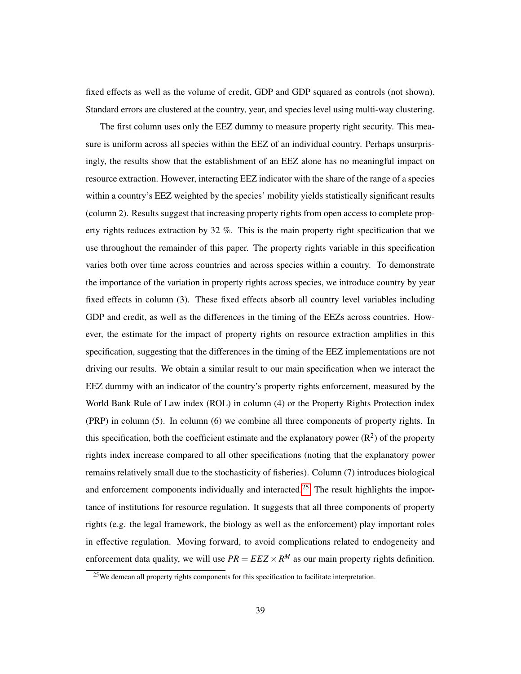fixed effects as well as the volume of credit, GDP and GDP squared as controls (not shown). Standard errors are clustered at the country, year, and species level using multi-way clustering.

The first column uses only the EEZ dummy to measure property right security. This measure is uniform across all species within the EEZ of an individual country. Perhaps unsurprisingly, the results show that the establishment of an EEZ alone has no meaningful impact on resource extraction. However, interacting EEZ indicator with the share of the range of a species within a country's EEZ weighted by the species' mobility yields statistically significant results (column 2). Results suggest that increasing property rights from open access to complete property rights reduces extraction by 32 %. This is the main property right specification that we use throughout the remainder of this paper. The property rights variable in this specification varies both over time across countries and across species within a country. To demonstrate the importance of the variation in property rights across species, we introduce country by year fixed effects in column (3). These fixed effects absorb all country level variables including GDP and credit, as well as the differences in the timing of the EEZs across countries. However, the estimate for the impact of property rights on resource extraction amplifies in this specification, suggesting that the differences in the timing of the EEZ implementations are not driving our results. We obtain a similar result to our main specification when we interact the EEZ dummy with an indicator of the country's property rights enforcement, measured by the World Bank Rule of Law index (ROL) in column (4) or the Property Rights Protection index (PRP) in column (5). In column (6) we combine all three components of property rights. In this specification, both the coefficient estimate and the explanatory power  $(R<sup>2</sup>)$  of the property rights index increase compared to all other specifications (noting that the explanatory power remains relatively small due to the stochasticity of fisheries). Column (7) introduces biological and enforcement components individually and interacted.<sup>[25](#page-40-0)</sup> The result highlights the importance of institutions for resource regulation. It suggests that all three components of property rights (e.g. the legal framework, the biology as well as the enforcement) play important roles in effective regulation. Moving forward, to avoid complications related to endogeneity and enforcement data quality, we will use  $PR = EEZ \times R^M$  as our main property rights definition.

<span id="page-40-0"></span><sup>&</sup>lt;sup>25</sup>We demean all property rights components for this specification to facilitate interpretation.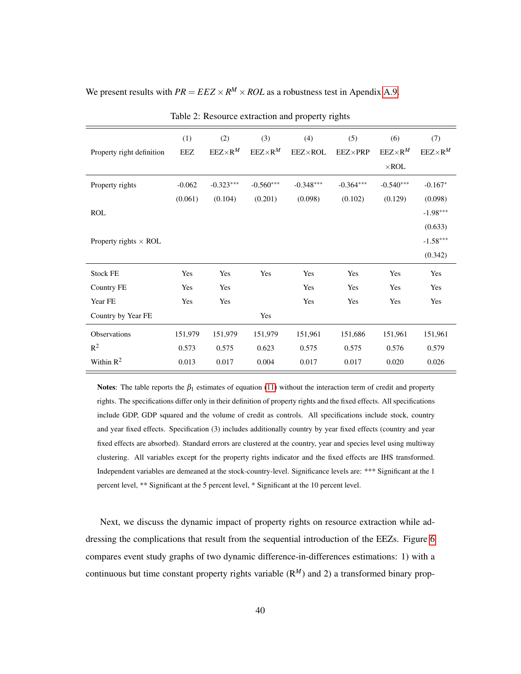<span id="page-41-0"></span>We present results with  $PR = EEZ \times R^M \times ROL$  as a robustness test in Apendix [A.9.](#page-70-0)

| Property right definition    | (1)<br><b>EEZ</b> | (2)<br>$EEZ \times R^M$ | (3)<br>$EEZ \times R^M$ | (4)<br><b>EEZ×ROL</b> | (5)<br>$EEZ \times PRP$ | (6)<br>$EEZ \times R^M$<br>$\times$ ROL | (7)<br>$EEZ \times R^M$ |
|------------------------------|-------------------|-------------------------|-------------------------|-----------------------|-------------------------|-----------------------------------------|-------------------------|
| Property rights              | $-0.062$          | $-0.323***$             | $-0.560***$             | $-0.348***$           | $-0.364***$             | $-0.540***$                             | $-0.167*$               |
|                              | (0.061)           | (0.104)                 | (0.201)                 | (0.098)               | (0.102)                 | (0.129)                                 | (0.098)                 |
| <b>ROL</b>                   |                   |                         |                         |                       |                         |                                         | $-1.98***$              |
|                              |                   |                         |                         |                       |                         |                                         | (0.633)                 |
| Property rights $\times$ ROL |                   |                         |                         |                       |                         |                                         | $-1.58***$              |
|                              |                   |                         |                         |                       |                         |                                         | (0.342)                 |
| <b>Stock FE</b>              | Yes               | Yes                     | Yes                     | Yes                   | Yes                     | Yes                                     | Yes                     |
| Country FE                   | Yes               | Yes                     |                         | Yes                   | Yes                     | Yes                                     | Yes                     |
| Year FE                      | Yes               | Yes                     |                         | Yes                   | Yes                     | Yes                                     | Yes                     |
| Country by Year FE           |                   |                         | Yes                     |                       |                         |                                         |                         |
| Observations                 | 151,979           | 151,979                 | 151,979                 | 151,961               | 151,686                 | 151,961                                 | 151,961                 |
| $R^2$                        | 0.573             | 0.575                   | 0.623                   | 0.575                 | 0.575                   | 0.576                                   | 0.579                   |
| Within $R^2$                 | 0.013             | 0.017                   | 0.004                   | 0.017                 | 0.017                   | 0.020                                   | 0.026                   |

Table 2: Resource extraction and property rights

Notes: The table reports the  $\beta_1$  estimates of equation [\(11\)](#page-34-0) without the interaction term of credit and property rights. The specifications differ only in their definition of property rights and the fixed effects. All specifications include GDP, GDP squared and the volume of credit as controls. All specifications include stock, country and year fixed effects. Specification (3) includes additionally country by year fixed effects (country and year fixed effects are absorbed). Standard errors are clustered at the country, year and species level using multiway clustering. All variables except for the property rights indicator and the fixed effects are IHS transformed. Independent variables are demeaned at the stock-country-level. Significance levels are: \*\*\* Significant at the 1 percent level, \*\* Significant at the 5 percent level, \* Significant at the 10 percent level.

Next, we discuss the dynamic impact of property rights on resource extraction while addressing the complications that result from the sequential introduction of the EEZs. Figure [6](#page-42-0) compares event study graphs of two dynamic difference-in-differences estimations: 1) with a continuous but time constant property rights variable  $(R^M)$  and 2) a transformed binary prop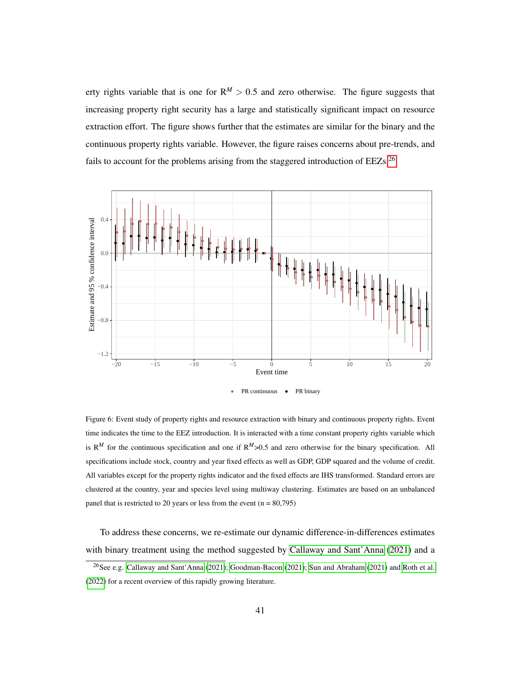erty rights variable that is one for  $R^M > 0.5$  and zero otherwise. The figure suggests that increasing property right security has a large and statistically significant impact on resource extraction effort. The figure shows further that the estimates are similar for the binary and the continuous property rights variable. However, the figure raises concerns about pre-trends, and fails to account for the problems arising from the staggered introduction of  $EEZs$ <sup>[26](#page-42-1)</sup>

<span id="page-42-0"></span>

Figure 6: Event study of property rights and resource extraction with binary and continuous property rights. Event time indicates the time to the EEZ introduction. It is interacted with a time constant property rights variable which is  $R^M$  for the continuous specification and one if  $R^M$ >0.5 and zero otherwise for the binary specification. All specifications include stock, country and year fixed effects as well as GDP, GDP squared and the volume of credit. All variables except for the property rights indicator and the fixed effects are IHS transformed. Standard errors are clustered at the country, year and species level using multiway clustering. Estimates are based on an unbalanced panel that is restricted to 20 years or less from the event  $(n = 80,795)$ 

To address these concerns, we re-estimate our dynamic difference-in-differences estimates with binary treatment using the method suggested by [Callaway and Sant'Anna](#page-56-0) [\(2021\)](#page-56-0) and a

<span id="page-42-1"></span><sup>&</sup>lt;sup>26</sup>See e.g. [Callaway and Sant'Anna](#page-56-0) [\(2021\)](#page-62-0); [Goodman-Bacon](#page-58-0) (2021); [Sun and Abraham](#page-62-0) (2021) and [Roth et al.](#page-61-0) [\(2022\)](#page-61-0) for a recent overview of this rapidly growing literature.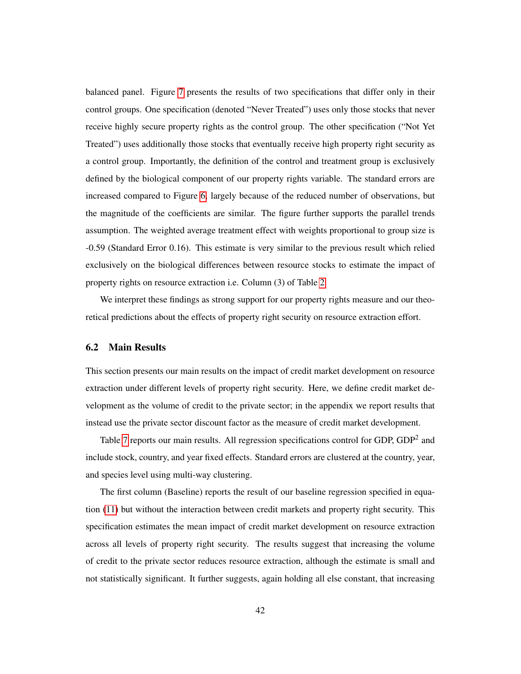balanced panel. Figure [7](#page-44-0) presents the results of two specifications that differ only in their control groups. One specification (denoted "Never Treated") uses only those stocks that never receive highly secure property rights as the control group. The other specification ("Not Yet Treated") uses additionally those stocks that eventually receive high property right security as a control group. Importantly, the definition of the control and treatment group is exclusively defined by the biological component of our property rights variable. The standard errors are increased compared to Figure [6,](#page-42-0) largely because of the reduced number of observations, but the magnitude of the coefficients are similar. The figure further supports the parallel trends assumption. The weighted average treatment effect with weights proportional to group size is -0.59 (Standard Error 0.16). This estimate is very similar to the previous result which relied exclusively on the biological differences between resource stocks to estimate the impact of property rights on resource extraction i.e. Column (3) of Table [2.](#page-41-0)

We interpret these findings as strong support for our property rights measure and our theoretical predictions about the effects of property right security on resource extraction effort.

#### 6.2 Main Results

This section presents our main results on the impact of credit market development on resource extraction under different levels of property right security. Here, we define credit market development as the volume of credit to the private sector; in the appendix we report results that instead use the private sector discount factor as the measure of credit market development.

Table [7](#page-73-0) reports our main results. All regression specifications control for GDP,  $GDP<sup>2</sup>$  and include stock, country, and year fixed effects. Standard errors are clustered at the country, year, and species level using multi-way clustering.

The first column (Baseline) reports the result of our baseline regression specified in equation [\(11\)](#page-34-0) but without the interaction between credit markets and property right security. This specification estimates the mean impact of credit market development on resource extraction across all levels of property right security. The results suggest that increasing the volume of credit to the private sector reduces resource extraction, although the estimate is small and not statistically significant. It further suggests, again holding all else constant, that increasing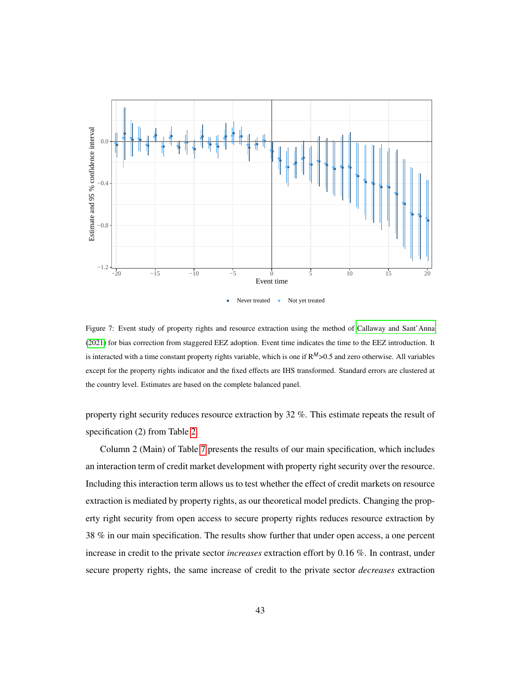<span id="page-44-0"></span>

Figure 7: Event study of property rights and resource extraction using the method of [Callaway and Sant'Anna](#page-56-0) [\(2021\)](#page-56-0) for bias correction from staggered EEZ adoption. Event time indicates the time to the EEZ introduction. It is interacted with a time constant property rights variable, which is one if R*M*>0.5 and zero otherwise. All variables except for the property rights indicator and the fixed effects are IHS transformed. Standard errors are clustered at the country level. Estimates are based on the complete balanced panel.

property right security reduces resource extraction by 32 %. This estimate repeats the result of specification (2) from Table [2.](#page-41-0)

Column 2 (Main) of Table [7](#page-73-0) presents the results of our main specification, which includes an interaction term of credit market development with property right security over the resource. Including this interaction term allows us to test whether the effect of credit markets on resource extraction is mediated by property rights, as our theoretical model predicts. Changing the property right security from open access to secure property rights reduces resource extraction by 38 % in our main specification. The results show further that under open access, a one percent increase in credit to the private sector *increases* extraction effort by 0.16 %. In contrast, under secure property rights, the same increase of credit to the private sector *decreases* extraction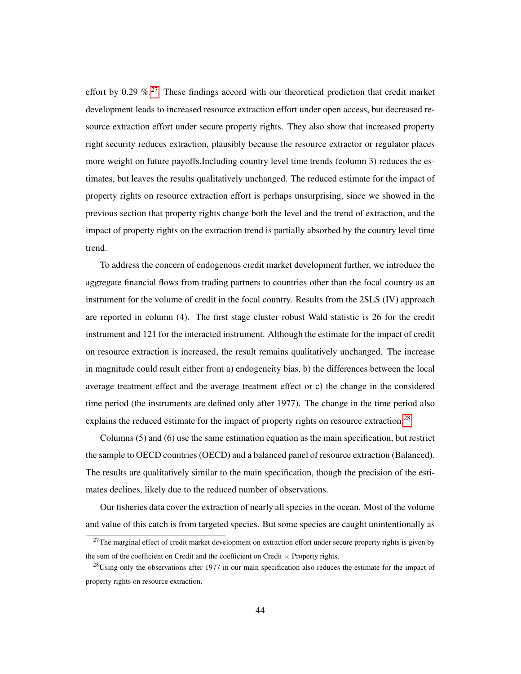effort by 0.29  $\%$ <sup>[27](#page-45-0)</sup>. These findings accord with our theoretical prediction that credit market development leads to increased resource extraction effort under open access, but decreased resource extraction effort under secure property rights. They also show that increased property right security reduces extraction, plausibly because the resource extractor or regulator places more weight on future payoffs.Including country level time trends (column 3) reduces the estimates, but leaves the results qualitatively unchanged. The reduced estimate for the impact of property rights on resource extraction effort is perhaps unsurprising, since we showed in the previous section that property rights change both the level and the trend of extraction, and the impact of property rights on the extraction trend is partially absorbed by the country level time trend.

To address the concern of endogenous credit market development further, we introduce the aggregate financial flows from trading partners to countries other than the focal country as an instrument for the volume of credit in the focal country. Results from the 2SLS (IV) approach are reported in column (4). The first stage cluster robust Wald statistic is 26 for the credit instrument and 121 for the interacted instrument. Although the estimate for the impact of credit on resource extraction is increased, the result remains qualitatively unchanged. The increase in magnitude could result either from a) endogeneity bias, b) the differences between the local average treatment effect and the average treatment effect or c) the change in the considered time period (the instruments are defined only after 1977). The change in the time period also explains the reduced estimate for the impact of property rights on resource extraction.<sup>[28](#page-45-1)</sup>

Columns (5) and (6) use the same estimation equation as the main specification, but restrict the sample to OECD countries (OECD) and a balanced panel of resource extraction (Balanced). The results are qualitatively similar to the main specification, though the precision of the estimates declines, likely due to the reduced number of observations.

Our fisheries data cover the extraction of nearly all species in the ocean. Most of the volume and value of this catch is from targeted species. But some species are caught unintentionally as

<span id="page-45-0"></span> $27$ The marginal effect of credit market development on extraction effort under secure property rights is given by the sum of the coefficient on Credit and the coefficient on Credit  $\times$  Property rights.

<span id="page-45-1"></span><sup>&</sup>lt;sup>28</sup>Using only the observations after 1977 in our main specification also reduces the estimate for the impact of property rights on resource extraction.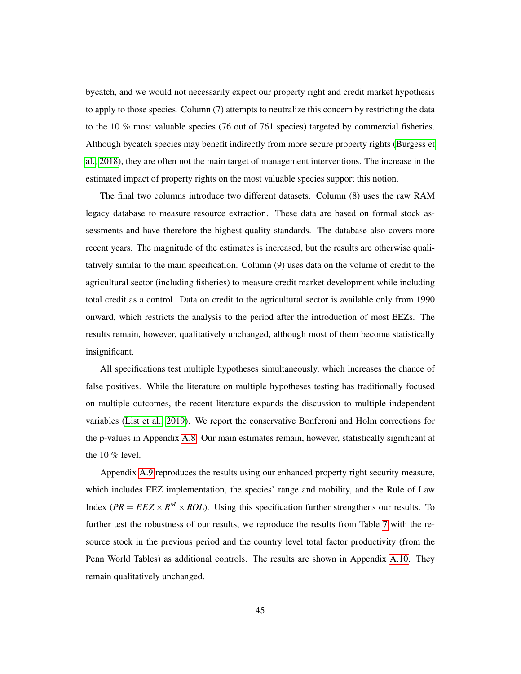bycatch, and we would not necessarily expect our property right and credit market hypothesis to apply to those species. Column (7) attempts to neutralize this concern by restricting the data to the 10 % most valuable species (76 out of 761 species) targeted by commercial fisheries. Although bycatch species may benefit indirectly from more secure property rights [\(Burgess et](#page-56-2) [al., 2018\)](#page-56-2), they are often not the main target of management interventions. The increase in the estimated impact of property rights on the most valuable species support this notion.

The final two columns introduce two different datasets. Column (8) uses the raw RAM legacy database to measure resource extraction. These data are based on formal stock assessments and have therefore the highest quality standards. The database also covers more recent years. The magnitude of the estimates is increased, but the results are otherwise qualitatively similar to the main specification. Column (9) uses data on the volume of credit to the agricultural sector (including fisheries) to measure credit market development while including total credit as a control. Data on credit to the agricultural sector is available only from 1990 onward, which restricts the analysis to the period after the introduction of most EEZs. The results remain, however, qualitatively unchanged, although most of them become statistically insignificant.

All specifications test multiple hypotheses simultaneously, which increases the chance of false positives. While the literature on multiple hypotheses testing has traditionally focused on multiple outcomes, the recent literature expands the discussion to multiple independent variables [\(List et al., 2019\)](#page-60-0). We report the conservative Bonferoni and Holm corrections for the p-values in Appendix [A.8.](#page-69-0) Our main estimates remain, however, statistically significant at the 10 % level.

Appendix [A.9](#page-70-0) reproduces the results using our enhanced property right security measure, which includes EEZ implementation, the species' range and mobility, and the Rule of Law Index ( $PR = EEZ \times R^M \times ROL$ ). Using this specification further strengthens our results. To further test the robustness of our results, we reproduce the results from Table [7](#page-73-0) with the resource stock in the previous period and the country level total factor productivity (from the Penn World Tables) as additional controls. The results are shown in Appendix [A.10.](#page-72-0) They remain qualitatively unchanged.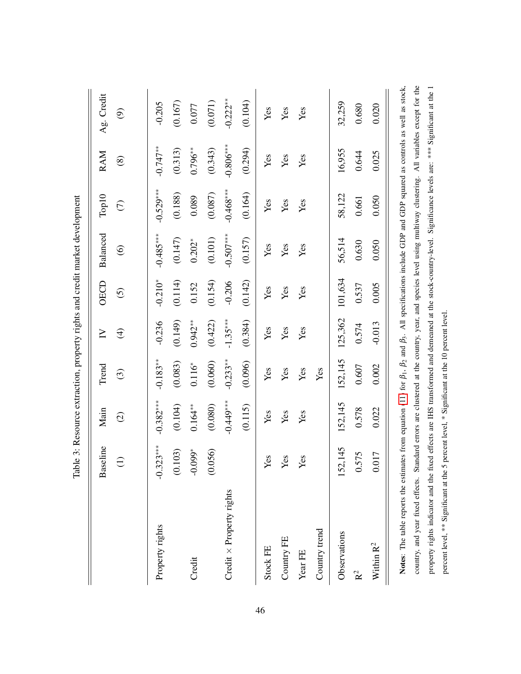|                                                                                                                                                                                                                                                                                                                                                    |             |               |            |             |           | Table 3: Resource extraction, property rights and credit market development |             |               |                          |
|----------------------------------------------------------------------------------------------------------------------------------------------------------------------------------------------------------------------------------------------------------------------------------------------------------------------------------------------------|-------------|---------------|------------|-------------|-----------|-----------------------------------------------------------------------------|-------------|---------------|--------------------------|
|                                                                                                                                                                                                                                                                                                                                                    | Baseline    | Main          | Trend      | $\geq$      | OECD      | Balanced                                                                    | Top10       | <b>RAM</b>    | Ag. Credit               |
|                                                                                                                                                                                                                                                                                                                                                    | $\ominus$   | $\widehat{O}$ | $\odot$    | $\bigoplus$ | $\odot$   | $\circledcirc$                                                              | $\epsilon$  | $\circledast$ | $\widehat{\mathfrak{S}}$ |
| Property rights                                                                                                                                                                                                                                                                                                                                    | $-0.323***$ | $-0.382***$   | $-0.183**$ | $-0.236$    | $-0.210*$ | $-0.485***$                                                                 | $-0.529***$ | $-0.747**$    | $-0.205$                 |
|                                                                                                                                                                                                                                                                                                                                                    | (0.103)     | (0.104)       | (0.083)    | (0.149)     | (0.114)   | (0.147)                                                                     | (0.188)     | (0.313)       | (0.167)                  |
| Credit                                                                                                                                                                                                                                                                                                                                             | $-0.099*$   | $0.164***$    | $0.116*$   | $0.942**$   | 0.152     | $0.202*$                                                                    | 0.089       | $0.796***$    | 0.077                    |
|                                                                                                                                                                                                                                                                                                                                                    | (0.056)     | (0.080)       | (0.060)    | (0.422)     | (0.154)   | (0.101)                                                                     | (0.087)     | (0.343)       | (0.071)                  |
| Credit $\times$ Property rights                                                                                                                                                                                                                                                                                                                    |             | $-0.449***$   | $-0.233**$ | $-1.35***$  | $-0.206$  | $-0.507***$                                                                 | $-0.468***$ | $-0.806***$   | $-0.222**$               |
|                                                                                                                                                                                                                                                                                                                                                    |             | (0.115)       | (0.096)    | (0.384)     | (0.142)   | (0.157)                                                                     | (0.164)     | (0.294)       | (0.104)                  |
| Stock FE                                                                                                                                                                                                                                                                                                                                           | <b>Zes</b>  | Yes           | Yes        | Yes         | Yes       | Yes                                                                         | Yes         | Yes           | Yes                      |
| Country FE                                                                                                                                                                                                                                                                                                                                         | <b>Zes</b>  | Yes           | Yes        | Yes         | Yes       | Yes                                                                         | Yes         | Yes           | Yes                      |
| Year FE                                                                                                                                                                                                                                                                                                                                            | <b>Čes</b>  | Yes           | Yes        | Yes         | Yes       | Yes                                                                         | Yes         | Yes           | Yes                      |
| Country trend                                                                                                                                                                                                                                                                                                                                      |             |               | Yes        |             |           |                                                                             |             |               |                          |
| Observations                                                                                                                                                                                                                                                                                                                                       | 152,145     | 152,145       | 152,145    | 125,362     | 101,634   | 56,514                                                                      | 58,122      | 16,955        | 32,259                   |
| $\mathbf{R}^2$                                                                                                                                                                                                                                                                                                                                     | 0.575       | 0.578         | 0.607      | 0.574       | 0.537     | 0.630                                                                       | 0.661       | 0.644         | 0.680                    |
| Within $\mathbf{R}^2$                                                                                                                                                                                                                                                                                                                              | 0.017       | 0.022         | 0.002      | $-0.013$    | 0.005     | 0.050                                                                       | 0.050       | 0.025         | 0.020                    |
| country, and year fixed effects. Standard errors are clustered at the country, year, and species level using multiway clustering. All variables except for the<br>Notes: The table reports the estimates from equation (11) for $\beta_1$ , $\beta_2$ and $\beta_3$ . All specifications include GDP and GDP squared as controls as well as stock, |             |               |            |             |           |                                                                             |             |               |                          |
| property rights indicator and the fixed effects are IHS transformed and demeaned at the stock-country-level. Significance levels are: *** Significant at the 1                                                                                                                                                                                     |             |               |            |             |           |                                                                             |             |               |                          |

percent level, \*\* Significant at the 5 percent level, \* Significant at the 10 percent level.

percent level, \*\* Significant at the 5 percent level, \* Significant at the 10 percent level.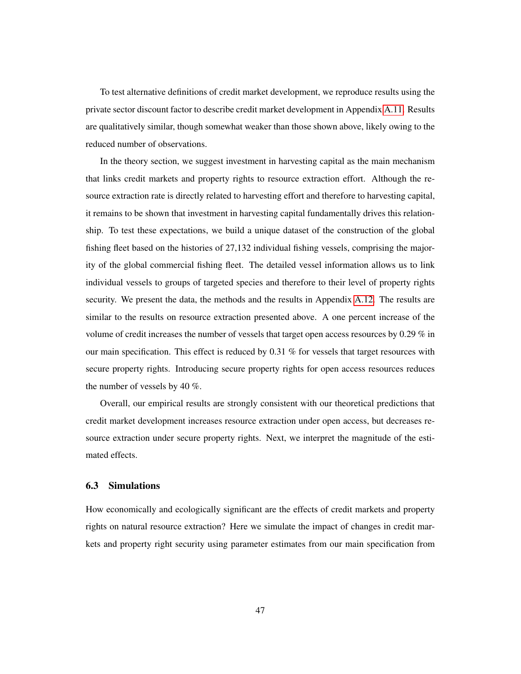To test alternative definitions of credit market development, we reproduce results using the private sector discount factor to describe credit market development in Appendix [A.11.](#page-74-0) Results are qualitatively similar, though somewhat weaker than those shown above, likely owing to the reduced number of observations.

In the theory section, we suggest investment in harvesting capital as the main mechanism that links credit markets and property rights to resource extraction effort. Although the resource extraction rate is directly related to harvesting effort and therefore to harvesting capital, it remains to be shown that investment in harvesting capital fundamentally drives this relationship. To test these expectations, we build a unique dataset of the construction of the global fishing fleet based on the histories of 27,132 individual fishing vessels, comprising the majority of the global commercial fishing fleet. The detailed vessel information allows us to link individual vessels to groups of targeted species and therefore to their level of property rights security. We present the data, the methods and the results in Appendix [A.12.](#page-76-0) The results are similar to the results on resource extraction presented above. A one percent increase of the volume of credit increases the number of vessels that target open access resources by 0.29 % in our main specification. This effect is reduced by 0.31 % for vessels that target resources with secure property rights. Introducing secure property rights for open access resources reduces the number of vessels by 40 %.

Overall, our empirical results are strongly consistent with our theoretical predictions that credit market development increases resource extraction under open access, but decreases resource extraction under secure property rights. Next, we interpret the magnitude of the estimated effects.

#### 6.3 Simulations

How economically and ecologically significant are the effects of credit markets and property rights on natural resource extraction? Here we simulate the impact of changes in credit markets and property right security using parameter estimates from our main specification from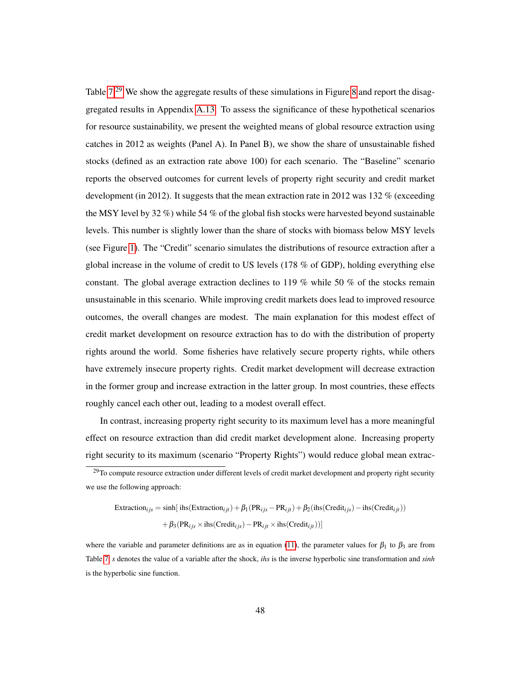Table  $7<sup>29</sup>$  $7<sup>29</sup>$  $7<sup>29</sup>$  We show the aggregate results of these simulations in Figure [8](#page-50-0) and report the disaggregated results in Appendix [A.13.](#page-80-0) To assess the significance of these hypothetical scenarios for resource sustainability, we present the weighted means of global resource extraction using catches in 2012 as weights (Panel A). In Panel B), we show the share of unsustainable fished stocks (defined as an extraction rate above 100) for each scenario. The "Baseline" scenario reports the observed outcomes for current levels of property right security and credit market development (in 2012). It suggests that the mean extraction rate in 2012 was 132 % (exceeding the MSY level by 32 %) while 54 % of the global fish stocks were harvested beyond sustainable levels. This number is slightly lower than the share of stocks with biomass below MSY levels (see Figure [1\)](#page-23-0). The "Credit" scenario simulates the distributions of resource extraction after a global increase in the volume of credit to US levels (178 % of GDP), holding everything else constant. The global average extraction declines to 119 % while 50 % of the stocks remain unsustainable in this scenario. While improving credit markets does lead to improved resource outcomes, the overall changes are modest. The main explanation for this modest effect of credit market development on resource extraction has to do with the distribution of property rights around the world. Some fisheries have relatively secure property rights, while others have extremely insecure property rights. Credit market development will decrease extraction in the former group and increase extraction in the latter group. In most countries, these effects roughly cancel each other out, leading to a modest overall effect.

In contrast, increasing property right security to its maximum level has a more meaningful effect on resource extraction than did credit market development alone. Increasing property right security to its maximum (scenario "Property Rights") would reduce global mean extrac-

$$
\text{Extraction}_{ijs} = \sinh[\text{ ins}(\text{Extraction}_{ijt}) + \beta_1(\text{PR}_{ijs} - \text{PR}_{ijt}) + \beta_2(\text{ins}(\text{Credit}_{ijs}) - \text{ins}(\text{Credit}_{ijt}))
$$

$$
+ \beta_3(\text{PR}_{ijs} \times \text{ins}(\text{Credit}_{ijs}) - \text{PR}_{ijt} \times \text{ins}(\text{Credit}_{ijt}))]
$$

where the variable and parameter definitions are as in equation [\(11\)](#page-34-0), the parameter values for  $\beta_1$  to  $\beta_3$  are from Table [7,](#page-73-0) *s* denotes the value of a variable after the shock, *ihs* is the inverse hyperbolic sine transformation and *sinh* is the hyperbolic sine function.

<span id="page-49-0"></span> $29$ To compute resource extraction under different levels of credit market development and property right security we use the following approach: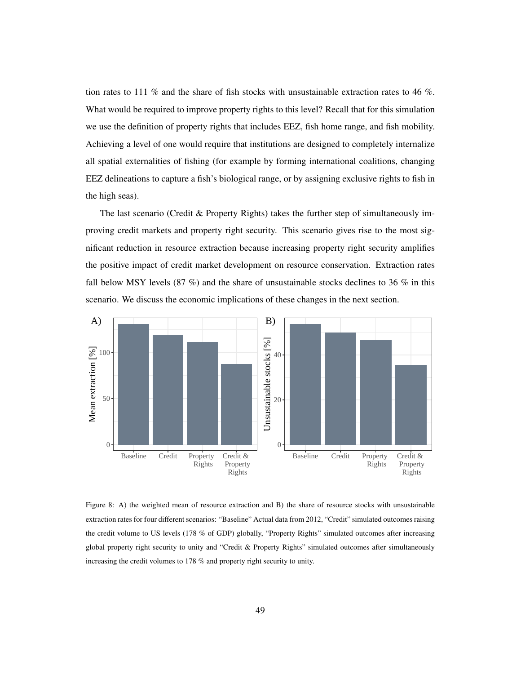tion rates to 111 % and the share of fish stocks with unsustainable extraction rates to 46 %. What would be required to improve property rights to this level? Recall that for this simulation we use the definition of property rights that includes EEZ, fish home range, and fish mobility. Achieving a level of one would require that institutions are designed to completely internalize all spatial externalities of fishing (for example by forming international coalitions, changing EEZ delineations to capture a fish's biological range, or by assigning exclusive rights to fish in the high seas).

The last scenario (Credit & Property Rights) takes the further step of simultaneously improving credit markets and property right security. This scenario gives rise to the most significant reduction in resource extraction because increasing property right security amplifies the positive impact of credit market development on resource conservation. Extraction rates fall below MSY levels (87 %) and the share of unsustainable stocks declines to 36 % in this scenario. We discuss the economic implications of these changes in the next section.

<span id="page-50-0"></span>

Figure 8: A) the weighted mean of resource extraction and B) the share of resource stocks with unsustainable extraction rates for four different scenarios: "Baseline" Actual data from 2012, "Credit" simulated outcomes raising the credit volume to US levels (178 % of GDP) globally, "Property Rights" simulated outcomes after increasing global property right security to unity and "Credit & Property Rights" simulated outcomes after simultaneously increasing the credit volumes to 178 % and property right security to unity.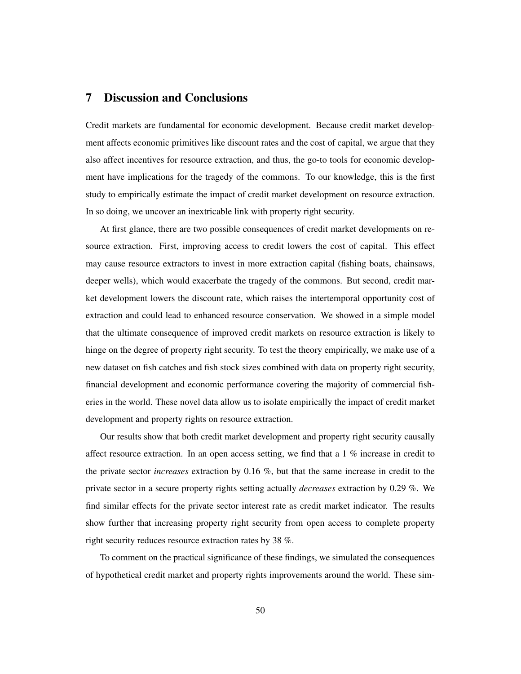## 7 Discussion and Conclusions

Credit markets are fundamental for economic development. Because credit market development affects economic primitives like discount rates and the cost of capital, we argue that they also affect incentives for resource extraction, and thus, the go-to tools for economic development have implications for the tragedy of the commons. To our knowledge, this is the first study to empirically estimate the impact of credit market development on resource extraction. In so doing, we uncover an inextricable link with property right security.

At first glance, there are two possible consequences of credit market developments on resource extraction. First, improving access to credit lowers the cost of capital. This effect may cause resource extractors to invest in more extraction capital (fishing boats, chainsaws, deeper wells), which would exacerbate the tragedy of the commons. But second, credit market development lowers the discount rate, which raises the intertemporal opportunity cost of extraction and could lead to enhanced resource conservation. We showed in a simple model that the ultimate consequence of improved credit markets on resource extraction is likely to hinge on the degree of property right security. To test the theory empirically, we make use of a new dataset on fish catches and fish stock sizes combined with data on property right security, financial development and economic performance covering the majority of commercial fisheries in the world. These novel data allow us to isolate empirically the impact of credit market development and property rights on resource extraction.

Our results show that both credit market development and property right security causally affect resource extraction. In an open access setting, we find that a 1 % increase in credit to the private sector *increases* extraction by 0.16 %, but that the same increase in credit to the private sector in a secure property rights setting actually *decreases* extraction by 0.29 %. We find similar effects for the private sector interest rate as credit market indicator. The results show further that increasing property right security from open access to complete property right security reduces resource extraction rates by 38 %.

To comment on the practical significance of these findings, we simulated the consequences of hypothetical credit market and property rights improvements around the world. These sim-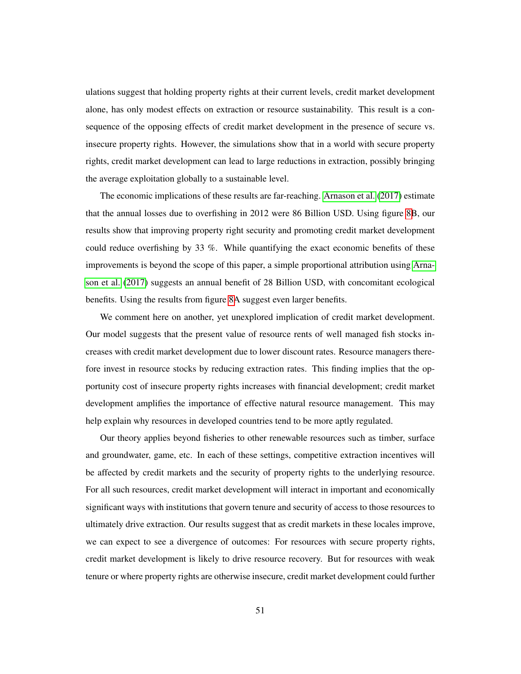ulations suggest that holding property rights at their current levels, credit market development alone, has only modest effects on extraction or resource sustainability. This result is a consequence of the opposing effects of credit market development in the presence of secure vs. insecure property rights. However, the simulations show that in a world with secure property rights, credit market development can lead to large reductions in extraction, possibly bringing the average exploitation globally to a sustainable level.

The economic implications of these results are far-reaching. [Arnason et al.](#page-54-0) [\(2017\)](#page-54-0) estimate that the annual losses due to overfishing in 2012 were 86 Billion USD. Using figure [8B](#page-50-0), our results show that improving property right security and promoting credit market development could reduce overfishing by 33 %. While quantifying the exact economic benefits of these improvements is beyond the scope of this paper, a simple proportional attribution using [Arna](#page-54-0)[son et al.](#page-54-0) [\(2017\)](#page-54-0) suggests an annual benefit of 28 Billion USD, with concomitant ecological benefits. Using the results from figure [8A](#page-50-0) suggest even larger benefits.

We comment here on another, yet unexplored implication of credit market development. Our model suggests that the present value of resource rents of well managed fish stocks increases with credit market development due to lower discount rates. Resource managers therefore invest in resource stocks by reducing extraction rates. This finding implies that the opportunity cost of insecure property rights increases with financial development; credit market development amplifies the importance of effective natural resource management. This may help explain why resources in developed countries tend to be more aptly regulated.

Our theory applies beyond fisheries to other renewable resources such as timber, surface and groundwater, game, etc. In each of these settings, competitive extraction incentives will be affected by credit markets and the security of property rights to the underlying resource. For all such resources, credit market development will interact in important and economically significant ways with institutions that govern tenure and security of access to those resources to ultimately drive extraction. Our results suggest that as credit markets in these locales improve, we can expect to see a divergence of outcomes: For resources with secure property rights, credit market development is likely to drive resource recovery. But for resources with weak tenure or where property rights are otherwise insecure, credit market development could further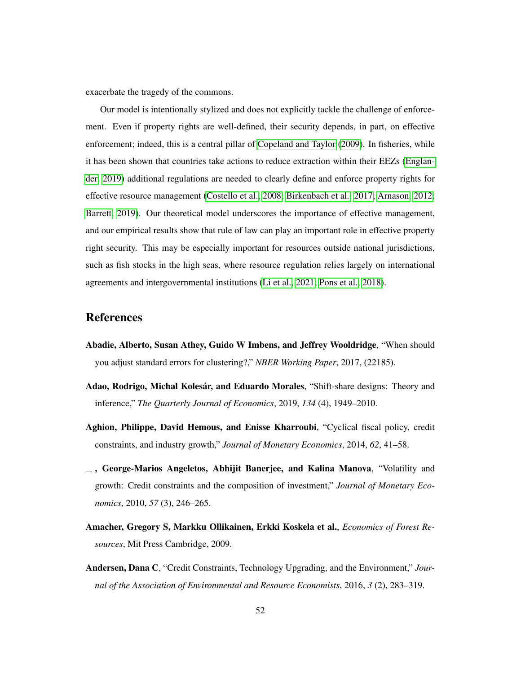exacerbate the tragedy of the commons.

Our model is intentionally stylized and does not explicitly tackle the challenge of enforcement. Even if property rights are well-defined, their security depends, in part, on effective enforcement; indeed, this is a central pillar of [Copeland and Taylor](#page-57-1) [\(2009\)](#page-57-1). In fisheries, while it has been shown that countries take actions to reduce extraction within their EEZs [\(Englan](#page-57-2)[der, 2019\)](#page-57-2) additional regulations are needed to clearly define and enforce property rights for effective resource management [\(Costello et al., 2008;](#page-57-3) [Birkenbach et al., 2017;](#page-55-0) [Arnason, 2012;](#page-54-1) [Barrett, 2019\)](#page-55-1). Our theoretical model underscores the importance of effective management, and our empirical results show that rule of law can play an important role in effective property right security. This may be especially important for resources outside national jurisdictions, such as fish stocks in the high seas, where resource regulation relies largely on international agreements and intergovernmental institutions [\(Li et al., 2021;](#page-60-1) [Pons et al., 2018\)](#page-61-1).

## References

- Abadie, Alberto, Susan Athey, Guido W Imbens, and Jeffrey Wooldridge, "When should you adjust standard errors for clustering?," *NBER Working Paper*, 2017, (22185).
- <span id="page-53-0"></span>Adao, Rodrigo, Michal Kolesár, and Eduardo Morales, "Shift-share designs: Theory and inference," *The Quarterly Journal of Economics*, 2019, *134* (4), 1949–2010.
- Aghion, Philippe, David Hemous, and Enisse Kharroubi, "Cyclical fiscal policy, credit constraints, and industry growth," *Journal of Monetary Economics*, 2014, *62*, 41–58.
- , George-Marios Angeletos, Abhijit Banerjee, and Kalina Manova, "Volatility and growth: Credit constraints and the composition of investment," *Journal of Monetary Economics*, 2010, *57* (3), 246–265.
- Amacher, Gregory S, Markku Ollikainen, Erkki Koskela et al., *Economics of Forest Resources*, Mit Press Cambridge, 2009.
- Andersen, Dana C, "Credit Constraints, Technology Upgrading, and the Environment," *Journal of the Association of Environmental and Resource Economists*, 2016, *3* (2), 283–319.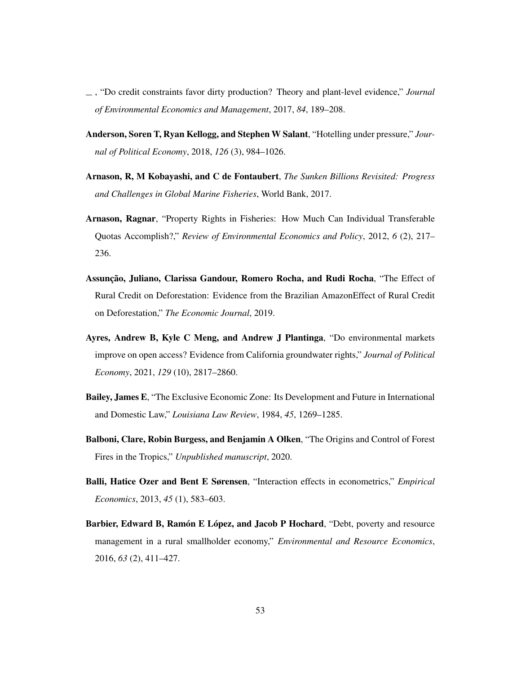- , "Do credit constraints favor dirty production? Theory and plant-level evidence," *Journal of Environmental Economics and Management*, 2017, *84*, 189–208.
- Anderson, Soren T, Ryan Kellogg, and Stephen W Salant, "Hotelling under pressure," *Journal of Political Economy*, 2018, *126* (3), 984–1026.
- <span id="page-54-0"></span>Arnason, R, M Kobayashi, and C de Fontaubert, *The Sunken Billions Revisited: Progress and Challenges in Global Marine Fisheries*, World Bank, 2017.
- <span id="page-54-1"></span>Arnason, Ragnar, "Property Rights in Fisheries: How Much Can Individual Transferable Quotas Accomplish?," *Review of Environmental Economics and Policy*, 2012, *6* (2), 217– 236.
- Assunção, Juliano, Clarissa Gandour, Romero Rocha, and Rudi Rocha, "The Effect of Rural Credit on Deforestation: Evidence from the Brazilian AmazonEffect of Rural Credit on Deforestation," *The Economic Journal*, 2019.
- Ayres, Andrew B, Kyle C Meng, and Andrew J Plantinga, "Do environmental markets improve on open access? Evidence from California groundwater rights," *Journal of Political Economy*, 2021, *129* (10), 2817–2860.
- Bailey, James E, "The Exclusive Economic Zone: Its Development and Future in International and Domestic Law," *Louisiana Law Review*, 1984, *45*, 1269–1285.
- Balboni, Clare, Robin Burgess, and Benjamin A Olken, "The Origins and Control of Forest Fires in the Tropics," *Unpublished manuscript*, 2020.
- Balli, Hatice Ozer and Bent E Sørensen, "Interaction effects in econometrics," *Empirical Economics*, 2013, *45* (1), 583–603.
- Barbier, Edward B, Ramón E López, and Jacob P Hochard, "Debt, poverty and resource management in a rural smallholder economy," *Environmental and Resource Economics*, 2016, *63* (2), 411–427.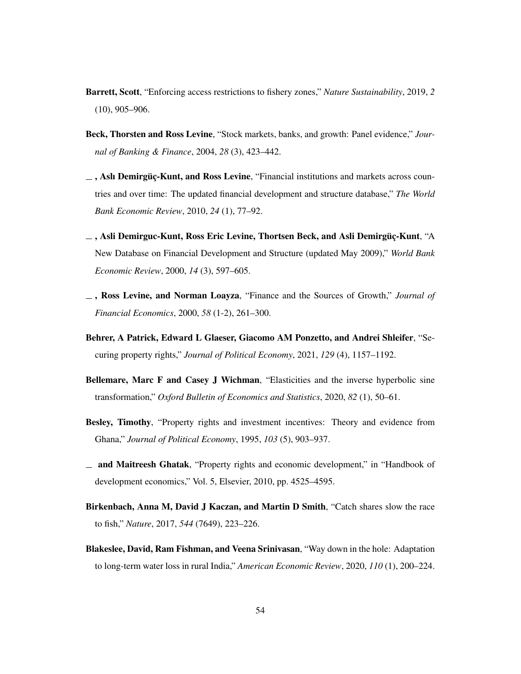- <span id="page-55-1"></span>Barrett, Scott, "Enforcing access restrictions to fishery zones," *Nature Sustainability*, 2019, *2* (10), 905–906.
- Beck, Thorsten and Ross Levine, "Stock markets, banks, and growth: Panel evidence," *Journal of Banking & Finance*, 2004, *28* (3), 423–442.
- $\overline{\phantom{a}}$ , Aslı Demirgüç-Kunt, and Ross Levine, "Financial institutions and markets across countries and over time: The updated financial development and structure database," *The World Bank Economic Review*, 2010, *24* (1), 77–92.
- , Asli Demirguc-Kunt, Ross Eric Levine, Thortsen Beck, and Asli Demirgüç-Kunt, "A New Database on Financial Development and Structure (updated May 2009)," *World Bank Economic Review*, 2000, *14* (3), 597–605.
- , Ross Levine, and Norman Loayza, "Finance and the Sources of Growth," *Journal of Financial Economics*, 2000, *58* (1-2), 261–300.
- Behrer, A Patrick, Edward L Glaeser, Giacomo AM Ponzetto, and Andrei Shleifer, "Securing property rights," *Journal of Political Economy*, 2021, *129* (4), 1157–1192.
- Bellemare, Marc F and Casey J Wichman, "Elasticities and the inverse hyperbolic sine transformation," *Oxford Bulletin of Economics and Statistics*, 2020, *82* (1), 50–61.
- Besley, Timothy, "Property rights and investment incentives: Theory and evidence from Ghana," *Journal of Political Economy*, 1995, *103* (5), 903–937.
- and Maitreesh Ghatak, "Property rights and economic development," in "Handbook of development economics," Vol. 5, Elsevier, 2010, pp. 4525–4595.
- <span id="page-55-0"></span>Birkenbach, Anna M, David J Kaczan, and Martin D Smith, "Catch shares slow the race to fish," *Nature*, 2017, *544* (7649), 223–226.
- Blakeslee, David, Ram Fishman, and Veena Srinivasan, "Way down in the hole: Adaptation to long-term water loss in rural India," *American Economic Review*, 2020, *110* (1), 200–224.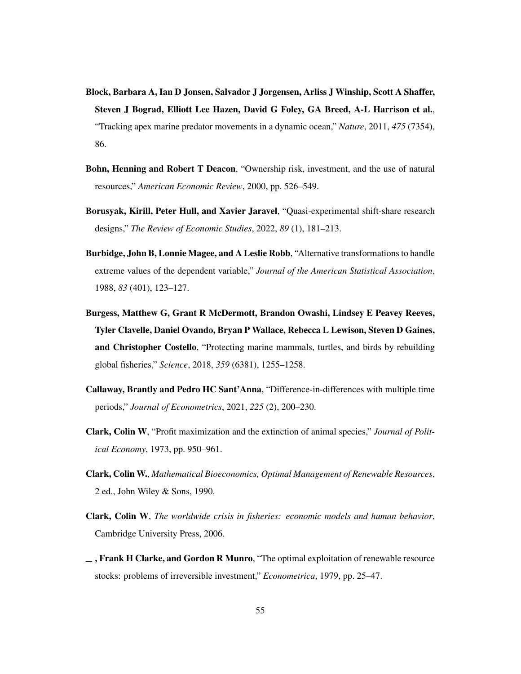- Block, Barbara A, Ian D Jonsen, Salvador J Jorgensen, Arliss J Winship, Scott A Shaffer, Steven J Bograd, Elliott Lee Hazen, David G Foley, GA Breed, A-L Harrison et al., "Tracking apex marine predator movements in a dynamic ocean," *Nature*, 2011, *475* (7354), 86.
- Bohn, Henning and Robert T Deacon, "Ownership risk, investment, and the use of natural resources," *American Economic Review*, 2000, pp. 526–549.
- <span id="page-56-1"></span>Borusyak, Kirill, Peter Hull, and Xavier Jaravel, "Quasi-experimental shift-share research designs," *The Review of Economic Studies*, 2022, *89* (1), 181–213.
- Burbidge, John B, Lonnie Magee, and A Leslie Robb, "Alternative transformations to handle extreme values of the dependent variable," *Journal of the American Statistical Association*, 1988, *83* (401), 123–127.
- <span id="page-56-2"></span>Burgess, Matthew G, Grant R McDermott, Brandon Owashi, Lindsey E Peavey Reeves, Tyler Clavelle, Daniel Ovando, Bryan P Wallace, Rebecca L Lewison, Steven D Gaines, and Christopher Costello, "Protecting marine mammals, turtles, and birds by rebuilding global fisheries," *Science*, 2018, *359* (6381), 1255–1258.
- <span id="page-56-0"></span>Callaway, Brantly and Pedro HC Sant'Anna, "Difference-in-differences with multiple time periods," *Journal of Econometrics*, 2021, *225* (2), 200–230.
- Clark, Colin W, "Profit maximization and the extinction of animal species," *Journal of Political Economy*, 1973, pp. 950–961.
- Clark, Colin W., *Mathematical Bioeconomics, Optimal Management of Renewable Resources*, 2 ed., John Wiley & Sons, 1990.
- Clark, Colin W, *The worldwide crisis in fisheries: economic models and human behavior*, Cambridge University Press, 2006.
- $\overline{\phantom{a}}$ , Frank H Clarke, and Gordon R Munro, "The optimal exploitation of renewable resource stocks: problems of irreversible investment," *Econometrica*, 1979, pp. 25–47.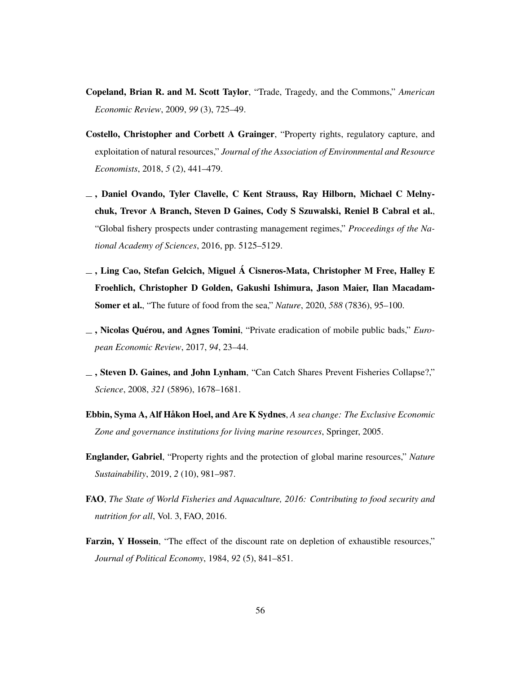- <span id="page-57-1"></span>Copeland, Brian R. and M. Scott Taylor, "Trade, Tragedy, and the Commons," *American Economic Review*, 2009, *99* (3), 725–49.
- Costello, Christopher and Corbett A Grainger, "Property rights, regulatory capture, and exploitation of natural resources," *Journal of the Association of Environmental and Resource Economists*, 2018, *5* (2), 441–479.
- , Daniel Ovando, Tyler Clavelle, C Kent Strauss, Ray Hilborn, Michael C Melnychuk, Trevor A Branch, Steven D Gaines, Cody S Szuwalski, Reniel B Cabral et al., "Global fishery prospects under contrasting management regimes," *Proceedings of the National Academy of Sciences*, 2016, pp. 5125–5129.
- <span id="page-57-0"></span> $\overline{\phantom{a}}$ , Ling Cao, Stefan Gelcich, Miguel Á Cisneros-Mata, Christopher M Free, Halley E Froehlich, Christopher D Golden, Gakushi Ishimura, Jason Maier, Ilan Macadam-Somer et al., "The future of food from the sea," *Nature*, 2020, *588* (7836), 95–100.
- , Nicolas Quérou, and Agnes Tomini, "Private eradication of mobile public bads," *European Economic Review*, 2017, *94*, 23–44.
- <span id="page-57-3"></span>, Steven D. Gaines, and John Lynham, "Can Catch Shares Prevent Fisheries Collapse?," *Science*, 2008, *321* (5896), 1678–1681.
- Ebbin, Syma A, Alf Håkon Hoel, and Are K Sydnes, *A sea change: The Exclusive Economic Zone and governance institutions for living marine resources*, Springer, 2005.
- <span id="page-57-2"></span>Englander, Gabriel, "Property rights and the protection of global marine resources," *Nature Sustainability*, 2019, *2* (10), 981–987.
- FAO, *The State of World Fisheries and Aquaculture, 2016: Contributing to food security and nutrition for all*, Vol. 3, FAO, 2016.
- Farzin, Y Hossein, "The effect of the discount rate on depletion of exhaustible resources," *Journal of Political Economy*, 1984, *92* (5), 841–851.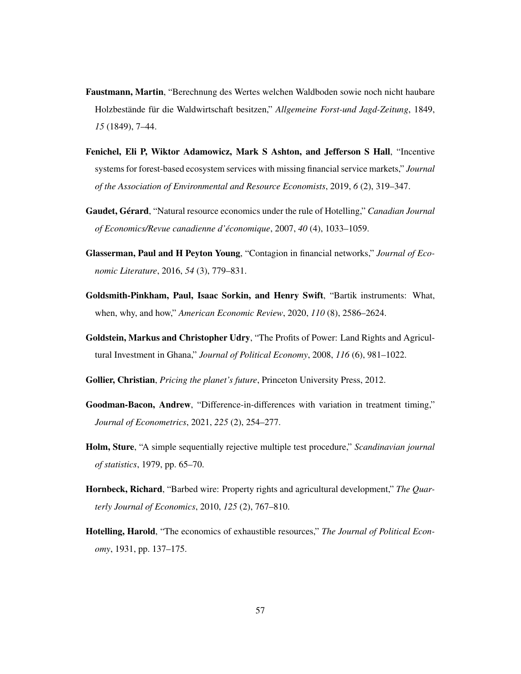- Faustmann, Martin, "Berechnung des Wertes welchen Waldboden sowie noch nicht haubare Holzbestände für die Waldwirtschaft besitzen," *Allgemeine Forst-und Jagd-Zeitung*, 1849, *15* (1849), 7–44.
- Fenichel, Eli P, Wiktor Adamowicz, Mark S Ashton, and Jefferson S Hall, "Incentive systems for forest-based ecosystem services with missing financial service markets," *Journal of the Association of Environmental and Resource Economists*, 2019, *6* (2), 319–347.
- Gaudet, Gérard, "Natural resource economics under the rule of Hotelling," *Canadian Journal of Economics/Revue canadienne d'économique*, 2007, *40* (4), 1033–1059.
- <span id="page-58-1"></span>Glasserman, Paul and H Peyton Young, "Contagion in financial networks," *Journal of Economic Literature*, 2016, *54* (3), 779–831.
- <span id="page-58-2"></span>Goldsmith-Pinkham, Paul, Isaac Sorkin, and Henry Swift, "Bartik instruments: What, when, why, and how," *American Economic Review*, 2020, *110* (8), 2586–2624.
- Goldstein, Markus and Christopher Udry, "The Profits of Power: Land Rights and Agricultural Investment in Ghana," *Journal of Political Economy*, 2008, *116* (6), 981–1022.
- Gollier, Christian, *Pricing the planet's future*, Princeton University Press, 2012.
- <span id="page-58-0"></span>Goodman-Bacon, Andrew, "Difference-in-differences with variation in treatment timing," *Journal of Econometrics*, 2021, *225* (2), 254–277.
- <span id="page-58-3"></span>Holm, Sture, "A simple sequentially rejective multiple test procedure," *Scandinavian journal of statistics*, 1979, pp. 65–70.
- Hornbeck, Richard, "Barbed wire: Property rights and agricultural development," *The Quarterly Journal of Economics*, 2010, *125* (2), 767–810.
- Hotelling, Harold, "The economics of exhaustible resources," *The Journal of Political Economy*, 1931, pp. 137–175.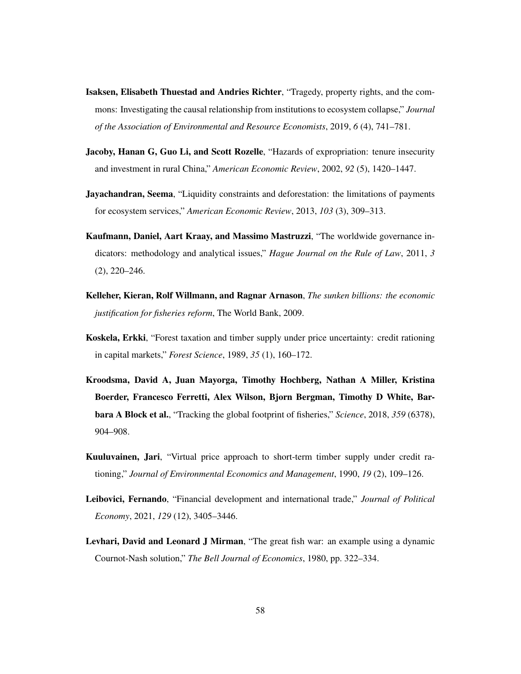- Isaksen, Elisabeth Thuestad and Andries Richter, "Tragedy, property rights, and the commons: Investigating the causal relationship from institutions to ecosystem collapse," *Journal of the Association of Environmental and Resource Economists*, 2019, *6* (4), 741–781.
- Jacoby, Hanan G, Guo Li, and Scott Rozelle, "Hazards of expropriation: tenure insecurity and investment in rural China," *American Economic Review*, 2002, *92* (5), 1420–1447.
- **Jayachandran, Seema**, "Liquidity constraints and deforestation: the limitations of payments for ecosystem services," *American Economic Review*, 2013, *103* (3), 309–313.
- Kaufmann, Daniel, Aart Kraay, and Massimo Mastruzzi, "The worldwide governance indicators: methodology and analytical issues," *Hague Journal on the Rule of Law*, 2011, *3* (2), 220–246.
- Kelleher, Kieran, Rolf Willmann, and Ragnar Arnason, *The sunken billions: the economic justification for fisheries reform*, The World Bank, 2009.
- Koskela, Erkki, "Forest taxation and timber supply under price uncertainty: credit rationing in capital markets," *Forest Science*, 1989, *35* (1), 160–172.
- Kroodsma, David A, Juan Mayorga, Timothy Hochberg, Nathan A Miller, Kristina Boerder, Francesco Ferretti, Alex Wilson, Bjorn Bergman, Timothy D White, Barbara A Block et al., "Tracking the global footprint of fisheries," *Science*, 2018, *359* (6378), 904–908.
- Kuuluvainen, Jari, "Virtual price approach to short-term timber supply under credit rationing," *Journal of Environmental Economics and Management*, 1990, *19* (2), 109–126.
- Leibovici, Fernando, "Financial development and international trade," *Journal of Political Economy*, 2021, *129* (12), 3405–3446.
- Levhari, David and Leonard J Mirman, "The great fish war: an example using a dynamic Cournot-Nash solution," *The Bell Journal of Economics*, 1980, pp. 322–334.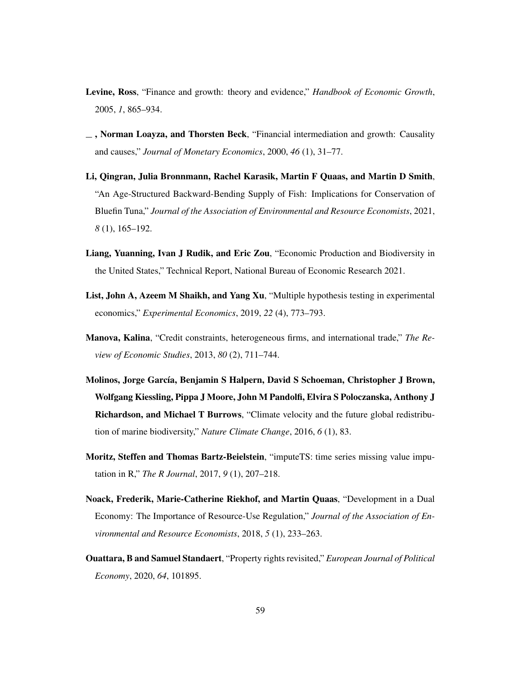- Levine, Ross, "Finance and growth: theory and evidence," *Handbook of Economic Growth*, 2005, *1*, 865–934.
- $\Box$ , Norman Loayza, and Thorsten Beck, "Financial intermediation and growth: Causality and causes," *Journal of Monetary Economics*, 2000, *46* (1), 31–77.
- <span id="page-60-1"></span>Li, Qingran, Julia Bronnmann, Rachel Karasik, Martin F Quaas, and Martin D Smith, "An Age-Structured Backward-Bending Supply of Fish: Implications for Conservation of Bluefin Tuna," *Journal of the Association of Environmental and Resource Economists*, 2021, *8* (1), 165–192.
- Liang, Yuanning, Ivan J Rudik, and Eric Zou, "Economic Production and Biodiversity in the United States," Technical Report, National Bureau of Economic Research 2021.
- <span id="page-60-0"></span>List, John A, Azeem M Shaikh, and Yang Xu, "Multiple hypothesis testing in experimental economics," *Experimental Economics*, 2019, *22* (4), 773–793.
- Manova, Kalina, "Credit constraints, heterogeneous firms, and international trade," *The Review of Economic Studies*, 2013, *80* (2), 711–744.
- Molinos, Jorge García, Benjamin S Halpern, David S Schoeman, Christopher J Brown, Wolfgang Kiessling, Pippa J Moore, John M Pandolfi, Elvira S Poloczanska, Anthony J Richardson, and Michael T Burrows, "Climate velocity and the future global redistribution of marine biodiversity," *Nature Climate Change*, 2016, *6* (1), 83.
- Moritz, Steffen and Thomas Bartz-Beielstein, "imputeTS: time series missing value imputation in R," *The R Journal*, 2017, *9* (1), 207–218.
- Noack, Frederik, Marie-Catherine Riekhof, and Martin Quaas, "Development in a Dual Economy: The Importance of Resource-Use Regulation," *Journal of the Association of Environmental and Resource Economists*, 2018, *5* (1), 233–263.
- <span id="page-60-2"></span>Ouattara, B and Samuel Standaert, "Property rights revisited," *European Journal of Political Economy*, 2020, *64*, 101895.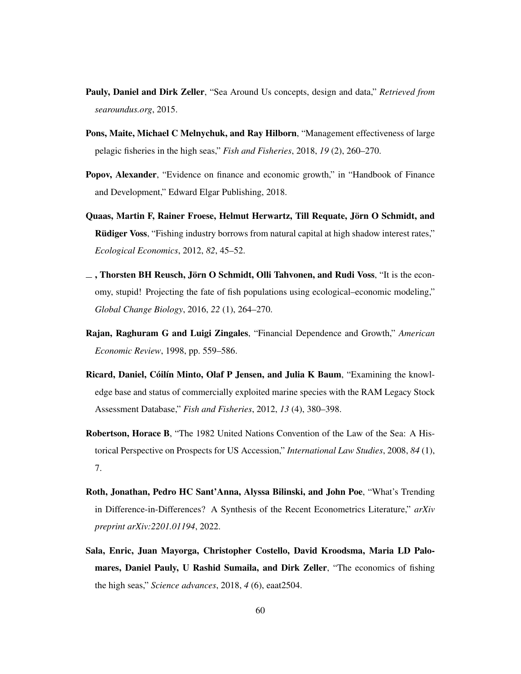- Pauly, Daniel and Dirk Zeller, "Sea Around Us concepts, design and data," *Retrieved from searoundus.org*, 2015.
- <span id="page-61-1"></span>Pons, Maite, Michael C Melnychuk, and Ray Hilborn, "Management effectiveness of large pelagic fisheries in the high seas," *Fish and Fisheries*, 2018, *19* (2), 260–270.
- Popov, Alexander, "Evidence on finance and economic growth," in "Handbook of Finance and Development," Edward Elgar Publishing, 2018.
- Quaas, Martin F, Rainer Froese, Helmut Herwartz, Till Requate, Jörn O Schmidt, and Rüdiger Voss, "Fishing industry borrows from natural capital at high shadow interest rates," *Ecological Economics*, 2012, *82*, 45–52.
- $\overline{\phantom{a}}$ , Thorsten BH Reusch, Jörn O Schmidt, Olli Tahvonen, and Rudi Voss, "It is the economy, stupid! Projecting the fate of fish populations using ecological–economic modeling," *Global Change Biology*, 2016, *22* (1), 264–270.
- Rajan, Raghuram G and Luigi Zingales, "Financial Dependence and Growth," *American Economic Review*, 1998, pp. 559–586.
- Ricard, Daniel, Cóilín Minto, Olaf P Jensen, and Julia K Baum, "Examining the knowledge base and status of commercially exploited marine species with the RAM Legacy Stock Assessment Database," *Fish and Fisheries*, 2012, *13* (4), 380–398.
- Robertson, Horace B, "The 1982 United Nations Convention of the Law of the Sea: A Historical Perspective on Prospects for US Accession," *International Law Studies*, 2008, *84* (1), 7.
- <span id="page-61-0"></span>Roth, Jonathan, Pedro HC Sant'Anna, Alyssa Bilinski, and John Poe, "What's Trending in Difference-in-Differences? A Synthesis of the Recent Econometrics Literature," *arXiv preprint arXiv:2201.01194*, 2022.
- Sala, Enric, Juan Mayorga, Christopher Costello, David Kroodsma, Maria LD Palomares, Daniel Pauly, U Rashid Sumaila, and Dirk Zeller, "The economics of fishing the high seas," *Science advances*, 2018, *4* (6), eaat2504.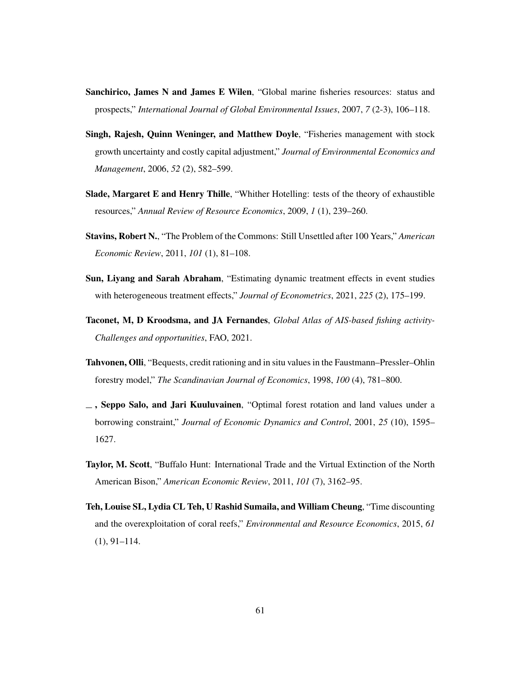- Sanchirico, James N and James E Wilen, "Global marine fisheries resources: status and prospects," *International Journal of Global Environmental Issues*, 2007, *7* (2-3), 106–118.
- Singh, Rajesh, Quinn Weninger, and Matthew Doyle, "Fisheries management with stock growth uncertainty and costly capital adjustment," *Journal of Environmental Economics and Management*, 2006, *52* (2), 582–599.
- Slade, Margaret E and Henry Thille, "Whither Hotelling: tests of the theory of exhaustible resources," *Annual Review of Resource Economics*, 2009, *1* (1), 239–260.
- Stavins, Robert N., "The Problem of the Commons: Still Unsettled after 100 Years," *American Economic Review*, 2011, *101* (1), 81–108.
- <span id="page-62-0"></span>Sun, Liyang and Sarah Abraham, "Estimating dynamic treatment effects in event studies with heterogeneous treatment effects," *Journal of Econometrics*, 2021, *225* (2), 175–199.
- Taconet, M, D Kroodsma, and JA Fernandes, *Global Atlas of AIS-based fishing activity-Challenges and opportunities*, FAO, 2021.
- Tahvonen, Olli, "Bequests, credit rationing and in situ values in the Faustmann–Pressler–Ohlin forestry model," *The Scandinavian Journal of Economics*, 1998, *100* (4), 781–800.
- , Seppo Salo, and Jari Kuuluvainen, "Optimal forest rotation and land values under a borrowing constraint," *Journal of Economic Dynamics and Control*, 2001, *25* (10), 1595– 1627.
- Taylor, M. Scott, "Buffalo Hunt: International Trade and the Virtual Extinction of the North American Bison," *American Economic Review*, 2011, *101* (7), 3162–95.
- Teh, Louise SL, Lydia CL Teh, U Rashid Sumaila, and William Cheung, "Time discounting and the overexploitation of coral reefs," *Environmental and Resource Economics*, 2015, *61* (1), 91–114.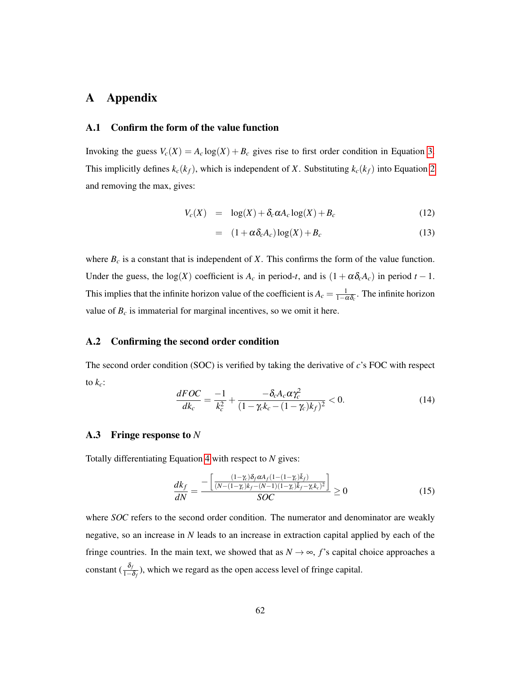# A Appendix

## <span id="page-63-0"></span>A.1 Confirm the form of the value function

Invoking the guess  $V_c(X) = A_c \log(X) + B_c$  gives rise to first order condition in Equation [3.](#page-14-0) This implicitly defines  $k_c(k_f)$ , which is independent of *X*. Substituting  $k_c(k_f)$  into Equation [2](#page-14-1) and removing the max, gives:

$$
V_c(X) = \log(X) + \delta_c \alpha A_c \log(X) + B_c \tag{12}
$$

$$
= (1 + \alpha \delta_c A_c) \log(X) + B_c \tag{13}
$$

where  $B_c$  is a constant that is independent of *X*. This confirms the form of the value function. Under the guess, the log(*X*) coefficient is  $A_c$  in period-*t*, and is  $(1 + \alpha \delta_c A_c)$  in period  $t - 1$ . This implies that the infinite horizon value of the coefficient is  $A_c = \frac{1}{1-\alpha\delta_c}$ . The infinite horizon value of  $B_c$  is immaterial for marginal incentives, so we omit it here.

#### A.2 Confirming the second order condition

The second order condition (SOC) is verified by taking the derivative of *c*'s FOC with respect to  $k_c$ :

$$
\frac{dFOC}{dk_c} = \frac{-1}{k_c^2} + \frac{-\delta_c A_c \alpha \gamma_c^2}{(1 - \gamma_c k_c - (1 - \gamma_c) k_f)^2} < 0. \tag{14}
$$

#### A.3 Fringe response to *N*

Totally differentiating Equation [4](#page-15-0) with respect to *N* gives:

$$
\frac{dk_f}{dN} = \frac{-\left[\frac{(1-\gamma_c)\delta_f \alpha A_f (1-(1-\gamma_c)\bar{k}_f)}{(N-(1-\gamma_c)\kappa_f - (N-1)(1-\gamma_c)\bar{k}_f - \gamma_c k_c)^2}\right]}{SOC} \ge 0
$$
\n(15)

where *SOC* refers to the second order condition. The numerator and denominator are weakly negative, so an increase in *N* leads to an increase in extraction capital applied by each of the fringe countries. In the main text, we showed that as  $N \rightarrow \infty$ , f's capital choice approaches a constant  $(\frac{\delta_f}{1-\delta_f})$ , which we regard as the open access level of fringe capital.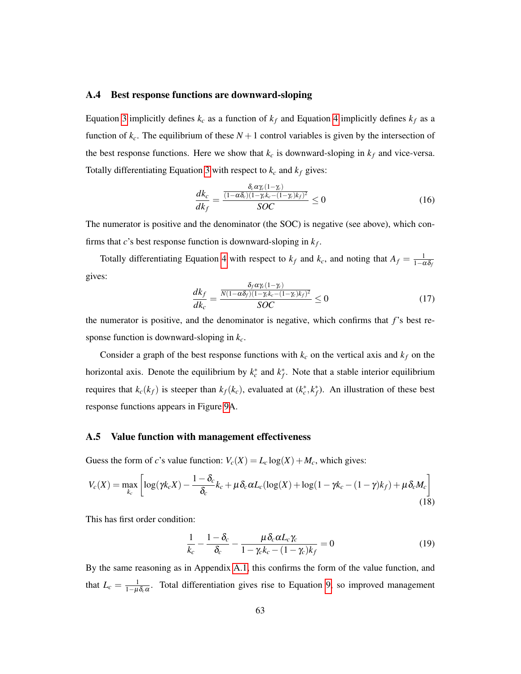#### A.4 Best response functions are downward-sloping

Equation [3](#page-14-0) implicitly defines  $k_c$  as a function of  $k_f$  and Equation [4](#page-15-0) implicitly defines  $k_f$  as a function of  $k_c$ . The equilibrium of these  $N+1$  control variables is given by the intersection of the best response functions. Here we show that  $k_c$  is downward-sloping in  $k_f$  and vice-versa. Totally differentiating Equation [3](#page-14-0) with respect to  $k_c$  and  $k_f$  gives:

$$
\frac{dk_c}{dk_f} = \frac{\frac{\delta_c \alpha \gamma_c (1 - \gamma_c)}{(1 - \alpha \delta_c)(1 - \gamma_c k_c - (1 - \gamma_c)k_f)^2}}{SOC} \le 0
$$
\n(16)

The numerator is positive and the denominator (the SOC) is negative (see above), which confirms that *c*'s best response function is downward-sloping in  $k_f$ .

Totally differentiating Equation [4](#page-15-0) with respect to  $k_f$  and  $k_c$ , and noting that  $A_f = \frac{1}{1-\alpha\delta_f}$ gives:

$$
\frac{dk_f}{dk_c} = \frac{\frac{\delta_f \alpha \gamma_c (1 - \gamma_c)}{N(1 - \alpha \delta_f)(1 - \gamma_c k_c - (1 - \gamma_c) k_f)^2}}{SOC} \le 0
$$
\n(17)

the numerator is positive, and the denominator is negative, which confirms that *f*'s best response function is downward-sloping in *kc*.

Consider a graph of the best response functions with  $k_c$  on the vertical axis and  $k_f$  on the horizontal axis. Denote the equilibrium by  $k_c^*$  and  $k_f^*$ . Note that a stable interior equilibrium requires that  $k_c(k_f)$  is steeper than  $k_f(k_c)$ , evaluated at  $(k_c^*, k_f^*)$ . An illustration of these best response functions appears in Figure [9A](#page-65-0).

#### A.5 Value function with management effectiveness

Guess the form of *c*'s value function:  $V_c(X) = L_c \log(X) + M_c$ , which gives:

$$
V_c(X) = \max_{k_c} \left[ \log(\gamma k_c X) - \frac{1 - \delta_c}{\delta_c} k_c + \mu \delta_c \alpha L_c (\log(X) + \log(1 - \gamma k_c - (1 - \gamma) k_f) + \mu \delta_c M_c) \right]
$$
(18)

This has first order condition:

$$
\frac{1}{k_c} - \frac{1 - \delta_c}{\delta_c} - \frac{\mu \delta_c \alpha L_c \gamma_c}{1 - \gamma_c k_c - (1 - \gamma_c) k_f} = 0
$$
\n(19)

By the same reasoning as in Appendix [A.1,](#page-63-0) this confirms the form of the value function, and that  $L_c = \frac{1}{1-\mu\delta_c\alpha}$ . Total differentiation gives rise to Equation [9,](#page-19-0) so improved management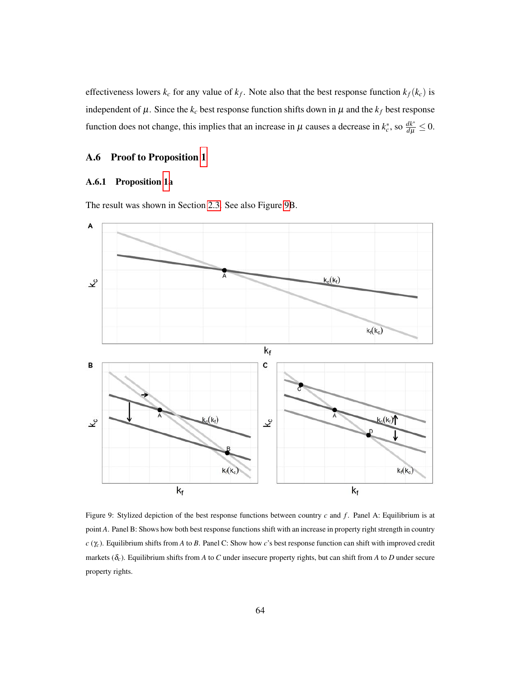effectiveness lowers  $k_c$  for any value of  $k_f$ . Note also that the best response function  $k_f(k_c)$  is independent of  $\mu$ . Since the  $k_c$  best response function shifts down in  $\mu$  and the  $k_f$  best response function does not change, this implies that an increase in  $\mu$  causes a decrease in  $k_c^*$ , so  $\frac{dk^*}{d\mu} \le 0$ .

## A.6 Proof to Proposition [1](#page-19-1)

## A.6.1 Proposition [1a](#page-19-1)

<span id="page-65-0"></span>The result was shown in Section [2.3.](#page-16-0) See also Figure [9B](#page-65-0).



Figure 9: Stylized depiction of the best response functions between country *c* and *f*. Panel A: Equilibrium is at point *A*. Panel B: Shows how both best response functions shift with an increase in property right strength in country *c* (γ*c*). Equilibrium shifts from *A* to *B*. Panel C: Show how *c*'s best response function can shift with improved credit markets ( $\delta_c$ ). Equilibrium shifts from *A* to *C* under insecure property rights, but can shift from *A* to *D* under secure property rights.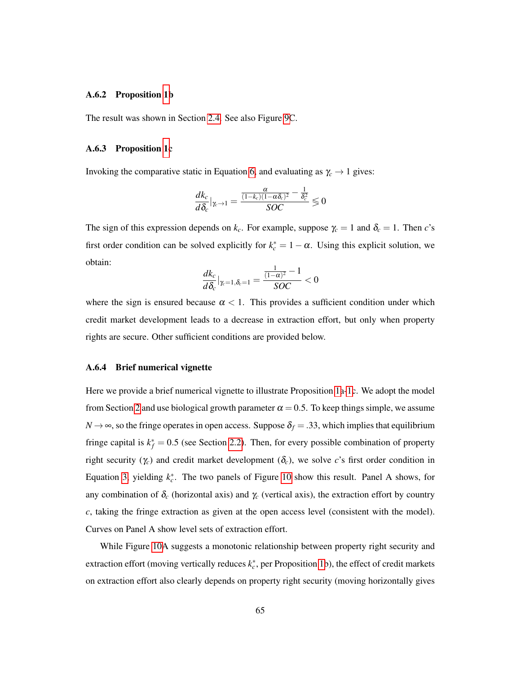#### A.6.2 Proposition [1b](#page-19-1)

The result was shown in Section [2.4.](#page-16-1) See also Figure [9C](#page-65-0).

#### A.6.3 Proposition [1c](#page-19-1)

Invoking the comparative static in Equation [6,](#page-17-0) and evaluating as  $\gamma_c \rightarrow 1$  gives:

$$
\frac{dk_c}{d\delta_c}|_{\gamma_c \to 1} = \frac{\frac{\alpha}{(1-k_c)(1-\alpha\delta_c)^2} - \frac{1}{\delta_c^2}}{SOC} \leq 0
$$

The sign of this expression depends on  $k_c$ . For example, suppose  $\gamma_c = 1$  and  $\delta_c = 1$ . Then *c*'s first order condition can be solved explicitly for  $k_c^* = 1 - \alpha$ . Using this explicit solution, we obtain:

$$
\frac{dk_c}{d\delta_c}|_{\gamma_c=1,\delta_c=1}=\frac{\frac{1}{(1-\alpha)^2}-1}{SOC}<0
$$

where the sign is ensured because  $\alpha < 1$ . This provides a sufficient condition under which credit market development leads to a decrease in extraction effort, but only when property rights are secure. Other sufficient conditions are provided below.

#### A.6.4 Brief numerical vignette

Here we provide a brief numerical vignette to illustrate Proposition [1a-1c](#page-19-1). We adopt the model from Section [2](#page-12-0) and use biological growth parameter  $\alpha = 0.5$ . To keep things simple, we assume  $N \rightarrow \infty$ , so the fringe operates in open access. Suppose  $\delta_f = .33$ , which implies that equilibrium fringe capital is  $k_f^* = 0.5$  (see Section [2.2\)](#page-15-1). Then, for every possible combination of property right security ( $\gamma_c$ ) and credit market development ( $\delta_c$ ), we solve *c*'s first order condition in Equation [3,](#page-14-0) yielding  $k_c^*$ . The two panels of Figure [10](#page-67-0) show this result. Panel A shows, for any combination of  $\delta_c$  (horizontal axis) and  $\gamma_c$  (vertical axis), the extraction effort by country *c*, taking the fringe extraction as given at the open access level (consistent with the model). Curves on Panel A show level sets of extraction effort.

While Figure [10A](#page-67-0) suggests a monotonic relationship between property right security and extraction effort (moving vertically reduces  $k_c^*$ , per Proposition [1b](#page-19-1)), the effect of credit markets on extraction effort also clearly depends on property right security (moving horizontally gives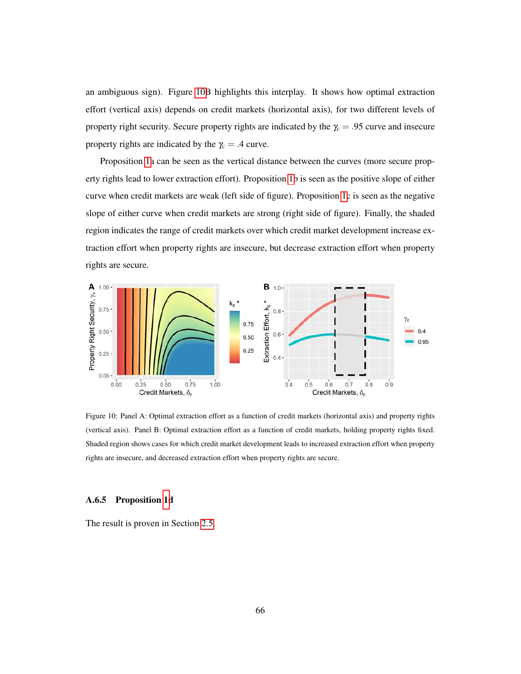an ambiguous sign). Figure [10B](#page-67-0) highlights this interplay. It shows how optimal extraction effort (vertical axis) depends on credit markets (horizontal axis), for two different levels of property right security. Secure property rights are indicated by the  $\gamma_c = .95$  curve and insecure property rights are indicated by the  $\gamma_c = .4$  curve.

Proposition [1a](#page-19-1) can be seen as the vertical distance between the curves (more secure property rights lead to lower extraction effort). Proposition [1b](#page-19-1) is seen as the positive slope of either curve when credit markets are weak (left side of figure). Proposition [1c](#page-19-1) is seen as the negative slope of either curve when credit markets are strong (right side of figure). Finally, the shaded region indicates the range of credit markets over which credit market development increase extraction effort when property rights are insecure, but decrease extraction effort when property rights are secure.

<span id="page-67-0"></span>

Figure 10: Panel A: Optimal extraction effort as a function of credit markets (horizontal axis) and property rights (vertical axis). Panel B: Optimal extraction effort as a function of credit markets, holding property rights fixed. Shaded region shows cases for which credit market development leads to increased extraction effort when property rights are insecure, and decreased extraction effort when property rights are secure.

#### A.6.5 Proposition [1d](#page-19-1)

The result is proven in Section [2.5.](#page-18-0)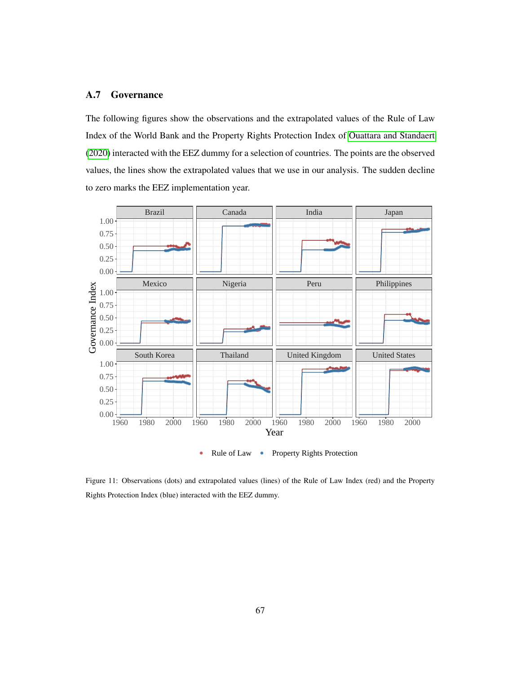#### A.7 Governance

The following figures show the observations and the extrapolated values of the Rule of Law Index of the World Bank and the Property Rights Protection Index of [Ouattara and Standaert](#page-60-2) [\(2020\)](#page-60-2) interacted with the EEZ dummy for a selection of countries. The points are the observed values, the lines show the extrapolated values that we use in our analysis. The sudden decline to zero marks the EEZ implementation year.



Figure 11: Observations (dots) and extrapolated values (lines) of the Rule of Law Index (red) and the Property Rights Protection Index (blue) interacted with the EEZ dummy.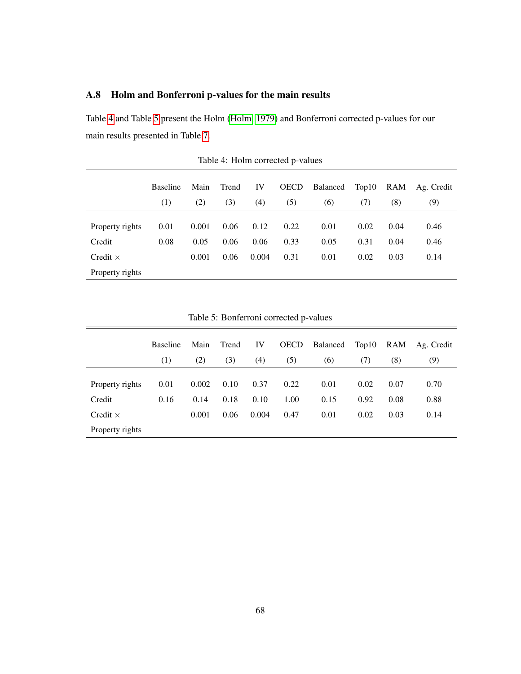# <span id="page-69-0"></span>A.8 Holm and Bonferroni p-values for the main results

<span id="page-69-1"></span>Table [4](#page-69-1) and Table [5](#page-69-2) present the Holm [\(Holm, 1979\)](#page-58-3) and Bonferroni corrected p-values for our main results presented in Table [7.](#page-73-0)

|                 | <b>Baseline</b> | Main  | Trend | IV    | <b>OECD</b> | Balanced | Top10 | RAM  | Ag. Credit |
|-----------------|-----------------|-------|-------|-------|-------------|----------|-------|------|------------|
|                 | (1)             | (2)   | (3)   | (4)   | (5)         | (6)      | (7)   | (8)  | (9)        |
|                 |                 |       |       |       |             |          |       |      |            |
| Property rights | 0.01            | 0.001 | 0.06  | 0.12  | 0.22        | 0.01     | 0.02  | 0.04 | 0.46       |
| Credit          | 0.08            | 0.05  | 0.06  | 0.06  | 0.33        | 0.05     | 0.31  | 0.04 | 0.46       |
| Credit $\times$ |                 | 0.001 | 0.06  | 0.004 | 0.31        | 0.01     | 0.02  | 0.03 | 0.14       |
| Property rights |                 |       |       |       |             |          |       |      |            |

Table 4: Holm corrected p-values

<span id="page-69-2"></span>

|                 |                 |       |       |       | radio 3. Domenom concetted p values |                |      |      |                |
|-----------------|-----------------|-------|-------|-------|-------------------------------------|----------------|------|------|----------------|
|                 | <b>Baseline</b> | Main  | Trend | IV    | <b>OECD</b>                         | Balanced Top10 |      |      | RAM Ag. Credit |
|                 | (1)             | (2)   | (3)   | (4)   | (5)                                 | (6)            | (7)  | (8)  | (9)            |
| Property rights | 0.01            | 0.002 | 0.10  | 0.37  | 0.22                                | 0.01           | 0.02 | 0.07 | 0.70           |
| Credit          | 0.16            | 0.14  | 0.18  | 0.10  | 1.00                                | 0.15           | 0.92 | 0.08 | 0.88           |
| Credit $\times$ |                 | 0.001 | 0.06  | 0.004 | 0.47                                | 0.01           | 0.02 | 0.03 | 0.14           |
| Property rights |                 |       |       |       |                                     |                |      |      |                |

Table 5: Bonferroni corrected p-values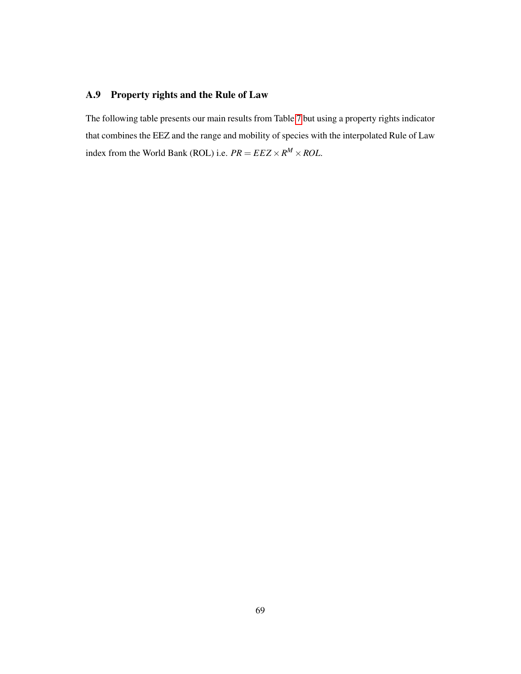# <span id="page-70-0"></span>A.9 Property rights and the Rule of Law

The following table presents our main results from Table [7](#page-73-0) but using a property rights indicator that combines the EEZ and the range and mobility of species with the interpolated Rule of Law index from the World Bank (ROL) i.e.  $PR = EEZ \times R^M \times ROL$ .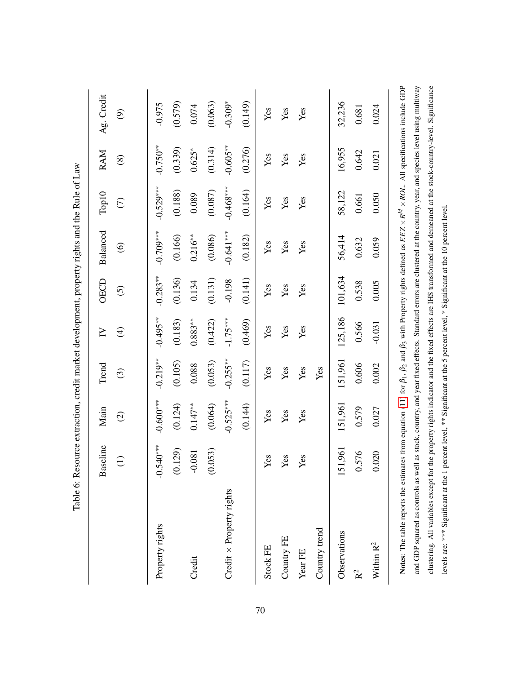| Table 6: Re                                                                                                                                                                                           |                           |                   |            |                          |                         | source extraction, credit market development, property rights and the Rule of Law            |             |               |            |
|-------------------------------------------------------------------------------------------------------------------------------------------------------------------------------------------------------|---------------------------|-------------------|------------|--------------------------|-------------------------|----------------------------------------------------------------------------------------------|-------------|---------------|------------|
|                                                                                                                                                                                                       | useline<br>$\mathbf{B}$ a | Main              | Trend      | $\sum$                   | <b>OECD</b>             | <b>Balanced</b>                                                                              | Top10       | RAM           | Ag. Credit |
|                                                                                                                                                                                                       | $\ominus$                 | $\widehat{\odot}$ | $\odot$    | $\widehat{\mathfrak{t}}$ | $\widehat{\mathcal{O}}$ | $\circledcirc$                                                                               | $\in$       | $\circledast$ | ම          |
| Property rights                                                                                                                                                                                       | $-0.540***$               | $-0.600***$       | $-0.219**$ | $-0.495***$              | $-0.283***$             | $-0.709***$                                                                                  | $-0.529***$ | $-0.750**$    | $-0.975$   |
|                                                                                                                                                                                                       | 1.129)<br>$\infty$        | (0.124)           | (0.105)    | (0.183)                  | (0.136)                 | (0.166)                                                                                      | (0.188)     | (0.339)       | (0.579)    |
| Credit                                                                                                                                                                                                | $-0.081$                  | $0.147**$         | 0.088      | $0.883**$                | 0.134                   | $0.216***$                                                                                   | 0.089       | $0.625*$      | 0.074      |
|                                                                                                                                                                                                       | (653)<br>$\infty$         | (0.064)           | (0.053)    | (0.422)                  | (0.131)                 | (0.086)                                                                                      | (0.087)     | (0.314)       | (0.063)    |
| Credit $\times$ Property rights                                                                                                                                                                       |                           | $-0.525***$       | $-0.255**$ | $-1.75***$               | $-0.198$                | $-0.641***$                                                                                  | $-0.468***$ | $-0.605**$    | $-0.309*$  |
|                                                                                                                                                                                                       |                           | (0.144)           | (0.117)    | (0.469)                  | (0.141)                 | (0.182)                                                                                      | (0.164)     | (0.276)       | (0.149)    |
| Stock FE                                                                                                                                                                                              | Yes                       | Yes               | Yes        | Yes                      | Yes                     | Yes                                                                                          | Yes         | Yes           | Yes        |
| Country FE                                                                                                                                                                                            | Yes                       | Yes               | Yes        | Yes                      | Yes                     | Yes                                                                                          | Yes         | Yes           | Yes        |
| Year FE                                                                                                                                                                                               | Yes                       | Yes               | Yes        | Yes                      | Yes                     | Yes                                                                                          | Yes         | Yes           | Yes        |
| Country trend                                                                                                                                                                                         |                           |                   | Yes        |                          |                         |                                                                                              |             |               |            |
| Observations                                                                                                                                                                                          | 151,961                   | 151,961           | 151,961    | 125,186                  | 101,634                 | 56,414                                                                                       | 58,122      | 16,955        | 32,236     |
| $\mathbf{R}^2$                                                                                                                                                                                        | 576                       | 0.579             | 0.606      | 0.566                    | 0.538                   | 0.632                                                                                        | 0.661       | 0.642         | 0.681      |
| Within $\mathbf{R}^2$                                                                                                                                                                                 | 020                       | 0.027             | 0.002      | $-0.031$                 | 0.005                   | 0.059                                                                                        | 0.050       | 0.021         | 0.024      |
| <b>Notes:</b> The table reports the estimates from equation (11) for $\beta_1$ , $\beta_2$ and $\beta_3$ with Property rights defined as $EEZ \times R^M \times ROL$ . All specifications include GDP |                           |                   |            |                          |                         |                                                                                              |             |               |            |
| and GDP squared as controls as well as stock, country, and year fixed effects. Standard errors are clustered at the country, year, and species level using multiway                                   |                           |                   |            |                          |                         |                                                                                              |             |               |            |
| clustering. All variables except for the property rights indicator and the fixed effects are IHS transformed and demeaned at the stock-country-level. Significance                                    |                           |                   |            |                          |                         |                                                                                              |             |               |            |
| levels are: *** Significant at the 1                                                                                                                                                                  |                           |                   |            |                          |                         | percent level, ** Significant at the 5 percent level, * Significant at the 10 percent level. |             |               |            |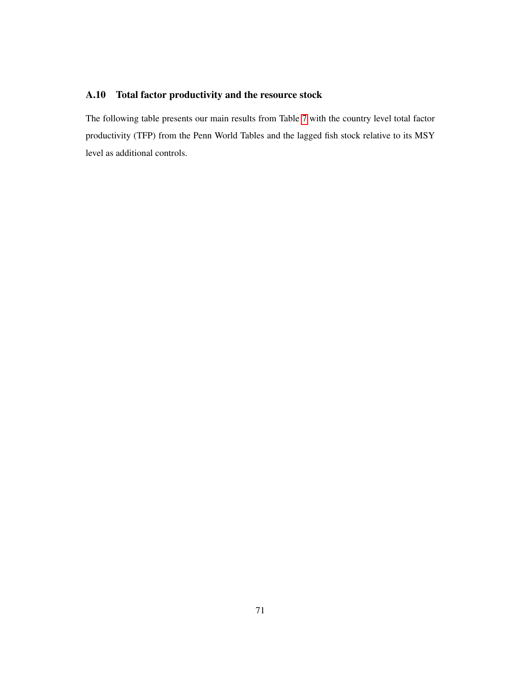# A.10 Total factor productivity and the resource stock

The following table presents our main results from Table [7](#page-73-0) with the country level total factor productivity (TFP) from the Penn World Tables and the lagged fish stock relative to its MSY level as additional controls.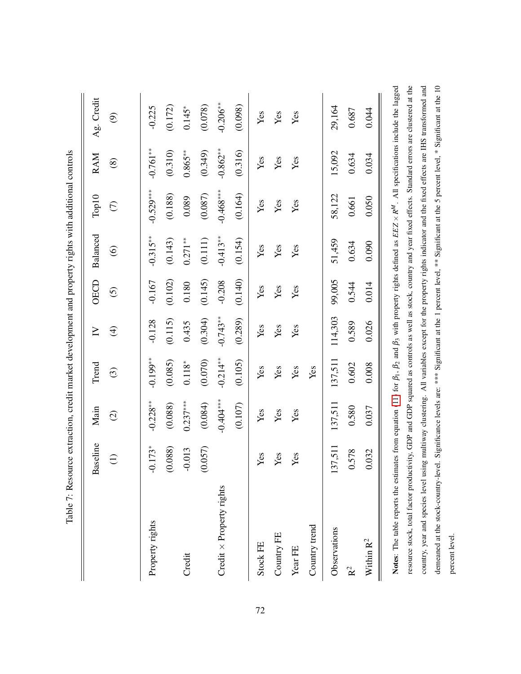<span id="page-73-0"></span>

|                                                                                                                                                                                            | Table 7: Resource extraction, credit market development and property rights with additional controls |                     |            |             |                   |                |             |               |                                                                                                                              |
|--------------------------------------------------------------------------------------------------------------------------------------------------------------------------------------------|------------------------------------------------------------------------------------------------------|---------------------|------------|-------------|-------------------|----------------|-------------|---------------|------------------------------------------------------------------------------------------------------------------------------|
|                                                                                                                                                                                            | iseline<br>Ba                                                                                        | Main                | Trend      | $\geq$      | OECD              | Balanced       | Top10       | RAM           | Ag. Credit                                                                                                                   |
|                                                                                                                                                                                            | $\ominus$                                                                                            | $\widehat{\varrho}$ | $\odot$    | $\bigoplus$ | $\widehat{\odot}$ | $\circledcirc$ | $\in$       | $\circledast$ | $\circledcirc$                                                                                                               |
| Property rights                                                                                                                                                                            | $.173*$<br>ု                                                                                         | $-0.228**$          | $-0.199**$ | $-0.128$    | $-0.167$          | $-0.315**$     | $-0.529***$ | $-0.761**$    | $-0.225$                                                                                                                     |
|                                                                                                                                                                                            | (0.088)                                                                                              | (0.088)             | (0.085)    | (0.115)     | (0.102)           | (0.143)        | (0.188)     | (0.310)       | (0.172)                                                                                                                      |
| Credit                                                                                                                                                                                     | $-0.013$                                                                                             | $0.237***$          | $0.118^*$  | 0.435       | 0.180             | $0.271**$      | 0.089       | $0.865**$     | $0.145*$                                                                                                                     |
|                                                                                                                                                                                            | (0.057)                                                                                              | (0.084)             | (0.070)    | (0.304)     | (0.145)           | (0.111)        | (0.087)     | (0.349)       | (0.078)                                                                                                                      |
| Credit $\times$ Property rights                                                                                                                                                            |                                                                                                      | $-0.404***$         | $-0.214**$ | $-0.743**$  | $-0.208$          | $-0.413**$     | $-0.468***$ | $-0.862**$    | $-0.206**$                                                                                                                   |
|                                                                                                                                                                                            |                                                                                                      | (0.107)             | (0.105)    | (0.289)     | (0.140)           | (0.154)        | (0.164)     | (0.316)       | (0.098)                                                                                                                      |
| Stock FE                                                                                                                                                                                   | Yes                                                                                                  | Yes                 | Yes        | Yes         | Yes               | Yes            | Yes         | Yes           | Yes                                                                                                                          |
| Country FE                                                                                                                                                                                 | Yes                                                                                                  | Yes                 | Yes        | Yes         | Yes               | Yes            | Yes         | Yes           | Yes                                                                                                                          |
| Year FE                                                                                                                                                                                    | Yes                                                                                                  | Yes                 | Yes        | Yes         | Yes               | Yes            | Yes         | Yes           | Yes                                                                                                                          |
| Country trend                                                                                                                                                                              |                                                                                                      |                     | Yes        |             |                   |                |             |               |                                                                                                                              |
| Observations                                                                                                                                                                               | 37,511<br>13                                                                                         | 137,511             | 137,511    | 114,303     | 99,005            | 51,459         | 58,122      | 15,092        | 29,164                                                                                                                       |
| $\mathbf{\hat{R}}^2$                                                                                                                                                                       | 578                                                                                                  | 0.580               | 0.602      | 0.589       | 0.544             | 0.634          | 0.661       | 0.634         | 0.687                                                                                                                        |
| Within $\mathbf{R}^2$                                                                                                                                                                      | .032                                                                                                 | 0.037               | 0.008      | 0.026       | 0.014             | 0.090          | 0.050       | 0.034         | 0.044                                                                                                                        |
| Notes: The table reports the estimates from equation (11) for $\beta_1$ , $\beta_2$ and $\beta_3$ with property rights defined as $EEZ \times R^M$ . All specifications include the lagged |                                                                                                      |                     |            |             |                   |                |             |               |                                                                                                                              |
| resource stock, total factor productivity, GDP and GDP squared as controls as well as stock, country and year fixed effects. Standard errors are clustered at the                          |                                                                                                      |                     |            |             |                   |                |             |               |                                                                                                                              |
| country, year and species level usin                                                                                                                                                       |                                                                                                      |                     |            |             |                   |                |             |               | ag multiway clustering. All variables except for the property rights indicator and the fixed effects are IHS transformed and |
| demeaned at the stock-country-level. Significance levels are: *** Significant at the 1 percent level, ** Significant at the 5 percent level, * Significant at the 10                       |                                                                                                      |                     |            |             |                   |                |             |               |                                                                                                                              |
| percent level.                                                                                                                                                                             |                                                                                                      |                     |            |             |                   |                |             |               |                                                                                                                              |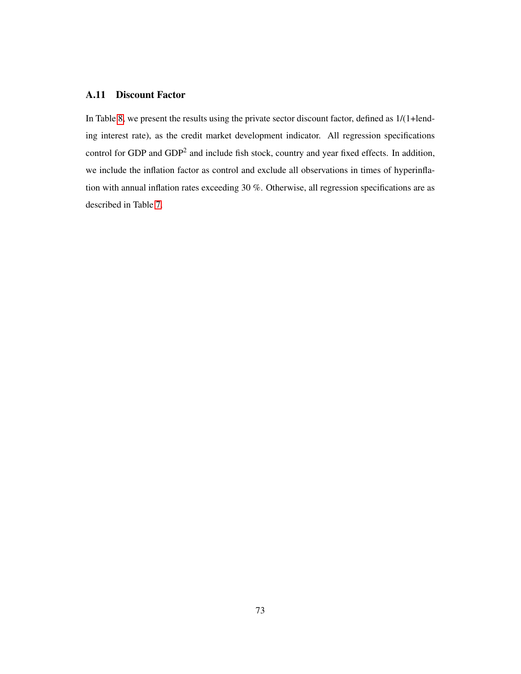# A.11 Discount Factor

In Table [8,](#page-75-0) we present the results using the private sector discount factor, defined as 1/(1+lending interest rate), as the credit market development indicator. All regression specifications control for GDP and GDP<sup>2</sup> and include fish stock, country and year fixed effects. In addition, we include the inflation factor as control and exclude all observations in times of hyperinflation with annual inflation rates exceeding 30 %. Otherwise, all regression specifications are as described in Table [7.](#page-73-0)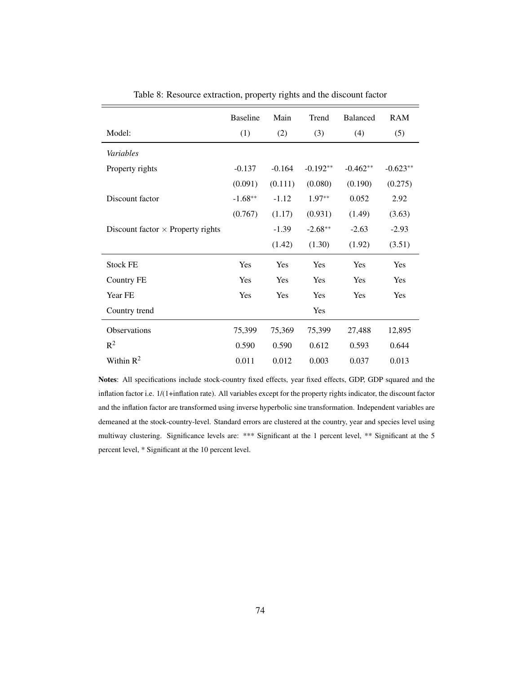<span id="page-75-0"></span>

|                                          | <b>Baseline</b> | Main     | Trend      | <b>Balanced</b> | <b>RAM</b> |
|------------------------------------------|-----------------|----------|------------|-----------------|------------|
| Model:                                   | (1)             | (2)      | (3)        | (4)             | (5)        |
| Variables                                |                 |          |            |                 |            |
| Property rights                          | $-0.137$        | $-0.164$ | $-0.192**$ | $-0.462**$      | $-0.623**$ |
|                                          | (0.091)         | (0.111)  | (0.080)    | (0.190)         | (0.275)    |
| Discount factor                          | $-1.68**$       | $-1.12$  | $1.97**$   | 0.052           | 2.92       |
|                                          | (0.767)         | (1.17)   | (0.931)    | (1.49)          | (3.63)     |
| Discount factor $\times$ Property rights |                 | $-1.39$  | $-2.68**$  | $-2.63$         | $-2.93$    |
|                                          |                 | (1.42)   | (1.30)     | (1.92)          | (3.51)     |
| <b>Stock FE</b>                          | Yes             | Yes      | Yes        | Yes             | Yes        |
| <b>Country FE</b>                        | Yes             | Yes      | Yes        | Yes             | Yes        |
| Year FE                                  | Yes             | Yes      | Yes        | Yes             | Yes        |
| Country trend                            |                 |          | Yes        |                 |            |
| <b>Observations</b>                      | 75,399          | 75,369   | 75,399     | 27,488          | 12,895     |
| $R^2$                                    | 0.590           | 0.590    | 0.612      | 0.593           | 0.644      |
| Within $R^2$                             | 0.011           | 0.012    | 0.003      | 0.037           | 0.013      |

Table 8: Resource extraction, property rights and the discount factor

Notes: All specifications include stock-country fixed effects, year fixed effects, GDP, GDP squared and the inflation factor i.e. 1/(1+inflation rate). All variables except for the property rights indicator, the discount factor and the inflation factor are transformed using inverse hyperbolic sine transformation. Independent variables are demeaned at the stock-country-level. Standard errors are clustered at the country, year and species level using multiway clustering. Significance levels are: \*\*\* Significant at the 1 percent level, \*\* Significant at the 5 percent level, \* Significant at the 10 percent level.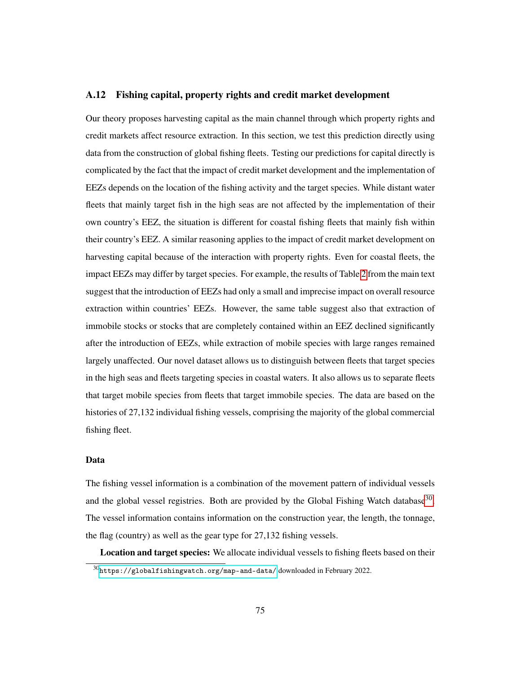# A.12 Fishing capital, property rights and credit market development

Our theory proposes harvesting capital as the main channel through which property rights and credit markets affect resource extraction. In this section, we test this prediction directly using data from the construction of global fishing fleets. Testing our predictions for capital directly is complicated by the fact that the impact of credit market development and the implementation of EEZs depends on the location of the fishing activity and the target species. While distant water fleets that mainly target fish in the high seas are not affected by the implementation of their own country's EEZ, the situation is different for coastal fishing fleets that mainly fish within their country's EEZ. A similar reasoning applies to the impact of credit market development on harvesting capital because of the interaction with property rights. Even for coastal fleets, the impact EEZs may differ by target species. For example, the results of Table [2](#page-41-0) from the main text suggest that the introduction of EEZs had only a small and imprecise impact on overall resource extraction within countries' EEZs. However, the same table suggest also that extraction of immobile stocks or stocks that are completely contained within an EEZ declined significantly after the introduction of EEZs, while extraction of mobile species with large ranges remained largely unaffected. Our novel dataset allows us to distinguish between fleets that target species in the high seas and fleets targeting species in coastal waters. It also allows us to separate fleets that target mobile species from fleets that target immobile species. The data are based on the histories of 27,132 individual fishing vessels, comprising the majority of the global commercial fishing fleet.

#### Data

The fishing vessel information is a combination of the movement pattern of individual vessels and the global vessel registries. Both are provided by the Global Fishing Watch database<sup>[30](#page-76-0)</sup>. The vessel information contains information on the construction year, the length, the tonnage, the flag (country) as well as the gear type for 27,132 fishing vessels.

Location and target species: We allocate individual vessels to fishing fleets based on their

<span id="page-76-0"></span> $30$ <https://globalfishingwatch.org/map-and-data/>downloaded in February 2022.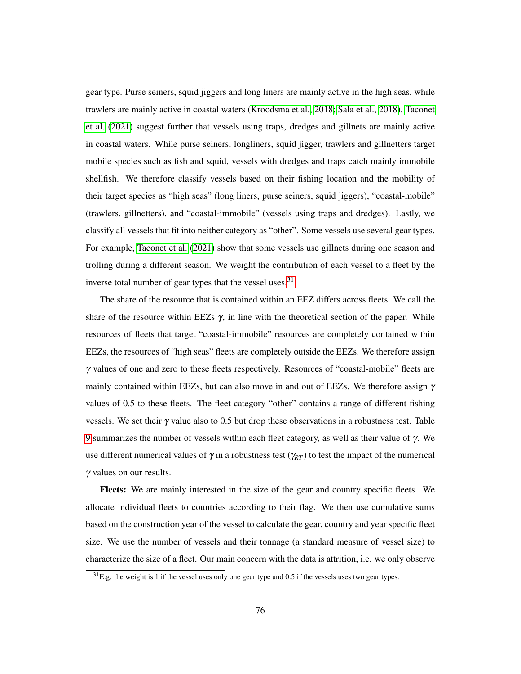gear type. Purse seiners, squid jiggers and long liners are mainly active in the high seas, while trawlers are mainly active in coastal waters [\(Kroodsma et al., 2018;](#page-59-0) [Sala et al., 2018\)](#page-61-0). [Taconet](#page-62-0) [et al.](#page-62-0) [\(2021\)](#page-62-0) suggest further that vessels using traps, dredges and gillnets are mainly active in coastal waters. While purse seiners, longliners, squid jigger, trawlers and gillnetters target mobile species such as fish and squid, vessels with dredges and traps catch mainly immobile shellfish. We therefore classify vessels based on their fishing location and the mobility of their target species as "high seas" (long liners, purse seiners, squid jiggers), "coastal-mobile" (trawlers, gillnetters), and "coastal-immobile" (vessels using traps and dredges). Lastly, we classify all vessels that fit into neither category as "other". Some vessels use several gear types. For example, [Taconet et al.](#page-62-0) [\(2021\)](#page-62-0) show that some vessels use gillnets during one season and trolling during a different season. We weight the contribution of each vessel to a fleet by the inverse total number of gear types that the vessel uses.<sup>[31](#page-77-0)</sup>

The share of the resource that is contained within an EEZ differs across fleets. We call the share of the resource within EEZs  $\gamma$ , in line with the theoretical section of the paper. While resources of fleets that target "coastal-immobile" resources are completely contained within EEZs, the resources of "high seas" fleets are completely outside the EEZs. We therefore assign  $\gamma$  values of one and zero to these fleets respectively. Resources of "coastal-mobile" fleets are mainly contained within EEZs, but can also move in and out of EEZs. We therefore assign  $\gamma$ values of 0.5 to these fleets. The fleet category "other" contains a range of different fishing vessels. We set their  $\gamma$  value also to 0.5 but drop these observations in a robustness test. Table [9](#page-78-0) summarizes the number of vessels within each fleet category, as well as their value of γ. We use different numerical values of  $\gamma$  in a robustness test ( $\gamma_{RT}$ ) to test the impact of the numerical γ values on our results.

Fleets: We are mainly interested in the size of the gear and country specific fleets. We allocate individual fleets to countries according to their flag. We then use cumulative sums based on the construction year of the vessel to calculate the gear, country and year specific fleet size. We use the number of vessels and their tonnage (a standard measure of vessel size) to characterize the size of a fleet. Our main concern with the data is attrition, i.e. we only observe

<span id="page-77-0"></span><sup>31</sup>E.g. the weight is 1 if the vessel uses only one gear type and 0.5 if the vessels uses two gear types.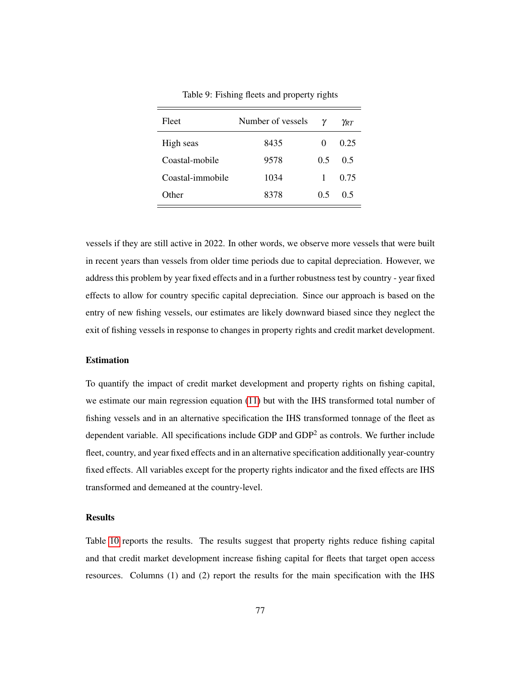<span id="page-78-0"></span>

| Fleet            | Number of vessels | ν            | $\gamma_{\scriptscriptstyle RT}$ |
|------------------|-------------------|--------------|----------------------------------|
| High seas        | 8435              | $\mathbf{0}$ | 0.25                             |
| Coastal-mobile   | 9578              | 0.5          | 0.5                              |
| Coastal-immobile | 1034              | 1            | 0.75                             |
| Other            | 8378              | 0.5          | 05                               |

Table 9: Fishing fleets and property rights

vessels if they are still active in 2022. In other words, we observe more vessels that were built in recent years than vessels from older time periods due to capital depreciation. However, we address this problem by year fixed effects and in a further robustness test by country - year fixed effects to allow for country specific capital depreciation. Since our approach is based on the entry of new fishing vessels, our estimates are likely downward biased since they neglect the exit of fishing vessels in response to changes in property rights and credit market development.

# Estimation

To quantify the impact of credit market development and property rights on fishing capital, we estimate our main regression equation [\(11\)](#page-34-0) but with the IHS transformed total number of fishing vessels and in an alternative specification the IHS transformed tonnage of the fleet as dependent variable. All specifications include GDP and  $GDP<sup>2</sup>$  as controls. We further include fleet, country, and year fixed effects and in an alternative specification additionally year-country fixed effects. All variables except for the property rights indicator and the fixed effects are IHS transformed and demeaned at the country-level.

#### Results

Table [10](#page-80-0) reports the results. The results suggest that property rights reduce fishing capital and that credit market development increase fishing capital for fleets that target open access resources. Columns (1) and (2) report the results for the main specification with the IHS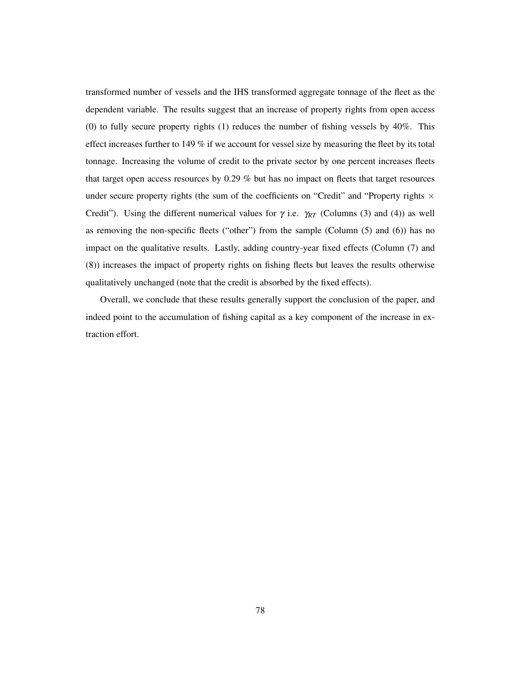transformed number of vessels and the IHS transformed aggregate tonnage of the fleet as the dependent variable. The results suggest that an increase of property rights from open access (0) to fully secure property rights (1) reduces the number of fishing vessels by 40%. This effect increases further to 149 % if we account for vessel size by measuring the fleet by its total tonnage. Increasing the volume of credit to the private sector by one percent increases fleets that target open access resources by 0.29 % but has no impact on fleets that target resources under secure property rights (the sum of the coefficients on "Credit" and "Property rights  $\times$ Credit"). Using the different numerical values for  $\gamma$  i.e.  $\gamma_{RT}$  (Columns (3) and (4)) as well as removing the non-specific fleets ("other") from the sample (Column (5) and (6)) has no impact on the qualitative results. Lastly, adding country-year fixed effects (Column (7) and (8)) increases the impact of property rights on fishing fleets but leaves the results otherwise qualitatively unchanged (note that the credit is absorbed by the fixed effects).

Overall, we conclude that these results generally support the conclusion of the paper, and indeed point to the accumulation of fishing capital as a key component of the increase in extraction effort.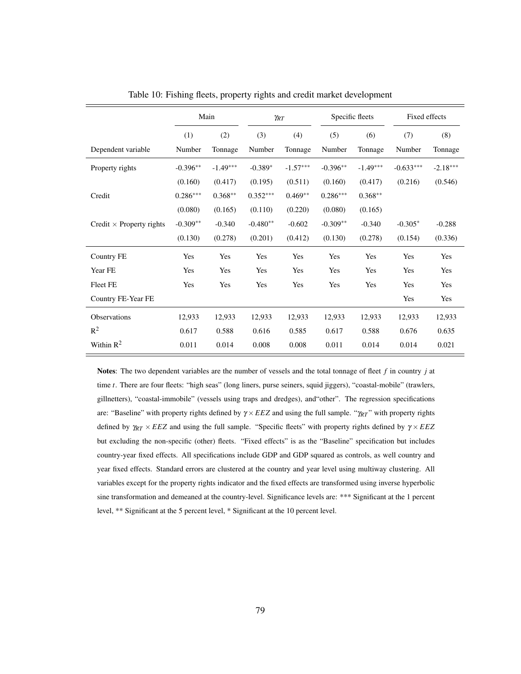<span id="page-80-0"></span>

|                                 |            | Main       | $\gamma_{RT}$ |            | Specific fleets |            | Fixed effects |            |
|---------------------------------|------------|------------|---------------|------------|-----------------|------------|---------------|------------|
|                                 | (1)        | (2)        | (3)           | (4)        | (5)             | (6)        | (7)           | (8)        |
| Dependent variable              | Number     | Tonnage    | Number        | Tonnage    | Number          | Tonnage    | Number        | Tonnage    |
| Property rights                 | $-0.396**$ | $-1.49***$ | $-0.389*$     | $-1.57***$ | $-0.396**$      | $-1.49***$ | $-0.633***$   | $-2.18***$ |
|                                 | (0.160)    | (0.417)    | (0.195)       | (0.511)    | (0.160)         | (0.417)    | (0.216)       | (0.546)    |
| Credit                          | $0.286***$ | $0.368**$  | $0.352***$    | $0.469**$  | $0.286***$      | $0.368**$  |               |            |
|                                 | (0.080)    | (0.165)    | (0.110)       | (0.220)    | (0.080)         | (0.165)    |               |            |
| Credit $\times$ Property rights | $-0.309**$ | $-0.340$   | $-0.480**$    | $-0.602$   | $-0.309**$      | $-0.340$   | $-0.305*$     | $-0.288$   |
|                                 | (0.130)    | (0.278)    | (0.201)       | (0.412)    | (0.130)         | (0.278)    | (0.154)       | (0.336)    |
| Country FE                      | Yes        | Yes        | Yes           | Yes        | Yes             | Yes        | Yes           | Yes        |
| Year FE                         | Yes        | Yes        | Yes           | Yes        | Yes             | Yes        | Yes           | Yes        |
| <b>Fleet FE</b>                 | Yes        | Yes        | Yes           | Yes        | Yes             | Yes        | Yes           | Yes        |
| Country FE-Year FE              |            |            |               |            |                 |            | Yes           | Yes        |
| Observations                    | 12,933     | 12,933     | 12,933        | 12,933     | 12,933          | 12,933     | 12,933        | 12,933     |
| $R^2$                           | 0.617      | 0.588      | 0.616         | 0.585      | 0.617           | 0.588      | 0.676         | 0.635      |
| Within $R^2$                    | 0.011      | 0.014      | 0.008         | 0.008      | 0.011           | 0.014      | 0.014         | 0.021      |

Table 10: Fishing fleets, property rights and credit market development

Notes: The two dependent variables are the number of vessels and the total tonnage of fleet *f* in country *j* at time *t*. There are four fleets: "high seas" (long liners, purse seiners, squid jiggers), "coastal-mobile" (trawlers, gillnetters), "coastal-immobile" (vessels using traps and dredges), and"other". The regression specifications are: "Baseline" with property rights defined by γ ×*EEZ* and using the full sample. "γ*RT* " with property rights defined by γ*RT* × *EEZ* and using the full sample. "Specific fleets" with property rights defined by γ × *EEZ* but excluding the non-specific (other) fleets. "Fixed effects" is as the "Baseline" specification but includes country-year fixed effects. All specifications include GDP and GDP squared as controls, as well country and year fixed effects. Standard errors are clustered at the country and year level using multiway clustering. All variables except for the property rights indicator and the fixed effects are transformed using inverse hyperbolic sine transformation and demeaned at the country-level. Significance levels are: \*\*\* Significant at the 1 percent level, \*\* Significant at the 5 percent level, \* Significant at the 10 percent level.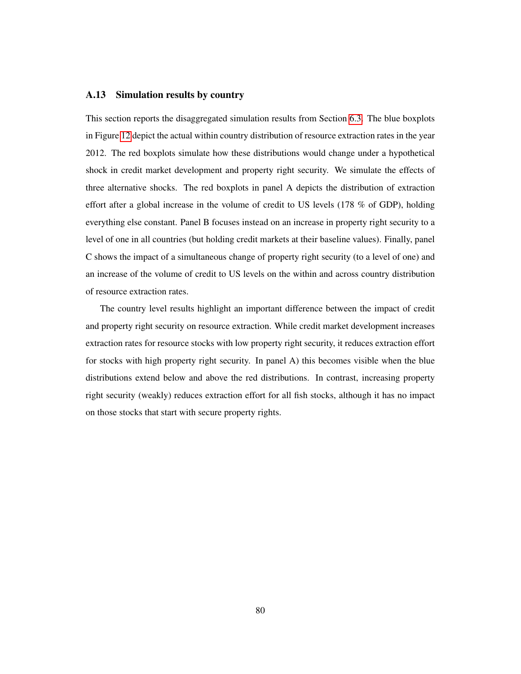# A.13 Simulation results by country

This section reports the disaggregated simulation results from Section [6.3.](#page-48-0) The blue boxplots in Figure [12](#page-82-0) depict the actual within country distribution of resource extraction rates in the year 2012. The red boxplots simulate how these distributions would change under a hypothetical shock in credit market development and property right security. We simulate the effects of three alternative shocks. The red boxplots in panel A depicts the distribution of extraction effort after a global increase in the volume of credit to US levels (178 % of GDP), holding everything else constant. Panel B focuses instead on an increase in property right security to a level of one in all countries (but holding credit markets at their baseline values). Finally, panel C shows the impact of a simultaneous change of property right security (to a level of one) and an increase of the volume of credit to US levels on the within and across country distribution of resource extraction rates.

The country level results highlight an important difference between the impact of credit and property right security on resource extraction. While credit market development increases extraction rates for resource stocks with low property right security, it reduces extraction effort for stocks with high property right security. In panel A) this becomes visible when the blue distributions extend below and above the red distributions. In contrast, increasing property right security (weakly) reduces extraction effort for all fish stocks, although it has no impact on those stocks that start with secure property rights.